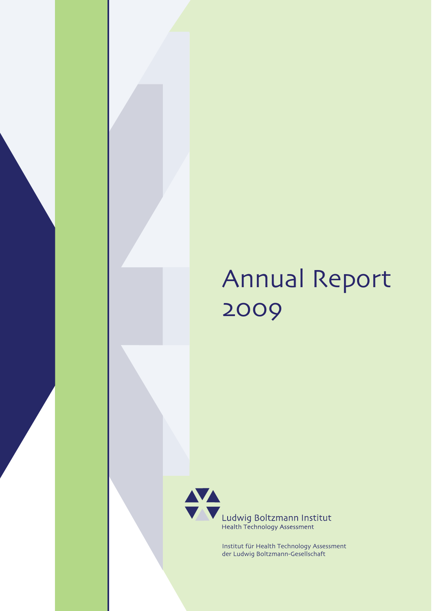# Annual Report 2009



Ludwig Boltzmann Institut<br>Health Technology Assessment

Institut für Health Technology Assessment der Ludwig Boltzmann-Gesellschaft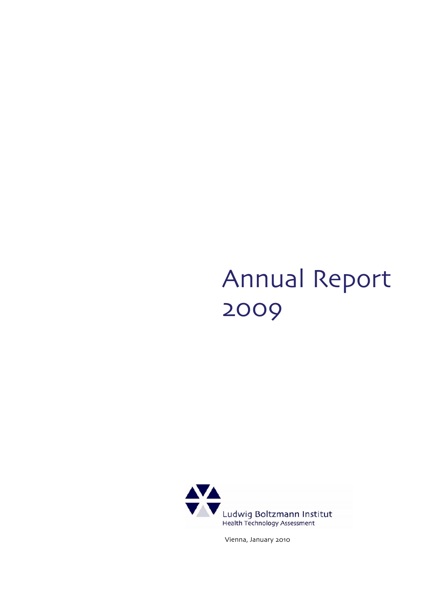# Annual Report 2009



Vienna, January 2010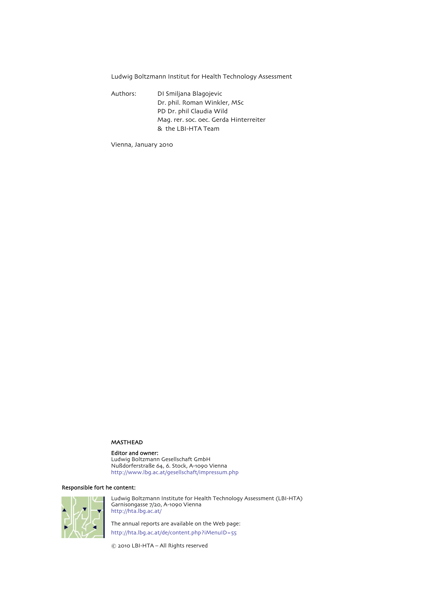Ludwig Boltzmann Institut for Health Technology Assessment

Authors: DI Smiljana Blagojevic Dr. phil. Roman Winkler, MSc PD Dr. phil Claudia Wild Mag. rer. soc. oec. Gerda Hinterreiter & the LBI-HTA Team

Vienna, January 2010

### MASTHEAD

# Editor and owner:

Ludwig Boltzmann Gesellschaft GmbH Nussdorferstrasse 64, 6. Stock, A-1090 Vienna http://www.lbg.ac.at/gesellschaft/impressum.php

# Responsible fort he content:



Ludwig Boltzmann Institute for Health Technology Assessment (LBI-HTA) Garnisongasse 7/20, A-1090 Vienna http://hta.lbg.ac.at/

The annual reports are available on the Web page: http://hta.lbg.ac.at/de/content.php?iMenuID=55

© 2010 LBI-HTA – All Rights reserved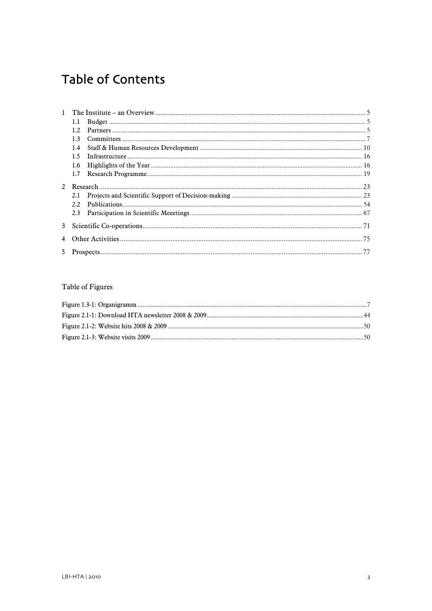# **Table of Contents**

|  | 1.4 |  |  |
|--|-----|--|--|
|  | 15  |  |  |
|  | 1.6 |  |  |
|  | 1.7 |  |  |
|  |     |  |  |
|  | 2.1 |  |  |
|  | 2.2 |  |  |
|  | 2.3 |  |  |
|  |     |  |  |
|  |     |  |  |
|  |     |  |  |
|  |     |  |  |

# Table of Figures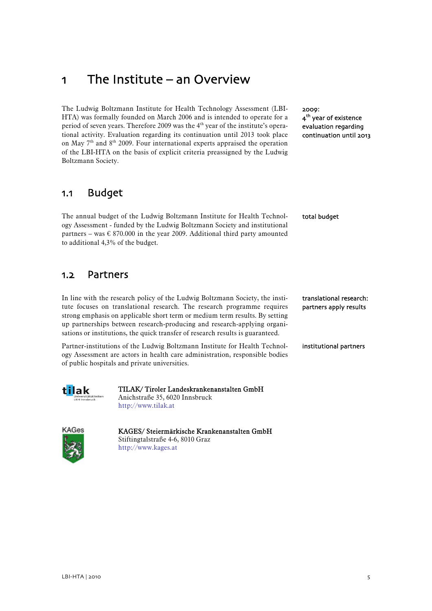# <span id="page-6-0"></span>1 The Institute – an Overview

The Ludwig Boltzmann Institute for Health Technology Assessment (LBI-HTA) was formally founded on March 2006 and is intended to operate for a period of seven years. Therefore 2009 was the 4<sup>th</sup> year of the institute's operational activity. Evaluation regarding its continuation until 2013 took place on May  $7<sup>th</sup>$  and  $8<sup>th</sup>$  2009. Four international experts appraised the operation of the LBI-HTA on the basis of explicit criteria preassigned by the Ludwig Boltzmann Society.

2009: 4<sup>th</sup> year of existence evaluation regarding continuation until 2013

total budget

translational research: partners apply results

# 1.1 Budget

The annual budget of the Ludwig Boltzmann Institute for Health Technology Assessment - funded by the Ludwig Boltzmann Society and institutional partners – was  $\epsilon$  870.000 in the year 2009. Additional third party amounted to additional 4,3% of the budget.

# 1.2 Partners

In line with the research policy of the Ludwig Boltzmann Society, the institute focuses on translational research. The research programme requires strong emphasis on applicable short term or medium term results. By setting up partnerships between research-producing and research-applying organisations or institutions, the quick transfer of research results is guaranteed.

Partner-institutions of the Ludwig Boltzmann Institute for Health Technology Assessment are actors in health care administration, responsible bodies of public hospitals and private universities. institutional partners



TILAK/ Tiroler Landeskrankenanstalten GmbH Anichstraße 35, 6020 Innsbruck http://www.tilak.at



KAGES/ Steiermärkische Krankenanstalten GmbH Stiftingtalstraße 4-6, 8010 Graz http://www.kages.at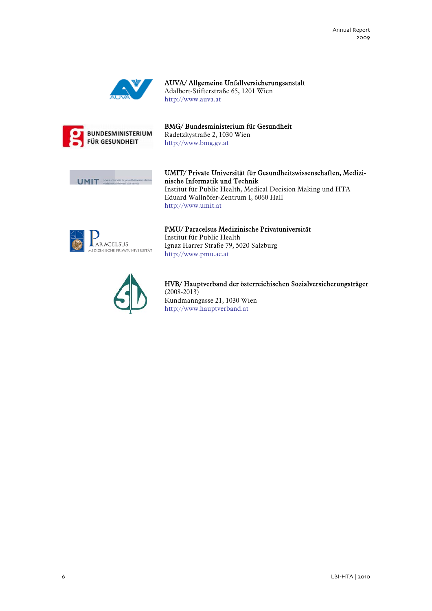

AUVA/ Allgemeine Unfallversicherungsanstalt Adalbert-Stifterstraße 65, 1201 Wien http://www.auva.at



BMG/ Bundesministerium für Gesundheit Radetzkystraße 2, 1030 Wien http://www.bmg.gv.at



UMIT/ Private Universität für Gesundheitswissenschaften, Medizinische Informatik und Technik Institut für Public Health, Medical Decision Making und HTA Eduard Wallnöfer-Zentrum I, 6060 Hall http://www.umit.at



PMU/ Paracelsus Medizinische Privatuniversität Institut für Public Health Ignaz Harrer Straße 79, 5020 Salzburg http://www.pmu.ac.at



HVB/ Hauptverband der österreichischen Sozialversicherungsträger  $(2008 - 2013)$ Kundmanngasse 21, 1030 Wien http://www.hauptverband.at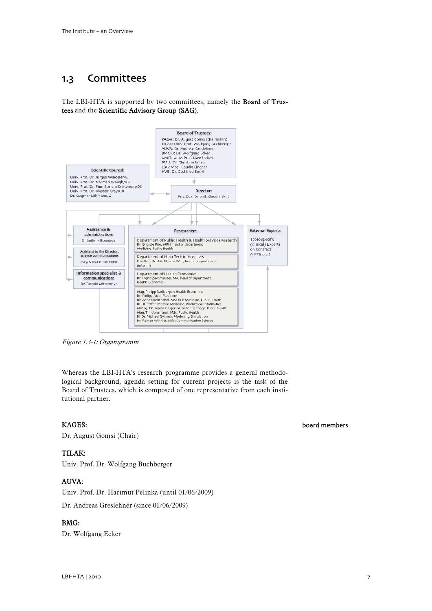# <span id="page-8-0"></span>1.3 Committees

The LBI-HTA is supported by two committees, namely the Board of Trustees and the Scientific Advisory Group (SAG).



Figure 1.3-1: Organigramm

Whereas the LBI-HTA's research programme provides a general methodological background, agenda setting for current projects is the task of the Board of Trustees, which is composed of one representative from each institutional partner.

# KAGES:

Dr. August Gomsi (Chair)

# TILAK:

Univ. Prof. Dr. Wolfgang Buchberger

# AUVA:

Univ. Prof. Dr. Hartmut Pelinka (until 01/06/2009)

Dr. Andreas Greslehner (since 01/06/2009)

# BMG:

Dr. Wolfgang Ecker

# board members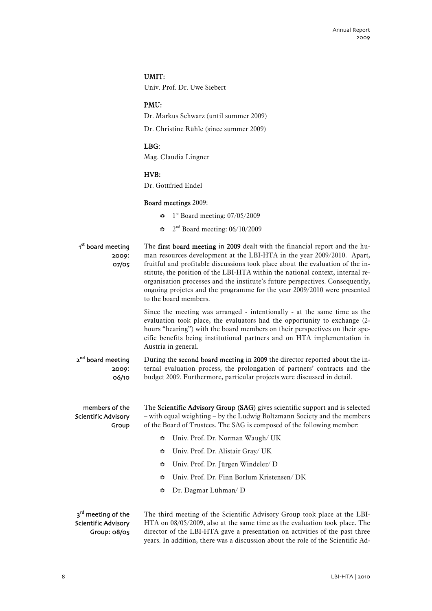# UMIT:

Univ. Prof. Dr. Uwe Siebert

# PMU:

Dr. Markus Schwarz (until summer 2009)

Dr. Christine Rühle (since summer 2009)

# LBG:

Mag. Claudia Lingner

# HVB:

Dr. Gottfried Endel

# Board meetings 2009:

- $\bullet$  1<sup>st</sup> Board meeting: 07/05/2009
- $\approx$  2<sup>nd</sup> Board meeting: 06/10/2009

| 1 <sup>st</sup> board meeting<br>2009:<br>07/05 | The first board meeting in 2009 dealt with the financial report and the hu-<br>man resources development at the LBI-HTA in the year 2009/2010. Apart,<br>fruitful and profitable discussions took place about the evaluation of the in-<br>stitute, the position of the LBI-HTA within the national context, internal re-<br>organisation processes and the institute's future perspectives. Consequently,<br>ongoing projetcs and the programme for the year 2009/2010 were presented<br>to the board members. |
|-------------------------------------------------|-----------------------------------------------------------------------------------------------------------------------------------------------------------------------------------------------------------------------------------------------------------------------------------------------------------------------------------------------------------------------------------------------------------------------------------------------------------------------------------------------------------------|
|                                                 | Since the meeting was arranged - intentionally - at the same time as the<br>evaluation took place, the evaluators had the opportunity to exchange (2-<br>hours "hearing") with the board members on their perspectives on their spe-<br>cific benefits being institutional partners and on HTA implementation in<br>Austria in general.                                                                                                                                                                         |
| 2 <sup>nd</sup> board meeting<br>2009:<br>06/10 | During the second board meeting in 2009 the director reported about the in-<br>ternal evaluation process, the prolongation of partners' contracts and the<br>budget 2009. Furthermore, particular projects were discussed in detail.                                                                                                                                                                                                                                                                            |
| members of the<br>Scientific Advisory<br>Group  | The Scientific Advisory Group (SAG) gives scientific support and is selected<br>- with equal weighting - by the Ludwig Boltzmann Society and the members<br>of the Board of Trustees. The SAG is composed of the following member:                                                                                                                                                                                                                                                                              |
|                                                 | Univ. Prof. Dr. Norman Waugh/ UK<br>₩                                                                                                                                                                                                                                                                                                                                                                                                                                                                           |
|                                                 | Univ. Prof. Dr. Alistair Gray/ UK<br>$\frac{\Delta \mathbf{V}_{\Delta}}{\mathbf{V}_{\Delta} \mathbf{V}}$                                                                                                                                                                                                                                                                                                                                                                                                        |
|                                                 | Univ. Prof. Dr. Jürgen Windeler/D<br>$\frac{\Delta \mathbf{V}_{\Delta}}{\mathbf{V}_{\Delta} \mathbf{V}}$                                                                                                                                                                                                                                                                                                                                                                                                        |
|                                                 | Univ. Prof. Dr. Finn Borlum Kristensen/DK<br>₩                                                                                                                                                                                                                                                                                                                                                                                                                                                                  |
|                                                 | Dr. Dagmar Lühman/D<br>$\frac{\Delta \mathbf{V}_{\Delta}}{\mathbf{V}_{\Delta} \mathbf{V}}$                                                                                                                                                                                                                                                                                                                                                                                                                      |
| 3 <sup>rd</sup> meeting of the                  | The third meeting of the Scientific Advisory Group took place at the LBI-                                                                                                                                                                                                                                                                                                                                                                                                                                       |

#### HTA on 08/05/2009, also at the same time as the evaluation took place. The director of the LBI-HTA gave a presentation on activities of the past three years. In addition, there was a discussion about the role of the Scientific Ad-Scientific Advisory Group: 08/05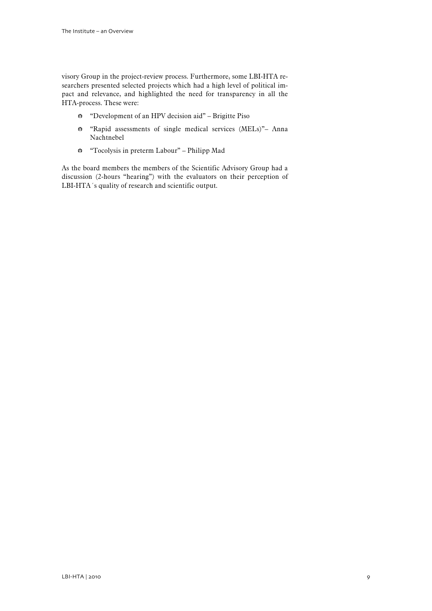visory Group in the project-review process. Furthermore, some LBI-HTA researchers presented selected projects which had a high level of political impact and relevance, and highlighted the need for transparency in all the HTA-process. These were:

- b "Development of an HPV decision aid" Brigitte Piso
- b "Rapid assessments of single medical services (MELs)"– Anna Nachtnebel
- b "Tocolysis in preterm Labour" Philipp Mad

As the board members the members of the Scientific Advisory Group had a discussion (2-hours "hearing") with the evaluators on their perception of LBI-HTA´s quality of research and scientific output.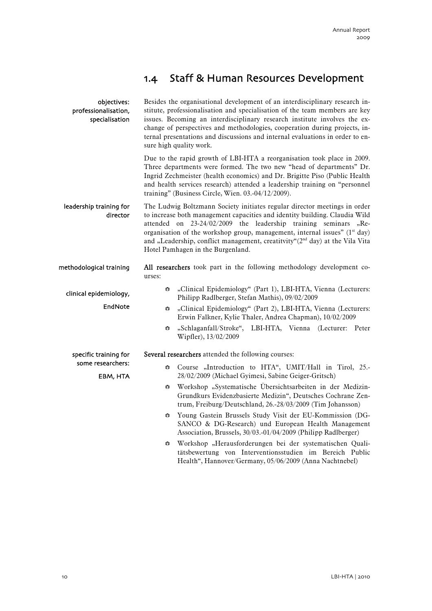# 1.4 Staff & Human Resources Development

<span id="page-11-0"></span>

| objectives:<br>professionalisation,<br>specialisation | Besides the organisational development of an interdisciplinary research in-<br>stitute, professionalisation and specialisation of the team members are key<br>issues. Becoming an interdisciplinary research institute involves the ex-<br>change of perspectives and methodologies, cooperation during projects, in-<br>ternal presentations and discussions and internal evaluations in order to en-<br>sure high quality work.                     |  |  |  |  |
|-------------------------------------------------------|-------------------------------------------------------------------------------------------------------------------------------------------------------------------------------------------------------------------------------------------------------------------------------------------------------------------------------------------------------------------------------------------------------------------------------------------------------|--|--|--|--|
|                                                       | Due to the rapid growth of LBI-HTA a reorganisation took place in 2009.<br>Three departments were formed. The two new "head of departments" Dr.<br>Ingrid Zechmeister (health economics) and Dr. Brigitte Piso (Public Health<br>and health services research) attended a leadership training on "personnel<br>training" (Business Circle, Wien. 03.-04/12/2009).                                                                                     |  |  |  |  |
| leadership training for<br>director                   | The Ludwig Boltzmann Society initiates regular director meetings in order<br>to increase both management capacities and identity building. Claudia Wild<br>attended on 23-24/02/2009 the leadership training seminars "Re-<br>organisation of the workshop group, management, internal issues" (1 <sup>st</sup> day)<br>and "Leadership, conflict management, creatitvity"(2 <sup>nd</sup> day) at the Vila Vita<br>Hotel Pamhagen in the Burgenland. |  |  |  |  |
| methodological training                               | All researchers took part in the following methodology development co-<br>urses:                                                                                                                                                                                                                                                                                                                                                                      |  |  |  |  |
| clinical epidemiology,<br>EndNote                     | "Clinical Epidemiology" (Part 1), LBI-HTA, Vienna (Lecturers:<br>$\frac{\Delta V_A}{V}$<br>Philipp Radlberger, Stefan Mathis), 09/02/2009<br>"Clinical Epidemiology" (Part 2), LBI-HTA, Vienna (Lecturers:<br>$\frac{\Delta V_A}{V}$<br>Erwin Falkner, Kylie Thaler, Andrea Chapman), 10/02/2009<br>"Schlaganfall/Stroke", LBI-HTA, Vienna (Lecturer: Peter<br>$\frac{\Delta N_A}{\Delta N}$                                                          |  |  |  |  |
| specific training for                                 | Wipfler), 13/02/2009<br>Several researchers attended the following courses:                                                                                                                                                                                                                                                                                                                                                                           |  |  |  |  |
| some researchers:<br>EBM, HTA                         | Course "Introduction to HTA", UMIT/Hall in Tirol, 25.-<br>₩<br>28/02/2009 (Michael Gyimesi, Sabine Geiger-Gritsch)<br>Workshop "Systematische Übersichtsarbeiten in der Medizin-<br>₩<br>Grundkurs Evidenzbasierte Medizin", Deutsches Cochrane Zen-<br>trum, Freiburg/Deutschland, 26.-28/03/2009 (Tim Johansson)<br>Young Gastein Brussels Study Visit der EU-Kommission (DG-<br>$\frac{\Delta V_{\Delta}}{V_{\triangle}V}$                         |  |  |  |  |
|                                                       | SANCO & DG-Research) und European Health Management<br>Association, Brussels, 30/03.-01/04/2009 (Philipp Radlberger)<br>Workshop "Herausforderungen bei der systematischen Quali-<br>$\frac{\Delta N_{\rm A}}{N_{\rm A}T}$<br>tätsbewertung von Interventionsstudien im Bereich Public<br>Health", Hannover/Germany, 05/06/2009 (Anna Nachtnebel)                                                                                                     |  |  |  |  |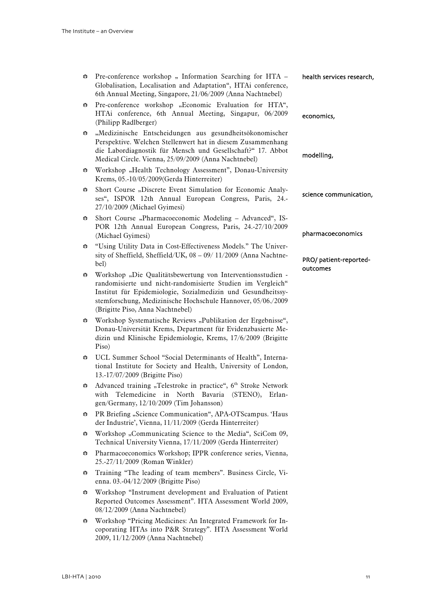| ₩ | Pre-conference workshop " Information Searching for HTA -<br>Globalisation, Localisation and Adaptation", HTAi conference,<br>6th Annual Meeting, Singapore, 21/06/2009 (Anna Nachtnebel)                                                                                                      | health services research,          |
|---|------------------------------------------------------------------------------------------------------------------------------------------------------------------------------------------------------------------------------------------------------------------------------------------------|------------------------------------|
| ₩ | Pre-conference workshop "Economic Evaluation for HTA",<br>HTAi conference, 6th Annual Meeting, Singapur, 06/2009<br>(Philipp Radlberger)                                                                                                                                                       | economics,                         |
| ₩ | "Medizinische Entscheidungen aus gesundheitsökonomischer<br>Perspektive. Welchen Stellenwert hat in diesem Zusammenhang<br>die Labordiagnostik für Mensch und Gesellschaft?" 17. Abbot<br>Medical Circle. Vienna, 25/09/2009 (Anna Nachtnebel)                                                 | modelling,                         |
| ₩ | Workshop "Health Technology Assessment", Donau-University<br>Krems, 05.-10/05/2009(Gerda Hinterreiter)                                                                                                                                                                                         |                                    |
| ₩ | Short Course "Discrete Event Simulation for Economic Analy-<br>ses", ISPOR 12th Annual European Congress, Paris, 24.-<br>27/10/2009 (Michael Gyimesi)                                                                                                                                          | science communication,             |
| ₩ | Short Course "Pharmacoeconomic Modeling - Advanced", IS-<br>POR 12th Annual European Congress, Paris, 24.-27/10/2009<br>(Michael Gyimesi)                                                                                                                                                      | pharmacoeconomics                  |
| ₩ | "Using Utility Data in Cost-Effectiveness Models." The Univer-<br>sity of Sheffield, Sheffield/UK, 08 - 09/ 11/2009 (Anna Nachtne-<br>bel)                                                                                                                                                     | PRO/ patient-reported-<br>outcomes |
| ₩ | Workshop "Die Qualitätsbewertung von Interventionsstudien -<br>randomisierte und nicht-randomisierte Studien im Vergleich"<br>Institut für Epidemiologie, Sozialmedizin und Gesundheitssy-<br>stemforschung, Medizinische Hochschule Hannover, 05/06./2009<br>(Brigitte Piso, Anna Nachtnebel) |                                    |
| ₩ | Workshop Systematische Reviews "Publikation der Ergebnisse",<br>Donau-Universität Krems, Department für Evidenzbasierte Me-<br>dizin und Klinische Epidemiologie, Krems, 17/6/2009 (Brigitte<br>Piso)                                                                                          |                                    |
| ₩ | UCL Summer School "Social Determinants of Health", Interna-<br>tional Institute for Society and Health, University of London,<br>13.-17/07/2009 (Brigitte Piso)                                                                                                                                |                                    |
| ₩ | Advanced training "Telestroke in practice", 6 <sup>th</sup> Stroke Network<br>with Telemedicine in North Bavaria (STENO), Erlan-<br>gen/Germany, 12/10/2009 (Tim Johansson)                                                                                                                    |                                    |
| ₩ | PR Briefing "Science Communication", APA-OTScampus. 'Haus<br>der Industrie', Vienna, 11/11/2009 (Gerda Hinterreiter)                                                                                                                                                                           |                                    |
| ₩ | Workshop "Communicating Science to the Media", SciCom 09,<br>Technical University Vienna, 17/11/2009 (Gerda Hinterreiter)                                                                                                                                                                      |                                    |
| ₩ | Pharmacoeconomics Workshop; IPPR conference series, Vienna,<br>25.-27/11/2009 (Roman Winkler)                                                                                                                                                                                                  |                                    |
| ₩ | Training "The leading of team members". Business Circle, Vi-<br>enna. 03.-04/12/2009 (Brigitte Piso)                                                                                                                                                                                           |                                    |
| ₩ | Workshop "Instrument development and Evaluation of Patient<br>Reported Outcomes Assessment". HTA Assessment World 2009,<br>08/12/2009 (Anna Nachtnebel)                                                                                                                                        |                                    |

b Workshop "Pricing Medicines: An Integrated Framework for Incoporating HTAs into P&R Strategy". HTA Assessment World 2009, 11/12/2009 (Anna Nachtnebel)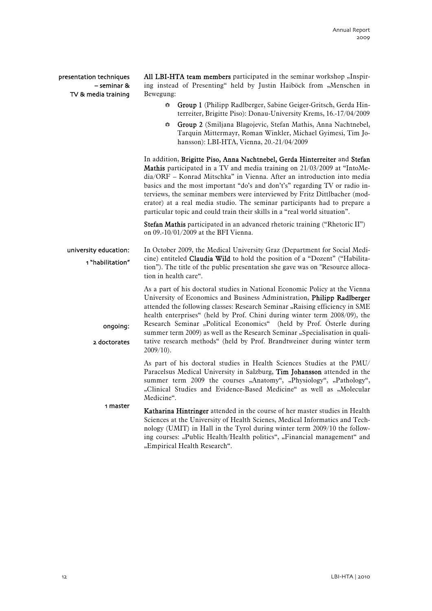presentation techniques – seminar & TV & media training

ongoing:

2 doctorates

All LBI-HTA team members participated in the seminar workshop "Inspiring instead of Presenting" held by Justin Haiböck from "Menschen in Bewegung:

- Group 1 (Philipp Radlberger, Sabine Geiger-Gritsch, Gerda Hinterreiter, Brigitte Piso): Donau-University Krems, 16.-17/04/2009
- Group 2 (Smiljana Blagojevic, Stefan Mathis, Anna Nachtnebel, Tarquin Mittermayr, Roman Winkler, Michael Gyimesi, Tim Johansson): LBI-HTA, Vienna, 20.-21/04/2009

In addition, Brigitte Piso, Anna Nachtnebel, Gerda Hinterreiter and Stefan Mathis participated in a TV and media training on 21/03/2009 at "IntoMedia/ORF – Konrad Mitschka" in Vienna. After an introduction into media basics and the most important "do's and don't's" regarding TV or radio interviews, the seminar members were interviewed by Fritz Dittlbacher (moderator) at a real media studio. The seminar participants had to prepare a particular topic and could train their skills in a "real world situation".

Stefan Mathis participated in an advanced rhetoric training ("Rhetoric II") on 09.-10/01/2009 at the BFI Vienna.

In October 2009, the Medical University Graz (Department for Social Medicine) entiteled Claudia Wild to hold the position of a "Dozent" ("Habilitation"). The title of the public presentation she gave was on "Resource allocation in health care". university education: 1 "habilitation"

> As a part of his doctoral studies in National Economic Policy at the Vienna University of Economics and Business Administration, Philipp Radlberger attended the following classes: Research Seminar "Raising efficiency in SME health enterprises" (held by Prof. Chini during winter term 2008/09), the Research Seminar "Political Economics" (held by Prof. Österle during summer term 2009) as well as the Research Seminar "Specialisation in qualitative research methods" (held by Prof. Brandtweiner during winter term 2009/10).

As part of his doctoral studies in Health Sciences Studies at the PMU/ Paracelsus Medical University in Salzburg, Tim Johansson attended in the summer term 2009 the courses "Anatomy", "Physiology", "Pathology", "Clinical Studies and Evidence-Based Medicine" as well as "Molecular Medicine".

Katharina Hintringer attended in the course of her master studies in Health Sciences at the University of Health Scienes, Medical Informatics and Technology (UMIT) in Hall in the Tyrol during winter term 2009/10 the following courses: "Public Health/Health politics", "Financial management" and "Empirical Health Research". 1 master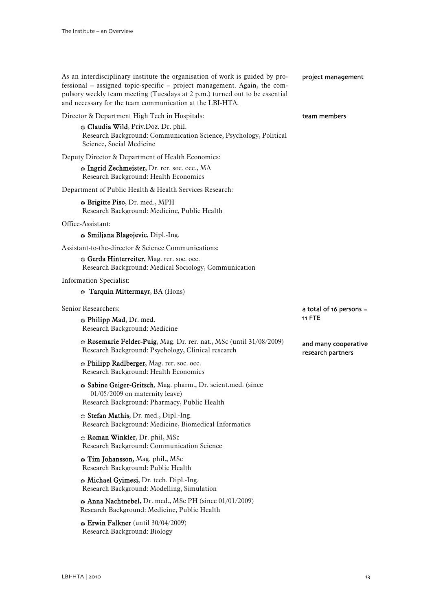| As an interdisciplinary institute the organisation of work is guided by pro-<br>fessional – assigned topic-specific – project management. Again, the com-<br>pulsory weekly team meeting (Tuesdays at 2 p.m.) turned out to be essential<br>and necessary for the team communication at the LBI-HTA. | project management                |
|------------------------------------------------------------------------------------------------------------------------------------------------------------------------------------------------------------------------------------------------------------------------------------------------------|-----------------------------------|
| Director & Department High Tech in Hospitals:                                                                                                                                                                                                                                                        | team members                      |
| & Claudia Wild, Priv.Doz. Dr. phil.<br>Research Background: Communication Science, Psychology, Political<br>Science, Social Medicine                                                                                                                                                                 |                                   |
| Deputy Director & Department of Health Economics:                                                                                                                                                                                                                                                    |                                   |
| <b>B</b> Ingrid Zechmeister, Dr. rer. soc. oec., MA<br>Research Background: Health Economics                                                                                                                                                                                                         |                                   |
| Department of Public Health & Health Services Research:                                                                                                                                                                                                                                              |                                   |
| <b>Brigitte Piso, Dr. med., MPH</b><br>Research Background: Medicine, Public Health                                                                                                                                                                                                                  |                                   |
| Office-Assistant:                                                                                                                                                                                                                                                                                    |                                   |
| Smiljana Blagojevic, Dipl.-Ing.                                                                                                                                                                                                                                                                      |                                   |
| Assistant-to-the-director & Science Communications:                                                                                                                                                                                                                                                  |                                   |
| Gerda Hinterreiter, Mag. rer. soc. oec.<br>Research Background: Medical Sociology, Communication                                                                                                                                                                                                     |                                   |
| <b>Information Specialist:</b>                                                                                                                                                                                                                                                                       |                                   |
| <b>Tarquin Mittermayr</b> , BA (Hons)                                                                                                                                                                                                                                                                |                                   |
|                                                                                                                                                                                                                                                                                                      |                                   |
| Senior Researchers:<br><b>Philipp Mad</b> , Dr. med.<br>Research Background: Medicine                                                                                                                                                                                                                | a total of 16 persons =<br>11 FTE |
| <b>Rosemarie Felder-Puig</b> , Mag. Dr. rer. nat., MSc (until 31/08/2009)<br>Research Background: Psychology, Clinical research                                                                                                                                                                      | and many cooperative              |
| A Philipp Radlberger, Mag. rer. soc. oec.<br>Research Background: Health Economics                                                                                                                                                                                                                   | research partners                 |
| Sabine Geiger-Gritsch, Mag. pharm., Dr. scient.med. (since<br>$01/05/2009$ on maternity leave)<br>Research Background: Pharmacy, Public Health                                                                                                                                                       |                                   |
| Stefan Mathis, Dr. med., Dipl.-Ing.<br>Research Background: Medicine, Biomedical Informatics                                                                                                                                                                                                         |                                   |
| <b>Roman Winkler</b> , Dr. phil, MSc<br>Research Background: Communication Science                                                                                                                                                                                                                   |                                   |
| <b>Tim Johansson</b> , Mag. phil., MSc<br>Research Background: Public Health                                                                                                                                                                                                                         |                                   |
| Michael Gyimesi, Dr. tech. Dipl.-Ing.<br>Research Background: Modelling, Simulation                                                                                                                                                                                                                  |                                   |
| $\bullet$ Anna Nachtnebel, Dr. med., MSc PH (since 01/01/2009)<br>Research Background: Medicine, Public Health                                                                                                                                                                                       |                                   |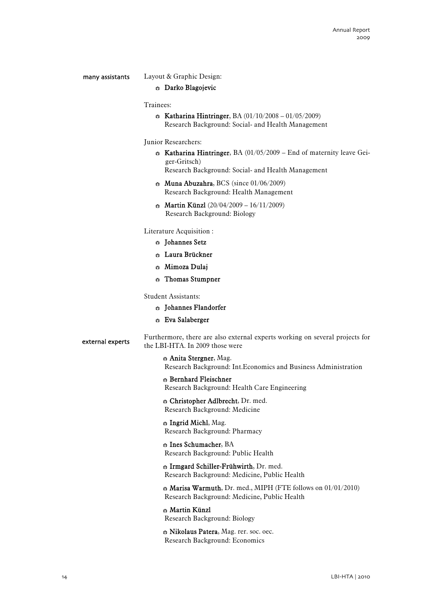### many assistants

# Layout & Graphic Design:

# **Blagojevic** Darko Blagojevic

# Trainees:

- $\hat{B}$  Katharina Hintringer, BA (01/10/2008 01/05/2009) Research Background: Social- and Health Management
- Junior Researchers:
	- $\bullet$  Katharina Hintringer, BA (01/05/2009 End of maternity leave Geiger-Gritsch)

Research Background: Social- and Health Management

- $\approx$  Muna Abuzahra, BCS (since 01/06/2009) Research Background: Health Management
- $\bullet$  Martin Künzl (20/04/2009 16/11/2009) Research Background: Biology

Literature Acquisition :

- **B** Johannes Setz
- **B** Laura Brückner
- $\approx$  Mimoza Dulai
- $\Leftrightarrow$  Thomas Stumpner

Student Assistants:

- **B** Johannes Flandorfer
- b Eva Salaberger

Furthermore, there are also external experts working on several projects for the LBI-HTA. In 2009 those were external experts

> $\bullet$  Anita Stergner, Mag. Research Background: Int.Economics and Business Administration

# **Bernhard Fleischner**

Research Background: Health Care Engineering

 $\oplus$  Christopher Adlbrecht, Dr. med. Research Background: Medicine

**B** Ingrid Michl, Mag. Research Background: Pharmacy

 $\oplus$  Ines Schumacher, BA Research Background: Public Health

**B** Irmgard Schiller-Frühwirth, Dr. med. Research Background: Medicine, Public Health

 $\bullet$  Marisa Warmuth, Dr. med., MIPH (FTE follows on 01/01/2010) Research Background: Medicine, Public Health

# b Martin Künzl Research Background: Biology

Nikolaus Patera, Mag. rer. soc. oec. Research Background: Economics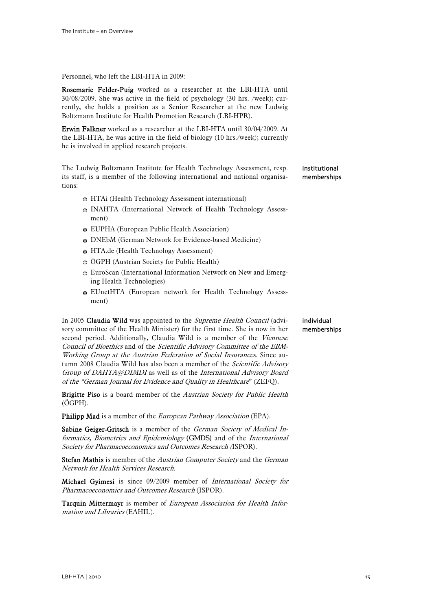Personnel, who left the LBI-HTA in 2009:

Rosemarie Felder-Puig worked as a researcher at the LBI-HTA until 30/08/2009. She was active in the field of psychology (30 hrs. /week); currently, she holds a position as a Senior Researcher at the new Ludwig Boltzmann Institute for Health Promotion Research (LBI-HPR).

Erwin Falkner worked as a researcher at the LBI-HTA until 30/04/2009. At the LBI-HTA, he was active in the field of biology (10 hrs./week); currently he is involved in applied research projects.

The Ludwig Boltzmann Institute for Health Technology Assessment, resp. its staff, is a member of the following international and national organisations: institutional memberships

- $\bullet$  HTAi (Health Technology Assessment international)
- **B** INAHTA (International Network of Health Technology Assessment)
- **EUPHA** (European Public Health Association)
- $\bullet$  DNEbM (German Network for Evidence-based Medicine)
- $\div$  HTA.de (Health Technology Assessment)
- $\ddot{\bullet}$  ÖGPH (Austrian Society for Public Health)
- $\bullet$  EuroScan (International Information Network on New and Emerging Health Technologies)
- $\bullet$  EUnetHTA (European network for Health Technology Assessment)

In 2005 Claudia Wild was appointed to the Supreme Health Council (advisory committee of the Health Minister) for the first time. She is now in her second period. Additionally, Claudia Wild is a member of the Viennese Council of Bioethics and of the Scientific Advisory Committee of the EBM-Working Group at the Austrian Federation of Social Insurances. Since autumn 2008 Claudia Wild has also been a member of the *Scientific Advisory* Group of DAHTA@DIMDI as well as of the International Advisory Board of the "German Journal for Evidence and Quality in Healthcare" (ZEFQ).

Brigitte Piso is a board member of the Austrian Society for Public Health (ÖGPH).

Philipp Mad is a member of the *European Pathway Association* (EPA).

Sabine Geiger-Gritsch is a member of the German Society of Medical Informatics, Biometrics and Epidemiology (GMDS) and of the International Society for Pharmacoeconomics and Outcomes Research (ISPOR).

Stefan Mathis is member of the Austrian Computer Society and the German Network for Health Services Research.

Michael Gyimesi is since 09/2009 member of International Society for Pharmacoeconomics and Outcomes Research (ISPOR).

Tarquin Mittermayr is member of European Association for Health Information and Libraries (EAHIL).

### individual memberships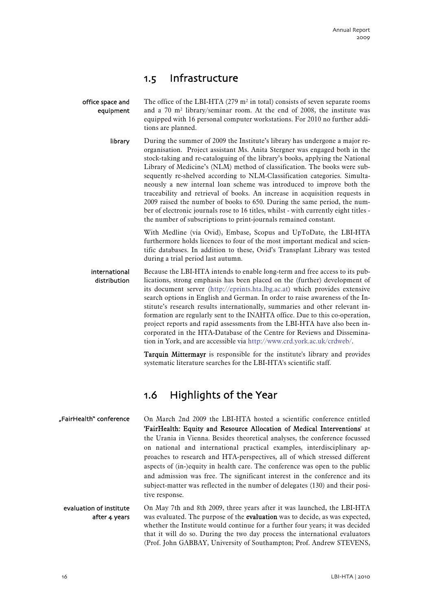# 1.5 Infrastructure

<span id="page-17-0"></span>The office of the LBI-HTA  $(279 \text{ m}^2 \text{ in total})$  consists of seven separate rooms and a 70 m² library/seminar room. At the end of 2008, the institute was equipped with 16 personal computer workstations. For 2010 no further additions are planned. office space and equipment

> During the summer of 2009 the Institute's library has undergone a major reorganisation. Project assistant Ms. Anita Stergner was engaged both in the stock-taking and re-cataloguing of the library's books, applying the National Library of Medicine's (NLM) method of classification. The books were subsequently re-shelved according to NLM-Classification categories. Simultaneously a new internal loan scheme was introduced to improve both the traceability and retrieval of books. An increase in acquisition requests in 2009 raised the number of books to 650. During the same period, the number of electronic journals rose to 16 titles, whilst - with currently eight titles the number of subscriptions to print-journals remained constant. library

> > With Medline (via Ovid), Embase, Scopus and UpToDate, the LBI-HTA furthermore holds licences to four of the most important medical and scientific databases. In addition to these, Ovid's Transplant Library was tested during a trial period last autumn.

Because the LBI-HTA intends to enable long-term and free access to its publications, strong emphasis has been placed on the (further) development of its document server (http://eprints.hta.lbg.ac.at) which provides extensive search options in English and German. In order to raise awareness of the Institute's research results internationally, summaries and other relevant information are regularly sent to the INAHTA office. Due to this co-operation, project reports and rapid assessments from the LBI-HTA have also been incorporated in the HTA-Database of the Centre for Reviews and Dissemination in York, and are accessible via [http://www.crd.york.ac.uk/crdweb/.](http://www.crd.york.ac.uk/crdweb/) international distribution

> Tarquin Mittermayr is responsible for the institute's library and provides systematic literature searches for the LBI-HTA's scientific staff.

# 1.6 Highlights of the Year

- On March 2nd 2009 the LBI-HTA hosted a scientific conference entitled 'FairHealth: Equity and Resource Allocation of Medical Interventions' at the Urania in Vienna. Besides theoretical analyses, the conference focussed on national and international practical examples, interdisciplinary approaches to research and HTA-perspectives, all of which stressed different aspects of (in-)equity in health care. The conference was open to the public and admission was free. The significant interest in the conference and its subject-matter was reflected in the number of delegates (130) and their positive response. "FairHealth" conference
	- On May 7th and 8th 2009, three years after it was launched, the LBI-HTA was evaluated. The purpose of the **evaluation** was to decide, as was expected, whether the Institute would continue for a further four years; it was decided that it will do so. During the two day process the international evaluators (Prof. John GABBAY, University of Southampton; Prof. Andrew STEVENS, evaluation of institute after 4 years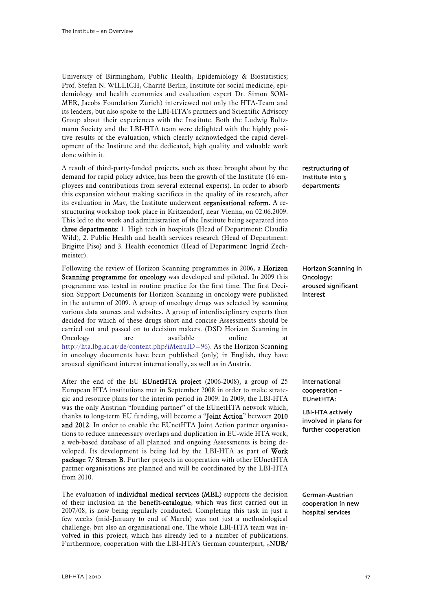University of Birmingham, Public Health, Epidemiology & Biostatistics; Prof. Stefan N. WILLICH, Charité Berlin, Institute for social medicine, epidemiology and health economics and evaluation expert Dr. Simon SOM-MER, Jacobs Foundation Zürich) interviewed not only the HTA-Team and its leaders, but also spoke to the LBI-HTA's partners and Scientific Advisory Group about their experiences with the Institute. Both the Ludwig Boltzmann Society and the LBI-HTA team were delighted with the highly positive results of the evaluation, which clearly acknowledged the rapid development of the Institute and the dedicated, high quality and valuable work done within it.

A result of third-party-funded projects, such as those brought about by the demand for rapid policy advice, has been the growth of the Institute (16 employees and contributions from several external experts). In order to absorb this expansion without making sacrifices in the quality of its research, after its evaluation in May, the Institute underwent organisational reform. A restructuring workshop took place in Kritzendorf, near Vienna, on 02.06.2009. This led to the work and administration of the Institute being separated into three departments: 1. High tech in hospitals (Head of Department: Claudia Wild), 2. Public Health and health services research (Head of Department: Brigitte Piso) and 3. Health economics (Head of Department: Ingrid Zechmeister).

Following the review of Horizon Scanning programmes in 2006, a Horizon Scanning programme for oncology was developed and piloted. In 2009 this programme was tested in routine practice for the first time. The first Decision Support Documents for Horizon Scanning in oncology were published in the autumn of 2009. A group of oncology drugs was selected by scanning various data sources and websites. A group of interdisciplinary experts then decided for which of these drugs short and concise Assessments should be carried out and passed on to decision makers. (DSD Horizon Scanning in Oncology are available online <http://hta.lbg.ac.at/de/content.php?iMenuID=96>). As the Horizon Scanning in oncology documents have been published (only) in English, they have aroused significant interest internationally, as well as in Austria.

After the end of the EU EUnetHTA project (2006-2008), a group of 25 European HTA institutions met in September 2008 in order to make strategic and resource plans for the interim period in 2009. In 2009, the LBI-HTA was the only Austrian "founding partner" of the EUnetHTA network which, thanks to long-term EU funding, will become a "Joint Action" between 2010 and 2012. In order to enable the EUnetHTA Joint Action partner organisations to reduce unnecessary overlaps and duplication in EU-wide HTA work, a web-based database of all planned and ongoing Assessments is being developed. Its development is being led by the LBI-HTA as part of Work package 7/ Stream B. Further projects in cooperation with other EUnetHTA partner organisations are planned and will be coordinated by the LBI-HTA from 2010.

The evaluation of individual medical services (MEL) supports the decision of their inclusion in the benefit-catalogue, which was first carried out in 2007/08, is now being regularly conducted. Completing this task in just a few weeks (mid-January to end of March) was not just a methodological challenge, but also an organisational one. The whole LBI-HTA team was involved in this project, which has already led to a number of publications. Furthermore, cooperation with the LBI-HTA's German counterpart, "NUB/

# restructuring of Institute into 3 departments

# Horizon Scanning in Oncology: aroused significant interest

international cooperation - EUnetHTA:

LBI-HTA actively involved in plans for further cooperation

German-Austrian cooperation in new hospital services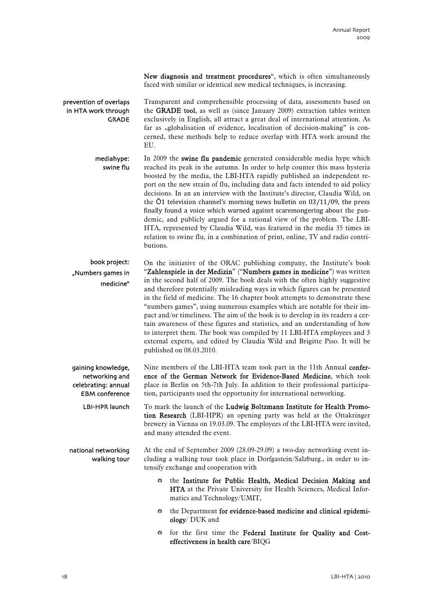New diagnosis and treatment procedures", which is often simultaneously faced with similar or identical new medical techniques, is increasing.

Transparent and comprehensible processing of data, assessments based on the GRADE tool, as well as (since January 2009) extraction tables written exclusively in English, all attract a great deal of international attention. As far as "globalisation of evidence, localisation of decision-making" is concerned, these methods help to reduce overlap with HTA work around the EU. prevention of overlaps in HTA work through GRADE

In 2009 the swine flu pandemic generated considerable media hype which reached its peak in the autumn. In order to help counter this mass hysteria boosted by the media, the LBI-HTA rapidly published an independent report on the new strain of flu, including data and facts intended to aid policy decisions. In an an interview with the Institute's director, Claudia Wild, on the Ӧ1 television channel's morning news bulletin on 03/11/09, the press finally found a voice which warned against scaremongering about the pandemic, and publicly argued for a rational view of the problem. The LBI-HTA, represented by Claudia Wild, was featured in the media 35 times in relation to swine flu, in a combination of print, online, TV and radio contributions. mediahype: swine flu

On the initiative of the ORAC publishing company, the Institute's book "Zahlenspiele in der Medizin" ("Numbers games in medicine") was written in the second half of 2009. The book deals with the often highly suggestive and therefore potentially misleading ways in which figures can be presented in the field of medicine. The 16 chapter book attempts to demonstrate these "numbers games", using numerous examples which are notable for their impact and/or timeliness. The aim of the book is to develop in its readers a certain awareness of these figures and statistics, and an understanding of how to interpret them. The book was compiled by 11 LBI-HTA employees and 3 external experts, and edited by Claudia Wild and Brigitte Piso. It will be published on 08.03.2010. book project: "Numbers games in medicine"

Nine members of the LBI-HTA team took part in the 11th Annual conference of the German Network for Evidence-Based Medicine, which took place in Berlin on 5th-7th July. In addition to their professional participation, participants used the opportunity for international networking. gaining knowledge, networking and celebrating: annual EBM conference

To mark the launch of the Ludwig Boltzmann Institute for Health Promotion Research (LBI-HPR) an opening party was held at the Ottakringer brewery in Vienna on 19.03.09. The employees of the LBI-HTA were invited, and many attended the event. LBI-HPR launch

At the end of September 2009 (28.09-29.09) a two-day networking event including a walking tour took place in Dorfgastein/Salzburg., in order to intensify exchange and cooperation with national networking walking tour

- $\hat{B}$  the Institute for Public Health, Medical Decision Making and HTA at the Private University for Health Sciences, Medical Informatics and Technology/UMIT,
- $\Leftrightarrow$  the Department for evidence-based medicine and clinical epidemiology/ DUK and
- b for the first time the Federal Institute for Quality and Costeffectiveness in health care/BIQG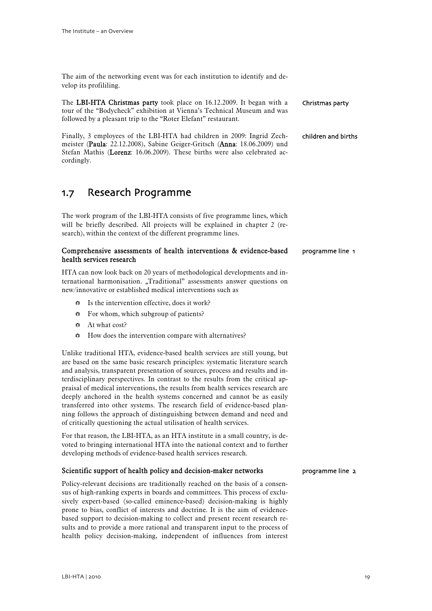cordingly.

<span id="page-20-0"></span>The aim of the networking event was for each institution to identify and develop its profililing.

| The LBI-HTA Christmas party took place on 16.12.2009. It began with a<br>tour of the "Bodycheck" exhibition at Vienna's Technical Museum and was<br>followed by a pleasant trip to the "Roter Elefant" restaurant. | Christmas party     |
|--------------------------------------------------------------------------------------------------------------------------------------------------------------------------------------------------------------------|---------------------|
| Finally, 3 employees of the LBI-HTA had children in 2009: Ingrid Zech-<br>meister (Paula: 22.12.2008), Sabine Geiger-Gritsch (Anna: 18.06.2009) und                                                                | children and births |

# 1.7 Research Programme

The work program of the LBI-HTA consists of five programme lines, which will be briefly described. All projects will be explained in chapter 2 (research), within the context of the different programme lines.

Stefan Mathis (Lorenz: 16.06.2009). These births were also celebrated ac-

#### Comprehensive assessments of health interventions & evidence-based health services research programme line 1

HTA can now look back on 20 years of methodological developments and international harmonisation. "Traditional" assessments answer questions on new/innovative or established medical interventions such as

- $\bullet$  Is the intervention effective, does it work?
- **B** For whom, which subgroup of patients?
- $\mathbf{A}$  At what cost?
- $\div$  How does the intervention compare with alternatives?

Unlike traditional HTA, evidence-based health services are still young, but are based on the same basic research principles: systematic literature search and analysis, transparent presentation of sources, process and results and interdisciplinary perspectives. In contrast to the results from the critical appraisal of medical interventions, the results from health services research are deeply anchored in the health systems concerned and cannot be as easily transferred into other systems. The research field of evidence-based planning follows the approach of distinguishing between demand and need and of critically questioning the actual utilisation of health services.

For that reason, the LBI-HTA, as an HTA institute in a small country, is devoted to bringing international HTA into the national context and to further developing methods of evidence-based health services research.

# Scientific support of health policy and decision-maker networks

Policy-relevant decisions are traditionally reached on the basis of a consensus of high-ranking experts in boards and committees. This process of exclusively expert-based (so-called eminence-based) decision-making is highly prone to bias, conflict of interests and doctrine. It is the aim of evidencebased support to decision-making to collect and present recent research results and to provide a more rational and transparent input to the process of health policy decision-making, independent of influences from interest

### programme line 2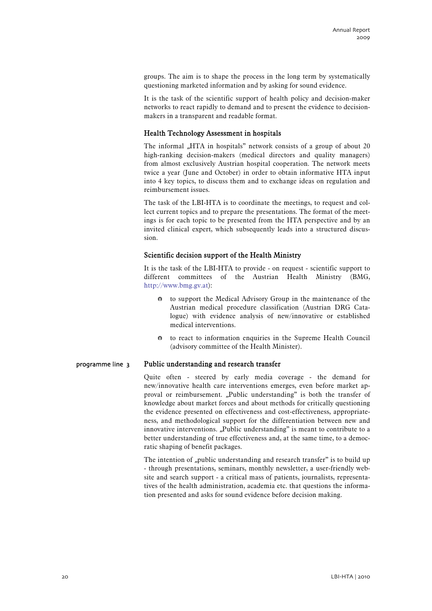groups. The aim is to shape the process in the long term by systematically questioning marketed information and by asking for sound evidence.

It is the task of the scientific support of health policy and decision-maker networks to react rapidly to demand and to present the evidence to decisionmakers in a transparent and readable format.

# Health Technology Assessment in hospitals

The informal "HTA in hospitals" network consists of a group of about 20 high-ranking decision-makers (medical directors and quality managers) from almost exclusively Austrian hospital cooperation. The network meets twice a year (June and October) in order to obtain informative HTA input into 4 key topics, to discuss them and to exchange ideas on regulation and reimbursement issues.

The task of the LBI-HTA is to coordinate the meetings, to request and collect current topics and to prepare the presentations. The format of the meetings is for each topic to be presented from the HTA perspective and by an invited clinical expert, which subsequently leads into a structured discussion.

# Scientific decision support of the Health Ministry

It is the task of the LBI-HTA to provide - on request - scientific support to different committees of the Austrian Health Ministry (BMG, [http://www.bmg.gv.at\)](http://www.bmg.gv.at/):

- $\bullet$  to support the Medical Advisory Group in the maintenance of the Austrian medical procedure classification (Austrian DRG Catalogue) with evidence analysis of new/innovative or established medical interventions.
- $\bullet$  to react to information enquiries in the Supreme Health Council (advisory committee of the Health Minister).

#### Public understanding and research transfer programme line 3

Quite often - steered by early media coverage - the demand for new/innovative health care interventions emerges, even before market approval or reimbursement. "Public understanding" is both the transfer of knowledge about market forces and about methods for critically questioning the evidence presented on effectiveness and cost-effectiveness, appropriateness, and methodological support for the differentiation between new and innovative interventions. "Public understanding" is meant to contribute to a better understanding of true effectiveness and, at the same time, to a democratic shaping of benefit packages.

The intention of "public understanding and research transfer" is to build up - through presentations, seminars, monthly newsletter, a user-friendly website and search support - a critical mass of patients, journalists, representatives of the health administration, academia etc. that questions the information presented and asks for sound evidence before decision making.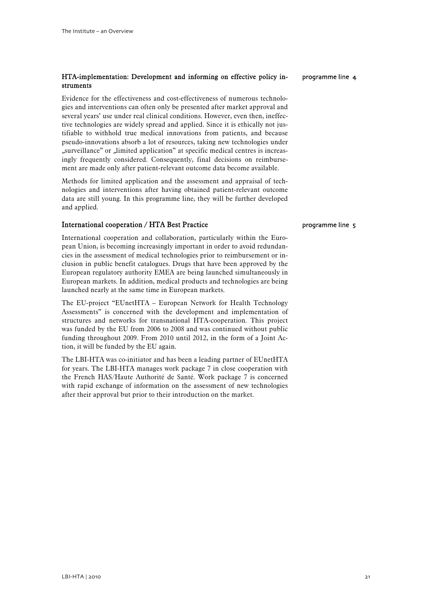# HTA-implementation: Development and informing on effective policy instruments

Evidence for the effectiveness and cost-effectiveness of numerous technologies and interventions can often only be presented after market approval and several years' use under real clinical conditions. However, even then, ineffective technologies are widely spread and applied. Since it is ethically not justifiable to withhold true medical innovations from patients, and because pseudo-innovations absorb a lot of resources, taking new technologies under "surveillance" or "limited application" at specific medical centres is increasingly frequently considered. Consequently, final decisions on reimbursement are made only after patient-relevant outcome data become available.

Methods for limited application and the assessment and appraisal of technologies and interventions after having obtained patient-relevant outcome data are still young. In this programme line, they will be further developed and applied.

# International cooperation / HTA Best Practice

International cooperation and collaboration, particularly within the European Union, is becoming increasingly important in order to avoid redundancies in the assessment of medical technologies prior to reimbursement or inclusion in public benefit catalogues. Drugs that have been approved by the European regulatory authority EMEA are being launched simultaneously in European markets. In addition, medical products and technologies are being launched nearly at the same time in European markets.

The EU-project "EUnetHTA – European Network for Health Technology Assessments" is concerned with the development and implementation of structures and networks for transnational HTA-cooperation. This project was funded by the EU from 2006 to 2008 and was continued without public funding throughout 2009. From 2010 until 2012, in the form of a Joint Action, it will be funded by the EU again.

The LBI-HTA was co-initiator and has been a leading partner of EUnetHTA for years. The LBI-HTA manages work package 7 in close cooperation with the French HAS/Haute Authorité de Santé. Work package 7 is concerned with rapid exchange of information on the assessment of new technologies after their approval but prior to their introduction on the market.

programme line 4

# programme line 5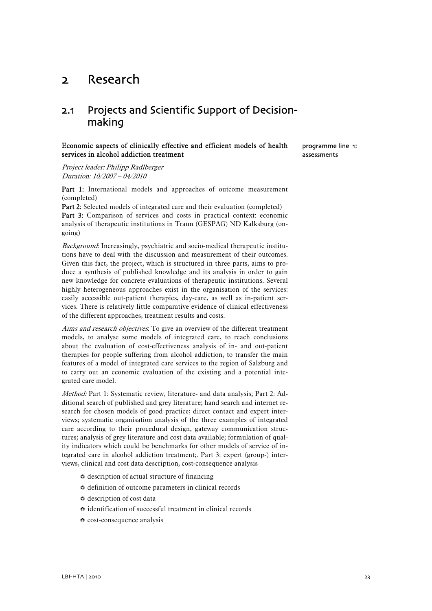# <span id="page-24-0"></span>2 Research

# 2.1 Projects and Scientific Support of Decisionmaking

# Economic aspects of clinically effective and efficient models of health services in alcohol addiction treatment

programme line 1: assessments

Project leader: Philipp Radlberger Duration: 10/2007 – 04/2010

Part 1: International models and approaches of outcome measurement (completed)

Part 2: Selected models of integrated care and their evaluation (completed) Part 3: Comparison of services and costs in practical context: economic analysis of therapeutic institutions in Traun (GESPAG) ND Kalksburg (ongoing)

Background: Increasingly, psychiatric and socio-medical therapeutic institutions have to deal with the discussion and measurement of their outcomes. Given this fact, the project, which is structured in three parts, aims to produce a synthesis of published knowledge and its analysis in order to gain new knowledge for concrete evaluations of therapeutic institutions. Several highly heterogeneous approaches exist in the organisation of the services: easily accessible out-patient therapies, day-care, as well as in-patient services. There is relatively little comparative evidence of clinical effectiveness of the different approaches, treatment results and costs.

Aims and research objectives. To give an overview of the different treatment models, to analyse some models of integrated care, to reach conclusions about the evaluation of cost-effectiveness analysis of in- and out-patient therapies for people suffering from alcohol addiction, to transfer the main features of a model of integrated care services to the region of Salzburg and to carry out an economic evaluation of the existing and a potential integrated care model.

Method: Part 1: Systematic review, literature- and data analysis; Part 2: Additional search of published and grey literature; hand search and internet research for chosen models of good practice; direct contact and expert interviews; systematic organisation analysis of the three examples of integrated care according to their procedural design, gateway communication structures; analysis of grey literature and cost data available; formulation of quality indicators which could be benchmarks for other models of service of integrated care in alcohol addiction treatment;. Part 3: expert (group-) interviews, clinical and cost data description, cost-consequence analysis

- $\Leftrightarrow$  description of actual structure of financing
- $\Leftrightarrow$  definition of outcome parameters in clinical records
- $\bullet$  description of cost data
- $\Leftrightarrow$  identification of successful treatment in clinical records
- <sup>●</sup> cost-consequence analysis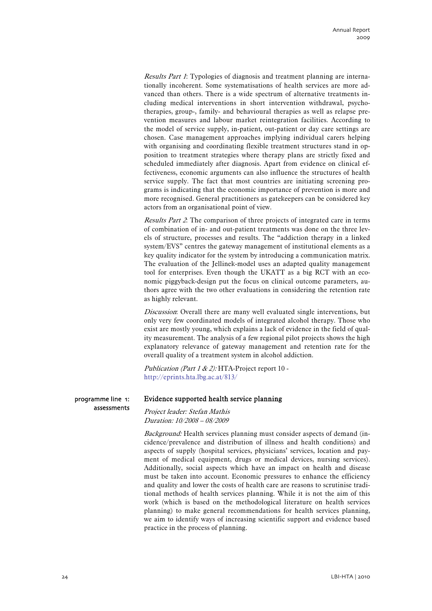Results Part 1: Typologies of diagnosis and treatment planning are internationally incoherent. Some systematisations of health services are more advanced than others. There is a wide spectrum of alternative treatments including medical interventions in short intervention withdrawal, psychotherapies, group-, family- and behavioural therapies as well as relapse prevention measures and labour market reintegration facilities. According to the model of service supply, in-patient, out-patient or day care settings are chosen. Case management approaches implying individual carers helping with organising and coordinating flexible treatment structures stand in opposition to treatment strategies where therapy plans are strictly fixed and scheduled immediately after diagnosis. Apart from evidence on clinical effectiveness, economic arguments can also influence the structures of health service supply. The fact that most countries are initiating screening programs is indicating that the economic importance of prevention is more and more recognised. General practitioners as gatekeepers can be considered key actors from an organisational point of view.

Results Part 2. The comparison of three projects of integrated care in terms of combination of in- and out-patient treatments was done on the three levels of structure, processes and results. The "addiction therapy in a linked system/EVS" centres the gateway management of institutional elements as a key quality indicator for the system by introducing a communication matrix. The evaluation of the Jellinek-model uses an adapted quality management tool for enterprises. Even though the UKATT as a big RCT with an economic piggyback-design put the focus on clinical outcome parameters, authors agree with the two other evaluations in considering the retention rate as highly relevant.

Discussion: Overall there are many well evaluated single interventions, but only very few coordinated models of integrated alcohol therapy. Those who exist are mostly young, which explains a lack of evidence in the field of quality measurement. The analysis of a few regional pilot projects shows the high explanatory relevance of gateway management and retention rate for the overall quality of a treatment system in alcohol addiction.

Publication (Part 1 & 2): HTA-Project report 10 <http://eprints.hta.lbg.ac.at/813/>

programme line 1: assessments

# Evidence supported health service planning

Project leader: Stefan Mathis Duration: 10/2008 – 08/2009

Background: Health services planning must consider aspects of demand (incidence/prevalence and distribution of illness and health conditions) and aspects of supply (hospital services, physicians' services, location and payment of medical equipment, drugs or medical devices, nursing services). Additionally, social aspects which have an impact on health and disease must be taken into account. Economic pressures to enhance the efficiency and quality and lower the costs of health care are reasons to scrutinise traditional methods of health services planning. While it is not the aim of this work (which is based on the methodological literature on health services planning) to make general recommendations for health services planning, we aim to identify ways of increasing scientific support and evidence based practice in the process of planning.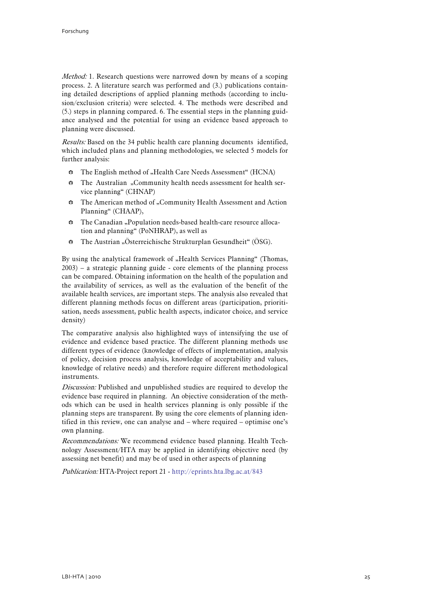Method: 1. Research questions were narrowed down by means of a scoping process. 2. A literature search was performed and (3.) publications containing detailed descriptions of applied planning methods (according to inclusion/exclusion criteria) were selected. 4. The methods were described and (5.) steps in planning compared. 6. The essential steps in the planning guidance analysed and the potential for using an evidence based approach to planning were discussed.

Results: Based on the 34 public health care planning documents identified, which included plans and planning methodologies, we selected 5 models for further analysis:

- $\bullet$  The English method of "Health Care Needs Assessment" (HCNA)
- $\div$  The Australian "Community health needs assessment for health service planning" (CHNAP)
- $\div$  The American method of "Community Health Assessment and Action Planning" (CHAAP),
- $\bullet$  The Canadian "Population needs-based health-care resource allocation and planning" (PoNHRAP), as well as
- $\div$  The Austrian "Österreichische Strukturplan Gesundheit" (ÖSG).

By using the analytical framework of "Health Services Planning" (Thomas, 2003) – a strategic planning guide - core elements of the planning process can be compared. Obtaining information on the health of the population and the availability of services, as well as the evaluation of the benefit of the available health services, are important steps. The analysis also revealed that different planning methods focus on different areas (participation, prioritisation, needs assessment, public health aspects, indicator choice, and service density)

The comparative analysis also highlighted ways of intensifying the use of evidence and evidence based practice. The different planning methods use different types of evidence (knowledge of effects of implementation, analysis of policy, decision process analysis, knowledge of acceptability and values, knowledge of relative needs) and therefore require different methodological instruments.

Discussion: Published and unpublished studies are required to develop the evidence base required in planning. An objective consideration of the methods which can be used in health services planning is only possible if the planning steps are transparent. By using the core elements of planning identified in this review, one can analyse and – where required – optimise one's own planning.

Recommendations: We recommend evidence based planning. Health Technology Assessment/HTA may be applied in identifying objective need (by assessing net benefit) and may be of used in other aspects of planning

Publication: HTA-Project report 21 - <http://eprints.hta.lbg.ac.at/843>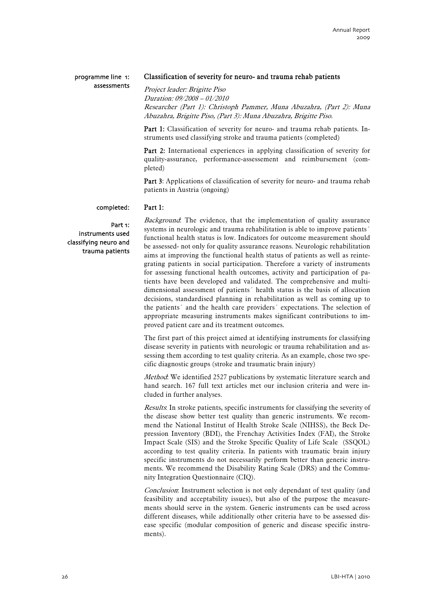### programme line 1: assessments

# Classification of severity for neuro- and trauma rehab patients

Project leader: Brigitte Piso Duration: 09/2008 – 01/2010 Researcher (Part 1): Christoph Pammer, Muna Abuzahra, (Part 2): Muna Abuzahra, Brigitte Piso, (Part 3): Muna Abuzahra, Brigitte Piso.

Part 1: Classification of severity for neuro- and trauma rehab patients. Instruments used classifying stroke and trauma patients (completed)

Part 2: International experiences in applying classification of severity for quality-assurance, performance-assessement and reimbursement (completed)

Part 3: Applications of classification of severity for neuro- and trauma rehab patients in Austria (ongoing)

#### Part 1: completed:

Part 1: instruments used classifying neuro and trauma patients Background: The evidence, that the implementation of quality assurance systems in neurologic and trauma rehabilitation is able to improve patients' functional health status is low. Indicators for outcome measurement should be assessed- not only for quality assurance reasons. Neurologic rehabilitation aims at improving the functional health status of patients as well as reintegrating patients in social participation. Therefore a variety of instruments for assessing functional health outcomes, activity and participation of patients have been developed and validated. The comprehensive and multidimensional assessment of patients´ health status is the basis of allocation decisions, standardised planning in rehabilitation as well as coming up to the patients´ and the health care providers´ expectations. The selection of appropriate measuring instruments makes significant contributions to improved patient care and its treatment outcomes.

The first part of this project aimed at identifying instruments for classifying disease severity in patients with neurologic or trauma rehabilitation and assessing them according to test quality criteria. As an example, chose two specific diagnostic groups (stroke and traumatic brain injury)

Method: We identified 2527 publications by systematic literature search and hand search. 167 full text articles met our inclusion criteria and were included in further analyses.

Results: In stroke patients, specific instruments for classifying the severity of the disease show better test quality than generic instruments. We recommend the National Institut of Health Stroke Scale (NIHSS), the Beck Depression Inventory (BDI), the Frenchay Activities Index (FAI), the Stroke Impact Scale (SIS) and the Stroke Specific Quality of Life Scale (SSOOL) according to test quality criteria. In patients with traumatic brain injury specific instruments do not necessarily perform better than generic instruments. We recommend the Disability Rating Scale (DRS) and the Community Integration Questionnaire (CIQ).

Conclusion: Instrument selection is not only dependant of test quality (and feasibility and acceptability issues), but also of the purpose the measurements should serve in the system. Generic instruments can be used across different diseases, while additionally other criteria have to be assessed disease specific (modular composition of generic and disease specific instruments).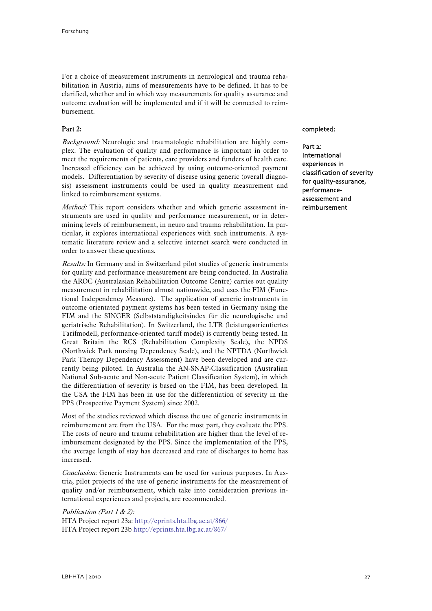For a choice of measurement instruments in neurological and trauma rehabilitation in Austria, aims of measurements have to be defined. It has to be clarified, whether and in which way measurements for quality assurance and outcome evaluation will be implemented and if it will be connected to reimbursement.

### Part 2:

Background: Neurologic and traumatologic rehabilitation are highly complex. The evaluation of quality and performance is important in order to meet the requirements of patients, care providers and funders of health care. Increased efficiency can be achieved by using outcome-oriented payment models. Differentiation by severity of disease using generic (overall diagnosis) assessment instruments could be used in quality measurement and linked to reimbursement systems.

Method: This report considers whether and which generic assessment instruments are used in quality and performance measurement, or in determining levels of reimbursement, in neuro and trauma rehabilitation. In particular, it explores international experiences with such instruments. A systematic literature review and a selective internet search were conducted in order to answer these questions.

Results: In Germany and in Switzerland pilot studies of generic instruments for quality and performance measurement are being conducted. In Australia the AROC (Australasian Rehabilitation Outcome Centre) carries out quality measurement in rehabilitation almost nationwide, and uses the FIM (Functional Independency Measure). The application of generic instruments in outcome orientated payment systems has been tested in Germany using the FIM and the SINGER (Selbstständigkeitsindex für die neurologische und geriatrische Rehabilitation). In Switzerland, the LTR (leistungsorientiertes Tarifmodell, performance-oriented tariff model) is currently being tested. In Great Britain the RCS (Rehabilitation Complexity Scale), the NPDS (Northwick Park nursing Dependency Scale), and the NPTDA (Northwick Park Therapy Dependency Assessment) have been developed and are currently being piloted. In Australia the AN-SNAP-Classification (Australian National Sub-acute and Non-acute Patient Classification System), in which the differentiation of severity is based on the FIM, has been developed. In the USA the FIM has been in use for the differentiation of severity in the PPS (Prospective Payment System) since 2002.

Most of the studies reviewed which discuss the use of generic instruments in reimbursement are from the USA. For the most part, they evaluate the PPS. The costs of neuro and trauma rehabilitation are higher than the level of reimbursement designated by the PPS. Since the implementation of the PPS, the average length of stay has decreased and rate of discharges to home has increased.

Conclusion: Generic Instruments can be used for various purposes. In Austria, pilot projects of the use of generic instruments for the measurement of quality and/or reimbursement, which take into consideration previous international experiences and projects, are recommended.

Publication (Part 1 & 2): HTA Project report 23a: <http://eprints.hta.lbg.ac.at/866/> HTA Project report 23b <http://eprints.hta.lbg.ac.at/867/>

### completed:

Part 2: International experiences in classification of severity for quality-assurance, performanceassessement and reimbursement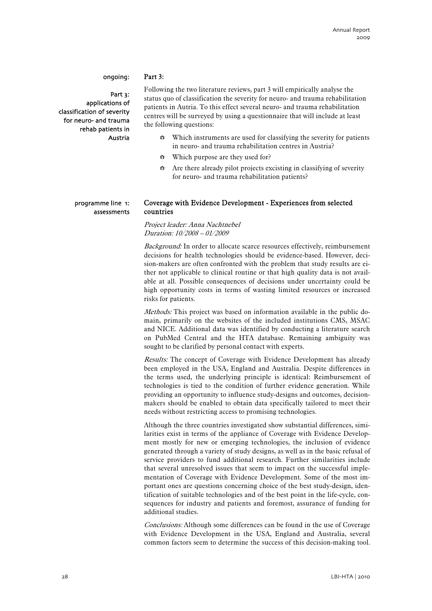### ongoing:

Part 3: applications of classification of severity for neuro- and trauma rehab patients in Austria

### Part 3:

Following the two literature reviews, part 3 will empirically analyse the status quo of classification the severity for neuro- and trauma rehabilitation patients in Autria. To this effect several neuro- and trauma rehabilitation centres will be surveyed by using a questionnaire that will include at least the following questions:

- $\bullet$  Which instruments are used for classifying the severity for patients in neuro- and trauma rehabilitation centres in Austria?
- $\bullet$  Which purpose are they used for?
- $\bullet$  Are there already pilot projects excisting in classifying of severity for neuro- and trauma rehabilitation patients?

### programme line 1: assessments

# Coverage with Evidence Development - Experiences from selected countries

Project leader: Anna Nachtnebel Duration: 10/2008 – 01/2009

Background: In order to allocate scarce resources effectively, reimbursement decisions for health technologies should be evidence-based. However, decision-makers are often confronted with the problem that study results are either not applicable to clinical routine or that high quality data is not available at all. Possible consequences of decisions under uncertainty could be high opportunity costs in terms of wasting limited resources or increased risks for patients.

Methods: This project was based on information available in the public domain, primarily on the websites of the included institutions CMS, MSAC and NICE. Additional data was identified by conducting a literature search on PubMed Central and the HTA database. Remaining ambiguity was sought to be clarified by personal contact with experts.

Results: The concept of Coverage with Evidence Development has already been employed in the USA, England and Australia. Despite differences in the terms used, the underlying principle is identical: Reimbursement of technologies is tied to the condition of further evidence generation. While providing an opportunity to influence study-designs and outcomes, decisionmakers should be enabled to obtain data specifically tailored to meet their needs without restricting access to promising technologies.

Although the three countries investigated show substantial differences, similarities exist in terms of the appliance of Coverage with Evidence Development mostly for new or emerging technologies, the inclusion of evidence generated through a variety of study designs, as well as in the basic refusal of service providers to fund additional research. Further similarities include that several unresolved issues that seem to impact on the successful implementation of Coverage with Evidence Development. Some of the most important ones are questions concerning choice of the best study-design, identification of suitable technologies and of the best point in the life-cycle, consequences for industry and patients and foremost, assurance of funding for additional studies.

Conclusions: Although some differences can be found in the use of Coverage with Evidence Development in the USA, England and Australia, several common factors seem to determine the success of this decision-making tool.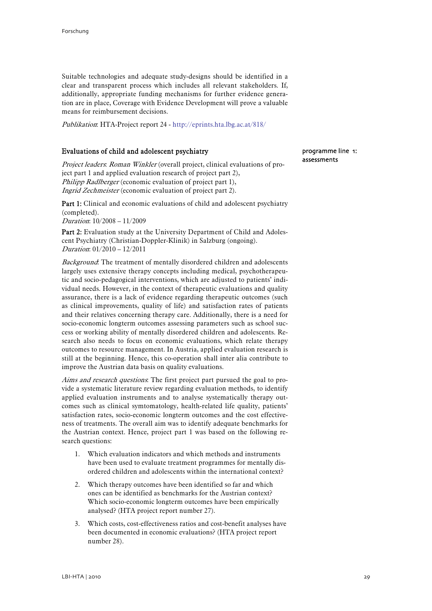Suitable technologies and adequate study-designs should be identified in a clear and transparent process which includes all relevant stakeholders. If, additionally, appropriate funding mechanisms for further evidence generation are in place, Coverage with Evidence Development will prove a valuable means for reimbursement decisions.

Publikation: HTA-Project report 24 - <http://eprints.hta.lbg.ac.at/818/>

### Evaluations of child and adolescent psychiatry

Project leaders: Roman Winkler (overall project, clinical evaluations of project part 1 and applied evaluation research of project part 2), Philipp Radlberger (economic evaluation of project part 1), Ingrid Zechmeister (economic evaluation of project part 2).

Part 1: Clinical and economic evaluations of child and adolescent psychiatry (completed). Duration: 10/2008 – 11/2009

Part 2: Evaluation study at the University Department of Child and Adolescent Psychiatry (Christian-Doppler-Klinik) in Salzburg (ongoing). Duration: 01/2010 – 12/2011

Background: The treatment of mentally disordered children and adolescents largely uses extensive therapy concepts including medical, psychotherapeutic and socio-pedagogical interventions, which are adjusted to patients' individual needs. However, in the context of therapeutic evaluations and quality assurance, there is a lack of evidence regarding therapeutic outcomes (such as clinical improvements, quality of life) and satisfaction rates of patients and their relatives concerning therapy care. Additionally, there is a need for socio-economic longterm outcomes assessing parameters such as school success or working ability of mentally disordered children and adolescents. Research also needs to focus on economic evaluations, which relate therapy outcomes to resource management. In Austria, applied evaluation research is still at the beginning. Hence, this co-operation shall inter alia contribute to improve the Austrian data basis on quality evaluations.

Aims and research questions. The first project part pursued the goal to provide a systematic literature review regarding evaluation methods, to identify applied evaluation instruments and to analyse systematically therapy outcomes such as clinical symtomatology, health-related life quality, patients' satisfaction rates, socio-economic longterm outcomes and the cost effectiveness of treatments. The overall aim was to identify adequate benchmarks for the Austrian context. Hence, project part 1 was based on the following research questions:

- 1. Which evaluation indicators and which methods and instruments have been used to evaluate treatment programmes for mentally disordered children and adolescents within the international context?
- 2. Which therapy outcomes have been identified so far and which ones can be identified as benchmarks for the Austrian context? Which socio-economic longterm outcomes have been empirically analysed? (HTA project report number 27).
- 3. Which costs, cost-effectiveness ratios and cost-benefit analyses have been documented in economic evaluations? (HTA project report number 28).

# programme line 1: assessments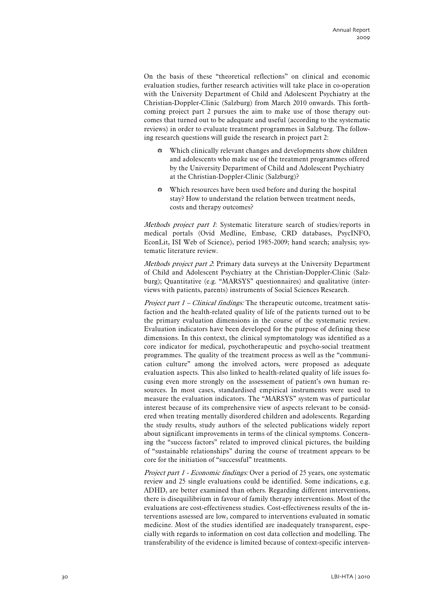On the basis of these "theoretical reflections" on clinical and economic evaluation studies, further research activities will take place in co-operation with the University Department of Child and Adolescent Psychiatry at the Christian-Doppler-Clinic (Salzburg) from March 2010 onwards. This forthcoming project part 2 pursues the aim to make use of those therapy outcomes that turned out to be adequate and useful (according to the systematic reviews) in order to evaluate treatment programmes in Salzburg. The following research questions will guide the research in project part 2:

- $\bullet$  Which clinically relevant changes and developments show children and adolescents who make use of the treatment programmes offered by the University Department of Child and Adolescent Psychiatry at the Christian-Doppler-Clinic (Salzburg)?
- Which resources have been used before and during the hospital stay? How to understand the relation between treatment needs, costs and therapy outcomes?

Methods project part 1: Systematic literature search of studies/reports in medical portals (Ovid Medline, Embase, CRD databases, PsycINFO, EconLit, ISI Web of Science), period 1985-2009; hand search; analysis; systematic literature review.

Methods project part 2. Primary data surveys at the University Department of Child and Adolescent Psychiatry at the Christian-Doppler-Clinic (Salzburg); Quantitative (e.g. "MARSYS" questionnaires) and qualitative (interviews with patients, parents) instruments of Social Sciences Research.

*Project part*  $1$  *– Clinical findings:* The therapeutic outcome, treatment satisfaction and the health-related quality of life of the patients turned out to be the primary evaluation dimensions in the course of the systematic review. Evaluation indicators have been developed for the purpose of defining these dimensions. In this context, the clinical symptomatology was identified as a core indicator for medical, psychotherapeutic and psycho-social treatment programmes. The quality of the treatment process as well as the "communication culture" among the involved actors, were proposed as adequate evaluation aspects. This also linked to health-related quality of life issues focusing even more strongly on the assessement of patient's own human resources. In most cases, standardised empirical instruments were used to measure the evaluation indicators. The "MARSYS" system was of particular interest because of its comprehensive view of aspects relevant to be considered when treating mentally disordered children and adolescents. Regarding the study results, study authors of the selected publications widely report about significant improvements in terms of the clinical symptoms. Concerning the "success factors" related to improved clinical pictures, the building of "sustainable relationships" during the course of treatment appears to be core for the initiation of "successful" treatments.

Project part 1 - Economic findings: Over a period of 25 years, one systematic review and 25 single evaluations could be identified. Some indications, e.g. ADHD, are better examined than others. Regarding different interventions, there is disequilibrium in favour of family therapy interventions. Most of the evaluations are cost-effectiveness studies. Cost-effectiveness results of the interventions assessed are low, compared to interventions evaluated in somatic medicine. Most of the studies identified are inadequately transparent, especially with regards to information on cost data collection and modelling. The transferability of the evidence is limited because of context-specific interven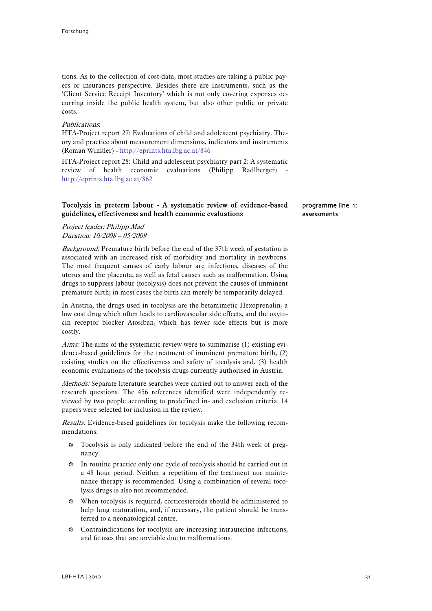tions. As to the collection of cost-data, most studies are taking a public payers or insurances perspective. Besides there are instruments, such as the 'Client Service Receipt Inventory' which is not only covering expenses occurring inside the public health system, but also other public or private costs.

### Publications:

HTA-Project report 27: Evaluations of child and adolescent psychiatry. Theory and practice about measurement dimensions, indicators and instruments (Roman Winkler) - [http://eprints.hta.lbg.ac.at/846](http://eprints.hta.lbg.ac.at/8462)

HTA-Project report 28: Child and adolescent psychiatry part 2: A systematic review of health economic evaluations (Philipp Radlberger) <http://eprints.hta.lbg.ac.at/862>

# Tocolysis in preterm labour - A systematic review of evidence-based guidelines, effectiveness and health economic evaluations

programme line 1: assessments

Project leader: Philipp Mad Duration: 10/2008 – 05/2009

Background: Premature birth before the end of the 37th week of gestation is associated with an increased risk of morbidity and mortality in newborns. The most frequent causes of early labour are infections, diseases of the uterus and the placenta, as well as fetal causes such as malformation. Using drugs to suppress labour (tocolysis) does not prevent the causes of imminent premature birth; in most cases the birth can merely be temporarily delayed.

In Austria, the drugs used in tocolysis are the betamimetic Hexoprenalin, a low cost drug which often leads to cardiovascular side effects, and the oxytocin receptor blocker Atosiban, which has fewer side effects but is more costly.

Aims: The aims of the systematic review were to summarise (1) existing evidence-based guidelines for the treatment of imminent premature birth, (2) existing studies on the effectiveness and safety of tocolysis and, (3) health economic evaluations of the tocolysis drugs currently authorised in Austria.

Methods: Separate literature searches were carried out to answer each of the research questions. The 456 references identified were independently reviewed by two people according to predefined in- and exclusion criteria. 14 papers were selected for inclusion in the review.

Results: Evidence-based guidelines for tocolysis make the following recommendations:

- $\bullet$  Tocolysis is only indicated before the end of the 34th week of pregnancy.
- $\bullet$  In routine practice only one cycle of tocolysis should be carried out in a 48 hour period. Neither a repetition of the treatment nor maintenance therapy is recommended. Using a combination of several tocolysis drugs is also not recommended.
- $\bullet$  When tocolysis is required, corticosteroids should be administered to help lung maturation, and, if necessary, the patient should be transferred to a neonatological centre.
- $\bullet$  Contraindications for tocolysis are increasing intrauterine infections, and fetuses that are unviable due to malformations.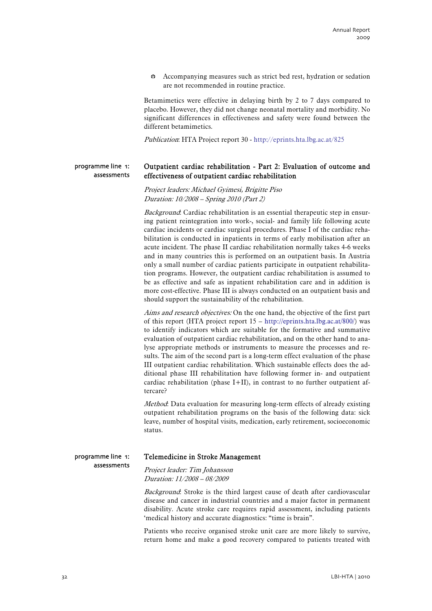$\bullet$  Accompanying measures such as strict bed rest, hydration or sedation are not recommended in routine practice.

Betamimetics were effective in delaying birth by 2 to 7 days compared to placebo. However, they did not change neonatal mortality and morbidity. No significant differences in effectiveness and safety were found between the different betamimetics.

Publication: HTA Project report 30 - <http://eprints.hta.lbg.ac.at/825>

#### Outpatient cardiac rehabilitation - Part 2: Evaluation of outcome and effectiveness of outpatient cardiac rehabilitation programme line 1: assessments

Project leaders: Michael Gyimesi, Brigitte Piso Duration: 10/2008 – Spring 2010 (Part 2)

Background: Cardiac rehabilitation is an essential therapeutic step in ensuring patient reintegration into work-, social- and family life following acute cardiac incidents or cardiac surgical procedures. Phase I of the cardiac rehabilitation is conducted in inpatients in terms of early mobilisation after an acute incident. The phase II cardiac rehabilitation normally takes 4-6 weeks and in many countries this is performed on an outpatient basis. In Austria only a small number of cardiac patients participate in outpatient rehabilitation programs. However, the outpatient cardiac rehabilitation is assumed to be as effective and safe as inpatient rehabilitation care and in addition is more cost-effective. Phase III is always conducted on an outpatient basis and should support the sustainability of the rehabilitation.

Aims and research objectives: On the one hand, the objective of the first part of this report (HTA project report 15 – <http://eprints.hta.lbg.ac.at/800/>) was to identify indicators which are suitable for the formative and summative evaluation of outpatient cardiac rehabilitation, and on the other hand to analyse appropriate methods or instruments to measure the processes and results. The aim of the second part is a long-term effect evaluation of the phase III outpatient cardiac rehabilitation. Which sustainable effects does the additional phase III rehabilitation have following former in- and outpatient cardiac rehabilitation (phase I+II), in contrast to no further outpatient aftercare?

Method: Data evaluation for measuring long-term effects of already existing outpatient rehabilitation programs on the basis of the following data: sick leave, number of hospital visits, medication, early retirement, socioeconomic status.

### programme line 1: assessments

# Telemedicine in Stroke Management

Project leader: Tim Johansson Duration: 11/2008 – 08/2009

Background: Stroke is the third largest cause of death after cardiovascular disease and cancer in industrial countries and a major factor in permanent disability. Acute stroke care requires rapid assessment, including patients 'medical history and accurate diagnostics: "time is brain".

Patients who receive organised stroke unit care are more likely to survive, return home and make a good recovery compared to patients treated with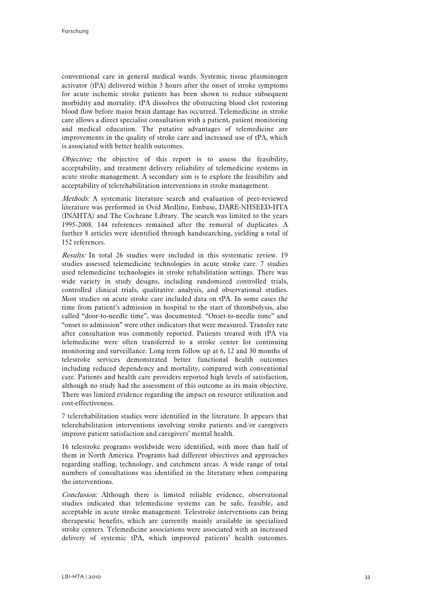conventional care in general medical wards. Systemic tissue plasminogen activator (tPA) delivered within 3 hours after the onset of stroke symptoms for acute ischemic stroke patients has been shown to reduce subsequent morbidity and mortality. tPA dissolves the obstructing blood clot restoring blood flow before major brain damage has occurred. Telemedicine in stroke care allows a direct specialist consultation with a patient, patient monitoring and medical education. The putative advantages of telemedicine are improvements in the quality of stroke care and increased use of tPA, which is associated with better health outcomes.

Objective: the objective of this report is to assess the feasibility, acceptability, and treatment delivery reliability of telemedicine systems in acute stroke management. A secondary aim is to explore the feasibility and acceptability of telerehabilitation interventions in stroke management.

Methods: A systematic literature search and evaluation of peer-reviewed literature was performed in Ovid Medline, Embase, DARE-NHSEED-HTA (INAHTA) and The Cochrane Library. The search was limited to the years 1995-2008. 144 references remained after the removal of duplicates. A further 8 articles were identified through handsearching, yielding a total of 152 references.

Results: In total 26 studies were included in this systematic review. 19 studies assessed telemedicine technologies in acute stroke care. 7 studies used telemedicine technologies in stroke rehabilitation settings. There was wide variety in study designs, including randomized controlled trials, controlled clinical trials, qualitative analysis, and observational studies. Most studies on acute stroke care included data on tPA. In some cases the time from patient's admission in hospital to the start of thrombolysis, also called "door-to-needle time", was documented. "Onset-to-needle time" and "onset to admission" were other indicators that were measured. Transfer rate after consultation was commonly reported. Patients treated with tPA via telemedicine were often transferred to a stroke center for continuing monitoring and surveillance. Long term follow up at 6, 12 and 30 months of telestroke services demonstrated better functional health outcomes including reduced dependency and mortality, compared with conventional care. Patients and health care providers reported high levels of satisfaction, although no study had the assessment of this outcome as its main objective. There was limited evidence regarding the impact on resource utilization and cost-effectiveness.

7 telerehabilitation studies were identified in the literature. It appears that telerehabilitation interventions involving stroke patients and/or caregivers improve patient satisfaction and caregivers' mental health.

16 telestroke programs worldwide were identified, with more than half of them in North America. Programs had different objectives and approaches regarding staffing, technology, and catchment areas. A wide range of total numbers of consultations was identified in the literature when comparing the interventions.

Conclusion: Although there is limited reliable evidence, observational studies indicated that telemedicine systems can be safe, feasible, and acceptable in acute stroke management. Telestroke interventions can bring therapeutic benefits, which are currently mainly available in specialized stroke centers. Telemedicine associations were associated with an increased delivery of systemic tPA, which improved patients' health outcomes.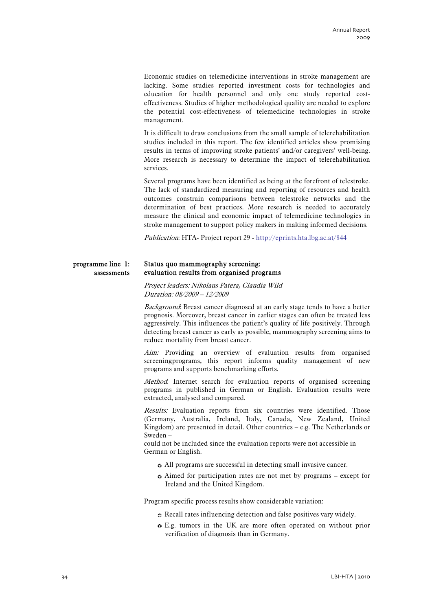Economic studies on telemedicine interventions in stroke management are lacking. Some studies reported investment costs for technologies and education for health personnel and only one study reported costeffectiveness. Studies of higher methodological quality are needed to explore the potential cost-effectiveness of telemedicine technologies in stroke management.

It is difficult to draw conclusions from the small sample of telerehabilitation studies included in this report. The few identified articles show promising results in terms of improving stroke patients' and/or caregivers' well-being. More research is necessary to determine the impact of telerehabilitation services.

Several programs have been identified as being at the forefront of telestroke. The lack of standardized measuring and reporting of resources and health outcomes constrain comparisons between telestroke networks and the determination of best practices. More research is needed to accurately measure the clinical and economic impact of telemedicine technologies in stroke management to support policy makers in making informed decisions.

Publication: HTA- Project report 29 - <http://eprints.hta.lbg.ac.at/844>

#### Status quo mammography screening: evaluation results from organised programs programme line 1: assessments

Project leaders: Nikolaus Patera, Claudia Wild Duration: 08/2009 – 12/2009

Background: Breast cancer diagnosed at an early stage tends to have a better prognosis. Moreover, breast cancer in earlier stages can often be treated less aggressively. This influences the patient's quality of life positively. Through detecting breast cancer as early as possible, mammography screening aims to reduce mortality from breast cancer.

Aim: Providing an overview of evaluation results from organised screeningprograms, this report informs quality management of new programs and supports benchmarking efforts.

Method: Internet search for evaluation reports of organised screening programs in published in German or English. Evaluation results were extracted, analysed and compared.

Results: Evaluation reports from six countries were identified. Those (Germany, Australia, Ireland, Italy, Canada, New Zealand, United Kingdom) are presented in detail. Other countries – e.g. The Netherlands or Sweden –

could not be included since the evaluation reports were not accessible in German or English.

- $\bullet$  All programs are successful in detecting small invasive cancer.
- $\bullet$  Aimed for participation rates are not met by programs except for Ireland and the United Kingdom.

Program specific process results show considerable variation:

- $\Leftrightarrow$  Recall rates influencing detection and false positives vary widely.
- $\bullet$  E.g. tumors in the UK are more often operated on without prior verification of diagnosis than in Germany.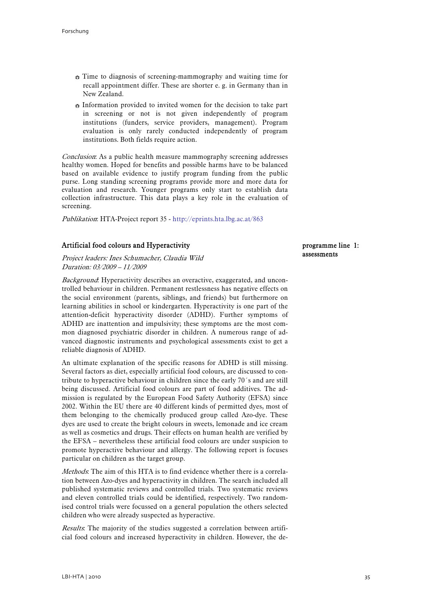- $\bullet$  Time to diagnosis of screening-mammography and waiting time for recall appointment differ. These are shorter e. g. in Germany than in New Zealand.
- $\bullet$  Information provided to invited women for the decision to take part in screening or not is not given independently of program institutions (funders, service providers, management). Program evaluation is only rarely conducted independently of program institutions. Both fields require action.

Conclusion: As a public health measure mammography screening addresses healthy women. Hoped for benefits and possible harms have to be balanced based on available evidence to justify program funding from the public purse. Long standing screening programs provide more and more data for evaluation and research. Younger programs only start to establish data collection infrastructure. This data plays a key role in the evaluation of screening.

Publikation: HTA-Project report 35 - <http://eprints.hta.lbg.ac.at/863>

# Artificial food colours and Hyperactivity

#### Project leaders: Ines Schumacher, Claudia Wild Duration: 03/2009 – 11/2009

Background: Hyperactivity describes an overactive, exaggerated, and uncontrolled behaviour in children. Permanent restlessness has negative effects on the social environment (parents, siblings, and friends) but furthermore on learning abilities in school or kindergarten. Hyperactivity is one part of the attention-deficit hyperactivity disorder (ADHD). Further symptoms of ADHD are inattention and impulsivity; these symptoms are the most common diagnosed psychiatric disorder in children. A numerous range of advanced diagnostic instruments and psychological assessments exist to get a reliable diagnosis of ADHD.

An ultimate explanation of the specific reasons for ADHD is still missing. Several factors as diet, especially artificial food colours, are discussed to contribute to hyperactive behaviour in children since the early 70´s and are still being discussed. Artificial food colours are part of food additives. The admission is regulated by the European Food Safety Authority (EFSA) since 2002. Within the EU there are 40 different kinds of permitted dyes, most of them belonging to the chemically produced group called Azo-dye. These dyes are used to create the bright colours in sweets, lemonade and ice cream as well as cosmetics and drugs. Their effects on human health are verified by the EFSA – nevertheless these artificial food colours are under suspicion to promote hyperactive behaviour and allergy. The following report is focuses particular on children as the target group.

Methods: The aim of this HTA is to find evidence whether there is a correlation between Azo-dyes and hyperactivity in children. The search included all published systematic reviews and controlled trials. Two systematic reviews and eleven controlled trials could be identified, respectively. Two randomised control trials were focussed on a general population the others selected children who were already suspected as hyperactive.

Results. The majority of the studies suggested a correlation between artificial food colours and increased hyperactivity in children. However, the deprogramme line 1: assessments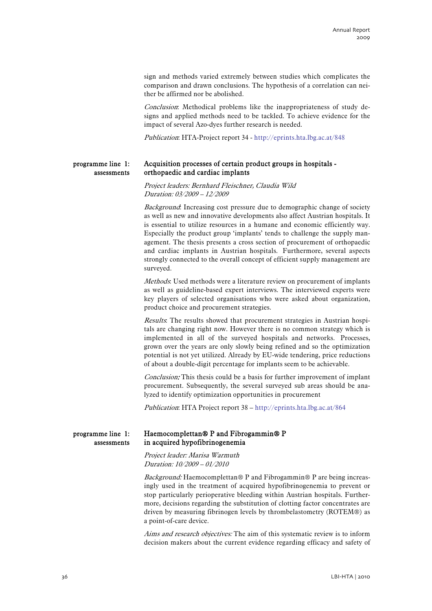sign and methods varied extremely between studies which complicates the comparison and drawn conclusions. The hypothesis of a correlation can neither be affirmed nor be abolished.

Conclusion: Methodical problems like the inappropriateness of study designs and applied methods need to be tackled. To achieve evidence for the impact of several Azo-dyes further research is needed.

Publication: HTA-Project report 34 -<http://eprints.hta.lbg.ac.at/848>

#### Acquisition processes of certain product groups in hospitals orthopaedic and cardiac implants programme line 1: assessments

Project leaders: Bernhard Fleischner, Claudia Wild Duration: 03/2009 – 12/2009

Background: Increasing cost pressure due to demographic change of society as well as new and innovative developments also affect Austrian hospitals. It is essential to utilize resources in a humane and economic efficiently way. Especially the product group 'implants' tends to challenge the supply management. The thesis presents a cross section of procurement of orthopaedic and cardiac implants in Austrian hospitals. Furthermore, several aspects strongly connected to the overall concept of efficient supply management are surveyed.

Methods: Used methods were a literature review on procurement of implants as well as guideline-based expert interviews. The interviewed experts were key players of selected organisations who were asked about organization, product choice and procurement strategies.

Results. The results showed that procurement strategies in Austrian hospitals are changing right now. However there is no common strategy which is implemented in all of the surveyed hospitals and networks. Processes, grown over the years are only slowly being refined and so the optimization potential is not yet utilized. Already by EU-wide tendering, price reductions of about a double-digit percentage for implants seem to be achievable.

Conclusion: This thesis could be a basis for further improvement of implant procurement. Subsequently, the several surveyed sub areas should be analyzed to identify optimization opportunities in procurement

Publication: HTA Project report 38 –<http://eprints.hta.lbg.ac.at/864>

#### Haemocomplettan® P and Fibrogammin® P in acquired hypofibrinogenemia programme line 1: assessments

Project leader: Marisa Warmuth Duration: 10/2009 – 01/2010

Background: Haemocomplettan® P and Fibrogammin® P are being increasingly used in the treatment of acquired hypofibrinogenemia to prevent or stop particularly perioperative bleeding within Austrian hospitals. Furthermore, decisions regarding the substitution of clotting factor concentrates are driven by measuring fibrinogen levels by thrombelastometry (ROTEM®) as a point-of-care device.

Aims and research objectives: The aim of this systematic review is to inform decision makers about the current evidence regarding efficacy and safety of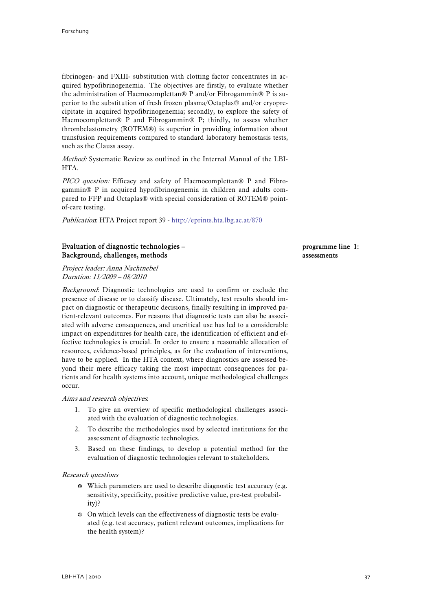fibrinogen- and FXIII- substitution with clotting factor concentrates in acquired hypofibrinogenemia. The objectives are firstly, to evaluate whether the administration of Haemocomplettan® P and/or Fibrogammin® P is superior to the substitution of fresh frozen plasma/Octaplas® and/or cryoprecipitate in acquired hypofibrinogenemia; secondly, to explore the safety of Haemocomplettan® P and Fibrogammin® P; thirdly, to assess whether thrombelastometry (ROTEM®) is superior in providing information about transfusion requirements compared to standard laboratory hemostasis tests, such as the Clauss assay.

Method: Systematic Review as outlined in the Internal Manual of the LBI-HTA.

PICO question: Efficacy and safety of Haemocomplettan® P and Fibrogammin® P in acquired hypofibrinogenemia in children and adults compared to FFP and Octaplas® with special consideration of ROTEM® pointof-care testing.

Publication: HTA Project report 39 -<http://eprints.hta.lbg.ac.at/870>

# Evaluation of diagnostic technologies – Background, challenges, methods

Project leader: Anna Nachtnebel Duration: 11/2009 – 08/2010

Background: Diagnostic technologies are used to confirm or exclude the presence of disease or to classify disease. Ultimately, test results should impact on diagnostic or therapeutic decisions, finally resulting in improved patient-relevant outcomes. For reasons that diagnostic tests can also be associated with adverse consequences, and uncritical use has led to a considerable impact on expenditures for health care, the identification of efficient and effective technologies is crucial. In order to ensure a reasonable allocation of resources, evidence-based principles, as for the evaluation of interventions, have to be applied. In the HTA context, where diagnostics are assessed beyond their mere efficacy taking the most important consequences for patients and for health systems into account, unique methodological challenges occur.

#### Aims and research objectives:

- 1. To give an overview of specific methodological challenges associated with the evaluation of diagnostic technologies.
- 2. To describe the methodologies used by selected institutions for the assessment of diagnostic technologies.
- 3. Based on these findings, to develop a potential method for the evaluation of diagnostic technologies relevant to stakeholders.

#### Research questions

- $\bullet$  Which parameters are used to describe diagnostic test accuracy (e.g. sensitivity, specificity, positive predictive value, pre-test probability)?
- $\bullet$  On which levels can the effectiveness of diagnostic tests be evaluated (e.g. test accuracy, patient relevant outcomes, implications for the health system)?

#### programme line 1: assessments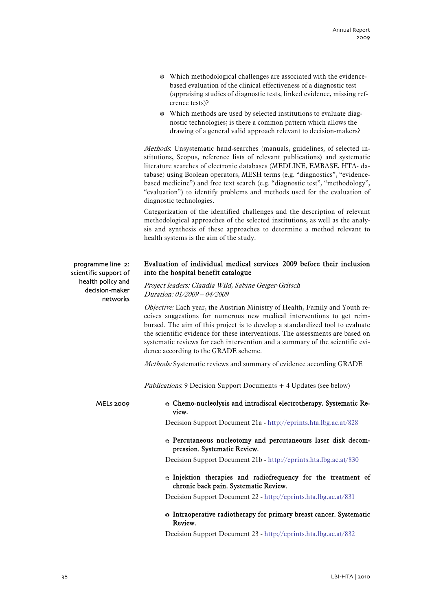| ↔ Which methodological challenges are associated with the evidence-    |
|------------------------------------------------------------------------|
| based evaluation of the clinical effectiveness of a diagnostic test    |
| (appraising studies of diagnostic tests, linked evidence, missing ref- |
| erence tests)?                                                         |

 $\bullet$  Which methods are used by selected institutions to evaluate diagnostic technologies; is there a common pattern which allows the drawing of a general valid approach relevant to decision-makers?

Methods: Unsystematic hand-searches (manuals, guidelines, of selected institutions, Scopus, reference lists of relevant publications) and systematic literature searches of electronic databases (MEDLINE, EMBASE, HTA- database) using Boolean operators, MESH terms (e.g. "diagnostics", "evidencebased medicine") and free text search (e.g. "diagnostic test", "methodology", "evaluation") to identify problems and methods used for the evaluation of diagnostic technologies.

Categorization of the identified challenges and the description of relevant methodological approaches of the selected institutions, as well as the analysis and synthesis of these approaches to determine a method relevant to health systems is the aim of the study.

programme line 2: scientific support of health policy and decision-maker networks

# Evaluation of individual medical services 2009 before their inclusion into the hospital benefit catalogue

Project leaders: Claudia Wild, Sabine Geiger-Gritsch Duration: 01/2009 – 04/2009

Objective: Each year, the Austrian Ministry of Health, Family and Youth receives suggestions for numerous new medical interventions to get reimbursed. The aim of this project is to develop a standardized tool to evaluate the scientific evidence for these interventions. The assessments are based on systematic reviews for each intervention and a summary of the scientific evidence according to the GRADE scheme.

Methods: Systematic reviews and summary of evidence according GRADE

Publications: 9 Decision Support Documents + 4 Updates (see below)

MELs 2009

 $\Leftrightarrow$  Chemo-nucleolysis and intradiscal electrotherapy. Systematic Review.

Decision Support Document 21a - <http://eprints.hta.lbg.ac.at/828>

 $\oplus$  Percutaneous nucleotomy and percutaneours laser disk decompression. Systematic Review.

Decision Support Document 21b -<http://eprints.hta.lbg.ac.at/830>

 $\div$  Injektion therapies and radiofrequency for the treatment of chronic back pain. Systematic Review.

Decision Support Document 22 -<http://eprints.hta.lbg.ac.at/831>

### $\oplus$  Intraoperative radiotherapy for primary breast cancer. Systematic Review.

Decision Support Document 23 -<http://eprints.hta.lbg.ac.at/832>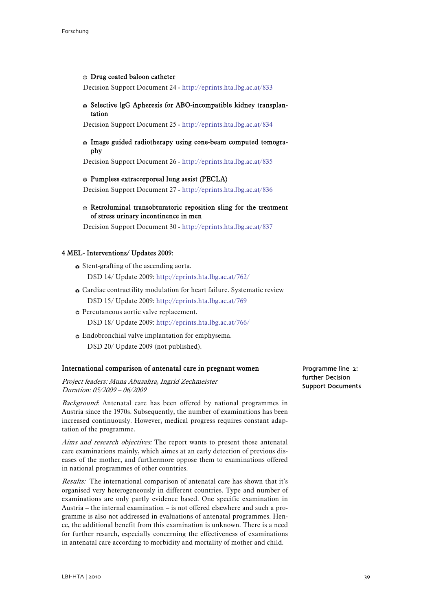#### $\oplus$  Drug coated baloon catheter

Decision Support Document 24 -<http://eprints.hta.lbg.ac.at/833>

#### $\circ$  Selective lgG Apheresis for ABO-incompatible kidney transplantation

Decision Support Document 25 -<http://eprints.hta.lbg.ac.at/834>

#### $\div$  Image guided radiotherapy using cone-beam computed tomography

Decision Support Document 26 -<http://eprints.hta.lbg.ac.at/835>

#### $\oplus$  Pumpless extracorporeal lung assist (PECLA)

Decision Support Document 27 -<http://eprints.hta.lbg.ac.at/836>

# $\Leftrightarrow$  Retroluminal transobturatoric reposition sling for the treatment of stress urinary incontinence in men

Decision Support Document 30 -<http://eprints.hta.lbg.ac.at/837>

# 4 MEL- Interventions/ Updates 2009:

- $\bullet$  Stent-grafting of the ascending aorta. DSD 14/ Update 2009:<http://eprints.hta.lbg.ac.at/762/>
- $\bullet$  Cardiac contractility modulation for heart failure. Systematic review DSD 15/ Update 2009:<http://eprints.hta.lbg.ac.at/769>
- $\bullet$  Percutaneous aortic valve replacement. DSD 18/ Update 2009:<http://eprints.hta.lbg.ac.at/766/>
- $\div$  Endobronchial valve implantation for emphysema. DSD 20/ Update 2009 (not published).

#### International comparison of antenatal care in pregnant women

Project leaders: Muna Abuzahra, Ingrid Zechmeister Duration: 05/2009 – 06/2009

Background: Antenatal care has been offered by national programmes in Austria since the 1970s. Subsequently, the number of examinations has been increased continuously. However, medical progress requires constant adaptation of the programme.

Aims and research objectives: The report wants to present those antenatal care examinations mainly, which aimes at an early detection of previous diseases of the mother, and furthermore oppose them to examinations offered in national programmes of other countries.

Results: The international comparison of antenatal care has shown that it's organised very heterogeneously in different countries. Type and number of examinations are only partly evidence based. One specific examination in Austria – the internal examination – is not offered elsewhere and such a programme is also not addressed in evaluations of antenatal programmes. Hence, the additional benefit from this examination is unknown. There is a need for further resarch, especially concerning the effectiveness of examinations in antenatal care according to morbidity and mortality of mother and child.

Programme line 2: further Decision Support Documents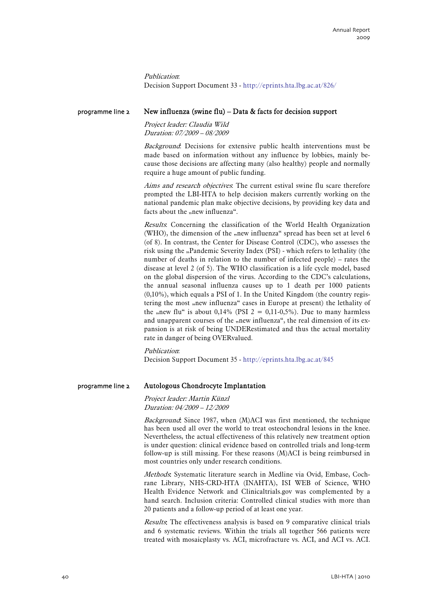Publication: Decision Support Document 33 -<http://eprints.hta.lbg.ac.at/826/>

#### New influenza (swine flu) – Data & facts for decision support programme line 2

Project leader: Claudia Wild Duration: 07/2009 – 08/2009

Background: Decisions for extensive public health interventions must be made based on information without any influence by lobbies, mainly because those decisions are affecting many (also healthy) people and normally require a huge amount of public funding.

Aims and research objectives. The current estival swine flu scare therefore prompted the LBI-HTA to help decision makers currently working on the national pandemic plan make objective decisions, by providing key data and facts about the "new influenza".

Results: Concerning the classification of the World Health Organization (WHO), the dimension of the "new influenza" spread has been set at level 6 (of 8). In contrast, the Center for Disease Control (CDC), who assesses the risk using the "Pandemic Severity Index (PSI) - which refers to lethality (the number of deaths in relation to the number of infected people) – rates the disease at level 2 (of 5). The WHO classification is a life cycle model, based on the global dispersion of the virus. According to the CDC's calculations, the annual seasonal influenza causes up to 1 death per 1000 patients (0,10%), which equals a PSI of 1. In the United Kingdom (the country registering the most "new influenza" cases in Europe at present) the lethality of the "new flu" is about 0,14% (PSI  $2 = 0.11{\text -}0.5\%$ ). Due to many harmless and unapparent courses of the "new influenza", the real dimension of its expansion is at risk of being UNDERestimated and thus the actual mortality rate in danger of being OVERvalued.

### Publication:

Decision Support Document 35 -<http://eprints.hta.lbg.ac.at/845>

#### Autologous Chondrocyte Implantation programme line 2

#### Project leader: Martin Künzl Duration: 04/2009 – 12/2009

Background: Since 1987, when (M)ACI was first mentioned, the technique has been used all over the world to treat osteochondral lesions in the knee. Nevertheless, the actual effectiveness of this relatively new treatment option is under question: clinical evidence based on controlled trials and long-term follow-up is still missing. For these reasons (M)ACI is being reimbursed in most countries only under research conditions.

Methods: Systematic literature search in Medline via Ovid, Embase, Cochrane Library, NHS-CRD-HTA (INAHTA), ISI WEB of Science, WHO Health Evidence Network and Clinicaltrials.gov was complemented by a hand search. Inclusion criteria: Controlled clinical studies with more than 20 patients and a follow-up period of at least one year.

Results: The effectiveness analysis is based on 9 comparative clinical trials and 6 systematic reviews. Within the trials all together 566 patients were treated with mosaicplasty vs. ACI, microfracture vs. ACI, and ACI vs. ACI.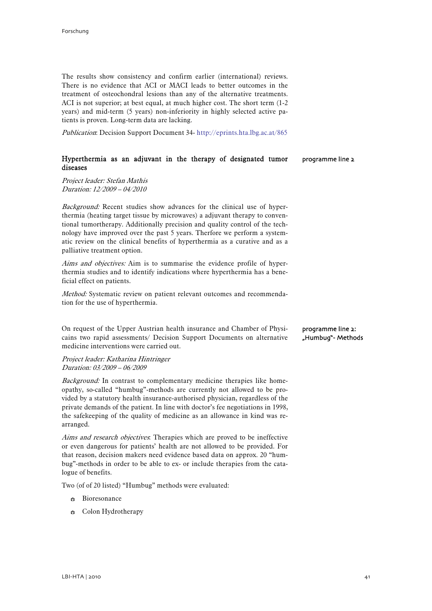The results show consistency and confirm earlier (international) reviews. There is no evidence that ACI or MACI leads to better outcomes in the treatment of osteochondral lesions than any of the alternative treatments. ACI is not superior; at best equal, at much higher cost. The short term (1-2 years) and mid-term (5 years) non-inferiority in highly selected active patients is proven. Long-term data are lacking.

Publication: Decision Support Document 34-<http://eprints.hta.lbg.ac.at/865>

#### Hyperthermia as an adjuvant in the therapy of designated tumor diseases programme line 2

Project leader: Stefan Mathis Duration: 12/2009 – 04/2010

Background: Recent studies show advances for the clinical use of hyperthermia (heating target tissue by microwaves) a adjuvant therapy to conventional tumortherapy. Additionally precision and quality control of the technology have improved over the past 5 years. Therfore we perform a systematic review on the clinical benefits of hyperthermia as a curative and as a palliative treatment option.

Aims and objectives: Aim is to summarise the evidence profile of hyperthermia studies and to identify indications where hyperthermia has a beneficial effect on patients.

Method: Systematic review on patient relevant outcomes and recommendation for the use of hyperthermia.

On request of the Upper Austrian health insurance and Chamber of Physicains two rapid assessments/ Decision Support Documents on alternative medicine interventions were carried out.

Project leader: Katharina Hintringer Duration: 03/2009 – 06/2009

Background: In contrast to complementary medicine therapies like homeopathy, so-called "humbug"-methods are currently not allowed to be provided by a statutory health insurance-authorised physician, regardless of the private demands of the patient. In line with doctor's fee negotiations in 1998, the safekeeping of the quality of medicine as an allowance in kind was rearranged.

Aims and research objectives. Therapies which are proved to be ineffective or even dangerous for patients' health are not allowed to be provided. For that reason, decision makers need evidence based data on approx. 20 "humbug"-methods in order to be able to ex- or include therapies from the catalogue of benefits.

Two (of of 20 listed) "Humbug" methods were evaluated:

- **Bioresonance**
- **B** Colon Hydrotherapy

programme line 2: "Humbug"- Methods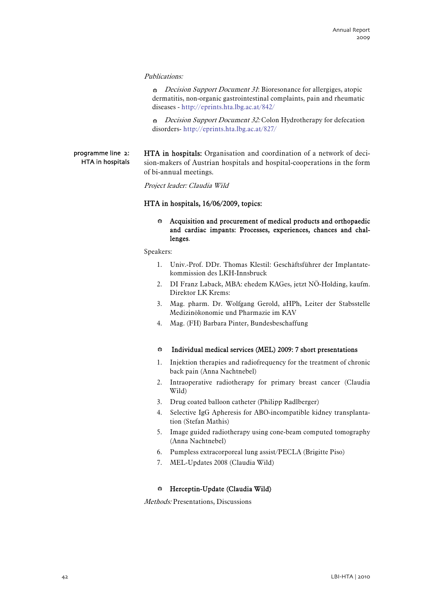#### Publications:

 $\cdot$  *Decision Support Document 31*: Bioresonance for allergiges, atopic dermatitis, non-organic gastrointestinal complaints, pain and rheumatic diseases -<http://eprints.hta.lbg.ac.at/842/>

 $\bullet$  *Decision Support Document 32:* Colon Hydrotherapy for defecation disorders- <http://eprints.hta.lbg.ac.at/827/>

HTA in hospitals: Organisation and coordination of a network of decision-makers of Austrian hospitals and hospital-cooperations in the form of bi-annual meetings. programme line 2: HTA in hospitals

Project leader: Claudia Wild

### HTA in hospitals, 16/06/2009, topics:

# $\div$  Acquisition and procurement of medical products and orthopaedic and cardiac impants: Processes, experiences, chances and challenges.

Speakers:

- 1. Univ.-Prof. DDr. Thomas Klestil: Geschäftsführer der Implantatekommission des LKH-Innsbruck
- 2. DI Franz Laback, MBA: ehedem KAGes, jetzt NÖ-Holding, kaufm. Direktor LK Krems:
- 3. Mag. pharm. Dr. Wolfgang Gerold, aHPh, Leiter der Stabsstelle Medizinökonomie und Pharmazie im KAV
- 4. Mag. (FH) Barbara Pinter, Bundesbeschaffung

#### **B** Individual medical services (MEL) 2009: 7 short presentations

- 1. Injektion therapies and radiofrequency for the treatment of chronic back pain (Anna Nachtnebel)
- 2. Intraoperative radiotherapy for primary breast cancer (Claudia Wild)
- 3. Drug coated balloon catheter (Philipp Radlberger)
- 4. Selective IgG Apheresis for ABO-incompatible kidney transplantation (Stefan Mathis)
- 5. Image guided radiotherapy using cone-beam computed tomography (Anna Nachtnebel)
- 6. Pumpless extracorporeal lung assist/PECLA (Brigitte Piso)
- 7. MEL-Updates 2008 (Claudia Wild)

# $\oplus$  Herceptin-Update (Claudia Wild)

Methods: Presentations, Discussions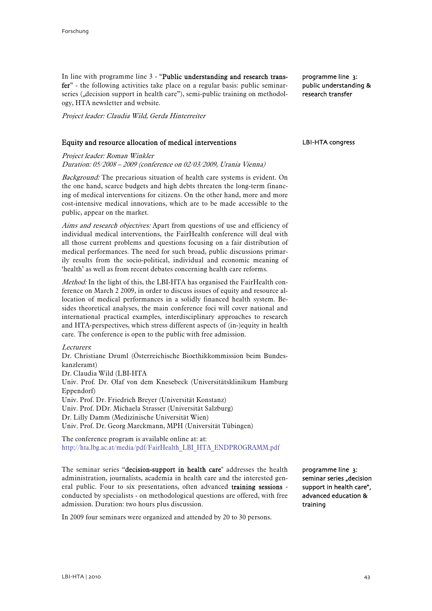In line with programme line 3 - "Public understanding and research transfer" - the following activities take place on a regular basis: public seminarseries ("decision support in health care"), semi-public training on methodology, HTA newsletter and website.

Project leader: Claudia Wild, Gerda Hinterreiter

# Equity and resource allocation of medical interventions

Project leader: Roman Winkler

Duration: 05/2008 – 2009 (conference on 02/03/2009, Urania Vienna)

Background: The precarious situation of health care systems is evident. On the one hand, scarce budgets and high debts threaten the long-term financing of medical interventions for citizens. On the other hand, more and more cost-intensive medical innovations, which are to be made accessible to the public, appear on the market.

Aims and research objectives: Apart from questions of use and efficiency of individual medical interventions, the FairHealth conference will deal with all those current problems and questions focusing on a fair distribution of medical performances. The need for such broad, public discussions primarily results from the socio-political, individual and economic meaning of 'health' as well as from recent debates concerning health care reforms.

Method: In the light of this, the LBI-HTA has organised the FairHealth conference on March 2 2009, in order to discuss issues of equity and resource allocation of medical performances in a solidly financed health system. Besides theoretical analyses, the main conference foci will cover national and international practical examples, interdisciplinary approaches to research and HTA-perspectives, which stress different aspects of (in-)equity in health care. The conference is open to the public with free admission.

#### Lecturers:

Dr. Christiane Druml (Österreichische Bioethikkommission beim Bundeskanzleramt) Dr. Claudia Wild (LBI-HTA Univ. Prof. Dr. Olaf von dem Knesebeck (Universitätsklinikum Hamburg Eppendorf) Univ. Prof. Dr. Friedrich Breyer (Universität Konstanz) Univ. Prof. DDr. Michaela Strasser (Universität Salzburg) Dr. Lilly Damm (Medizinische Universität Wien) Univ. Prof. Dr. Georg Marckmann, MPH (Universität Tübingen)

The conference program is available online at: at: [http://hta.lbg.ac.at/media/pdf/FairHealth\\_LBI\\_HTA\\_ENDPROGRAMM.pdf](http://hta.lbg.ac.at/media/pdf/FairHealth_LBI_HTA_ENDPROGRAMM.pdf)

The seminar series "decision-support in health care" addresses the health administration, journalists, academia in health care and the interested general public. Four to six presentations, often advanced training sessions conducted by specialists - on methodological questions are offered, with free admission. Duration: two hours plus discussion.

In 2009 four seminars were organized and attended by 20 to 30 persons.

programme line 3: seminar series "decision support in health care", advanced education & training

public understanding & research transfer

programme line 3:

#### LBI-HTA congress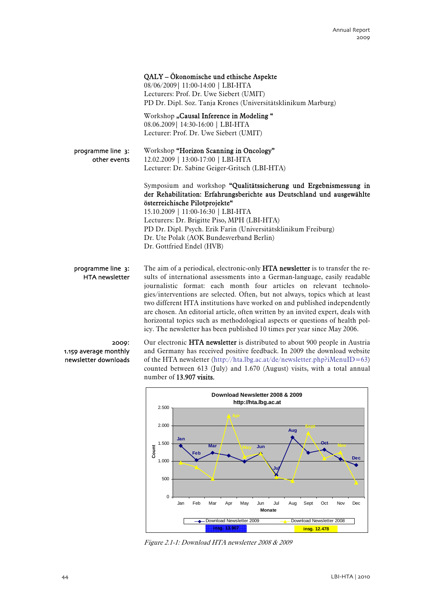|                                            | QALY - Ökonomische und ethische Aspekte<br>08/06/2009   11:00-14:00   LBI-HTA<br>Lecturers: Prof. Dr. Uwe Siebert (UMIT)<br>PD Dr. Dipl. Soz. Tanja Krones (Universitätsklinikum Marburg)                           |
|--------------------------------------------|---------------------------------------------------------------------------------------------------------------------------------------------------------------------------------------------------------------------|
|                                            | Workshop "Causal Inference in Modeling"<br>08.06.2009   14:30-16:00   LBI-HTA<br>Lecturer: Prof. Dr. Uwe Siebert (UMIT)                                                                                             |
| programme line 3:<br>other events          | Workshop "Horizon Scanning in Oncology"<br>12.02.2009   13:00-17:00   LBI-HTA<br>Lecturer: Dr. Sabine Geiger-Gritsch (LBI-HTA)                                                                                      |
|                                            | Symposium and workshop "Qualitätssicherung und Ergebnismessung in<br>der Rehabilitation: Erfahrungsberichte aus Deutschland und ausgewählte<br>österreichische Pilotprojekte"<br>15.10.2009   11:00-16:30   LBI-HTA |
|                                            | Lecturers: Dr. Brigitte Piso, MPH (LBI-HTA)<br>PD Dr. Dipl. Psych. Erik Farin (Universitätsklinikum Freiburg)<br>Dr. Ute Polak (AOK Bundesverband Berlin)<br>Dr. Gottfried Endel (HVB)                              |
| programme line 3:<br><b>HTA</b> newsletter | The aim of a periodical, electronic-only HTA newsletter is to transfer the re-<br>sults of international assessments into a German-language, easily readable                                                        |

journalistic format: each month four articles on relevant technologies/interventions are selected. Often, but not always, topics which at least two different HTA institutions have worked on and published independently are chosen. An editorial article, often written by an invited expert, deals with horizontal topics such as methodological aspects or questions of health policy. The newsletter has been published 10 times per year since May 2006.

# 2009: 1.159 average monthly newsletter downloads

Our electronic HTA newsletter is distributed to about 900 people in Austria and Germany has received positive feedback. In 2009 the download website of the HTA newsletter (http://hta.lbg.ac.at/de/newsletter.php?iMenuID=63) counted between 613 (July) and 1.670 (August) visits, with a total annual number of 13.907 visits.



Figure 2.1-1: Download HTA newsletter 2008 & 2009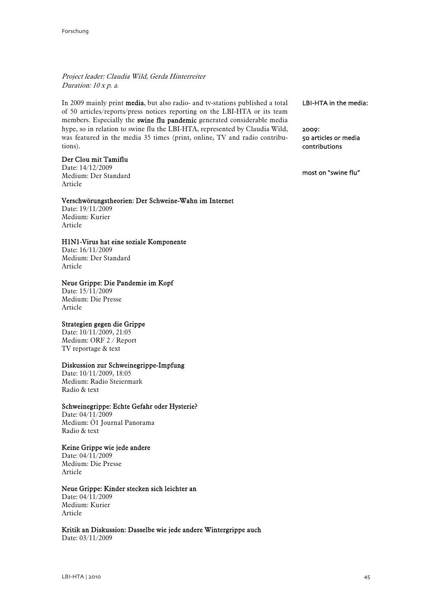Project leader: Claudia Wild, Gerda Hinterreiter Duration: 10 x p. a.

In 2009 mainly print media, but also radio- and tv-stations published a total of 50 articles/reports/press notices reporting on the LBI-HTA or its team members. Especially the swine flu pandemic generated considerable media hype, so in relation to swine flu the LBI-HTA, represented by Claudia Wild, was featured in the media 35 times (print, online, TV and radio contributions).

# Der Clou mit Tamiflu

Date: 14/12/2009 Medium: Der Standard Article

#### Verschwörungstheorien: Der Schweine-Wahn im Internet

Date: 19/11/2009 Medium: Kurier Article

# H1N1-Virus hat eine soziale Komponente

Date: 16/11/2009 Medium: Der Standard Article

# Neue Grippe: Die Pandemie im Kopf

Date: 15/11/2009 Medium: Die Presse Article

# Strategien gegen die Grippe

Date: 10/11/2009, 21:05 Medium: ORF 2 / Report TV reportage & text

# Diskussion zur Schweinegrippe-Impfung

Date: 10/11/2009, 18:05 Medium: Radio Steiermark Radio & text

# Schweinegrippe: Echte Gefahr oder Hysterie?

Date: 04/11/2009 Medium: Ö1 Journal Panorama Radio & text

# Keine Grippe wie jede andere

Date: 04/11/2009 Medium: Die Presse Article

# Neue Grippe: Kinder stecken sich leichter an

Date: 04/11/2009 Medium: Kurier Article

Kritik an Diskussion: Dasselbe wie jede andere Wintergrippe auch

Date: 03/11/2009

LBI-HTA in the media:

2009: 50 articles or media contributions

most on "swine flu"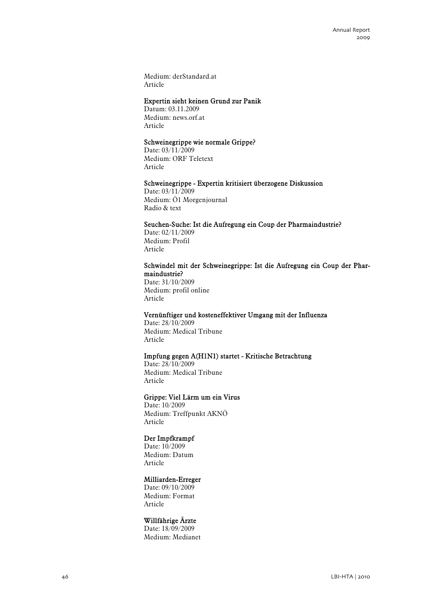Medium: derStandard.at Article

# Expertin sieht keinen Grund zur Panik

Datum: 03.11.2009 Medium: news.orf.at Article

# Schweinegrippe wie normale Grippe?

Date: 03/11/2009 Medium: ORF Teletext Article

#### Schweinegrippe - Expertin kritisiert überzogene Diskussion

Date: 03/11/2009 Medium: Ö1 Morgenjournal Radio & text

#### Seuchen-Suche: Ist die Aufregung ein Coup der Pharmaindustrie?

Date: 02/11/2009 Medium: Profil Article

#### Schwindel mit der Schweinegrippe: Ist die Aufregung ein Coup der Pharmaindustrie?

Date: 31/10/2009 Medium: profil online Article

# Vernünftiger und kosteneffektiver Umgang mit der Influenza

Date: 28/10/2009 Medium: Medical Tribune Article

# Impfung gegen A(H1N1) startet - Kritische Betrachtung

Date: 28/10/2009 Medium: Medical Tribune Article

# Grippe: Viel Lärm um ein Virus

Date: 10/2009 Medium: Treffpunkt AKNÖ Article

# Der Impfkrampf

Date: 10/2009 Medium: Datum Article

#### Milliarden-Erreger

Date: 09/10/2009 Medium: Format Article

# Willfährige Ärzte

Date: 18/09/2009 Medium: Medianet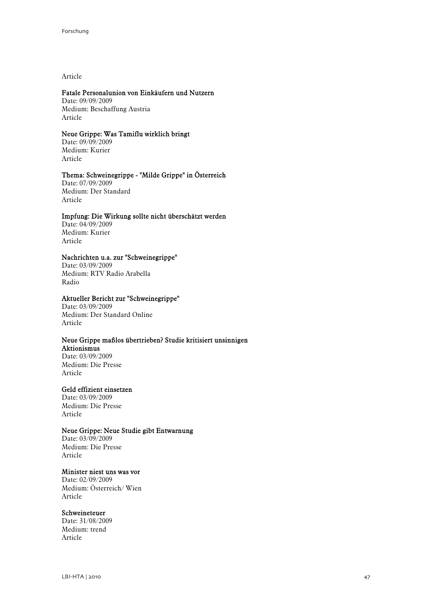Article

# Fatale Personalunion von Einkäufern und Nutzern

Date: 09/09/2009 Medium: Beschaffung Austria Article

# Neue Grippe: Was Tamiflu wirklich bringt

Date: 09/09/2009 Medium: Kurier Article

# Thema: Schweinegrippe - "Milde Grippe" in Österreich

Date: 07/09/2009 Medium: Der Standard Article

#### Impfung: Die Wirkung sollte nicht überschätzt werden

Date: 04/09/2009 Medium: Kurier Article

# Nachrichten u.a. zur "Schweinegrippe"

Date: 03/09/2009 Medium: RTV Radio Arabella Radio

# Aktueller Bericht zur "Schweinegrippe"

Date: 03/09/2009 Medium: Der Standard Online Article

#### Neue Grippe maßlos übertrieben? Studie kritisiert unsinnigen Aktionismus

Date: 03/09/2009 Medium: Die Presse Article

### Geld effizient einsetzen

Date: 03/09/2009 Medium: Die Presse Article

# Neue Grippe: Neue Studie gibt Entwarnung

Date: 03/09/2009 Medium: Die Presse Article

# Minister niest uns was vor

Date: 02/09/2009 Medium: Österreich/ Wien Article

# Schweineteuer

Date: 31/08/2009 Medium: trend Article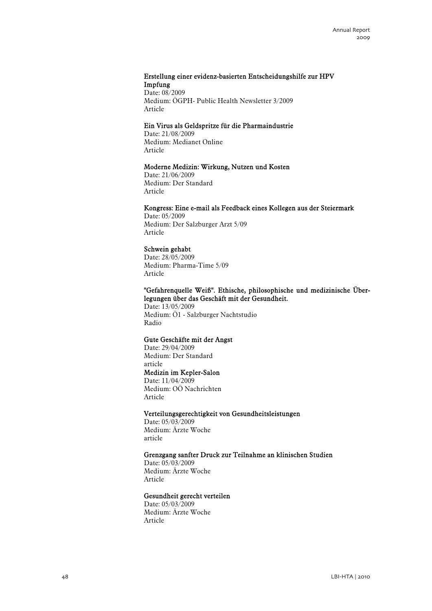# Erstellung einer evidenz-basierten Entscheidungshilfe zur HPV Impfung

Date: 08/2009 Medium: ÖGPH- Public Health Newsletter 3/2009 Article

# Ein Virus als Geldspritze für die Pharmaindustrie

Date: 21/08/2009 Medium: Medianet Online Article

# Moderne Medizin: Wirkung, Nutzen und Kosten

Date: 21/06/2009 Medium: Der Standard Article

# Kongress: Eine e-mail als Feedback eines Kollegen aus der Steiermark

Date: 05/2009 Medium: Der Salzburger Arzt 5/09 Article

# Schwein gehabt

Date: 28/05/2009 Medium: Pharma-Time 5/09 Article

# "Gefahrenquelle Weiß". Ethische, philosophische und medizinische Überlegungen über das Geschäft mit der Gesundheit.

Date: 13/05/2009 Medium: Ö1 - Salzburger Nachtstudio Radio

### Gute Geschäfte mit der Angst

Date: 29/04/2009 Medium: Der Standard article Medizin im Kepler-Salon Date: 11/04/2009 Medium: OÖ Nachrichten Article

### Verteilungsgerechtigkeit von Gesundheitsleistungen

Date: 05/03/2009 Medium: Ärzte Woche article

# Grenzgang sanfter Druck zur Teilnahme an klinischen Studien

Date: 05/03/2009 Medium: Ärzte Woche Article

# Gesundheit gerecht verteilen

Date: 05/03/2009 Medium: Ärzte Woche Article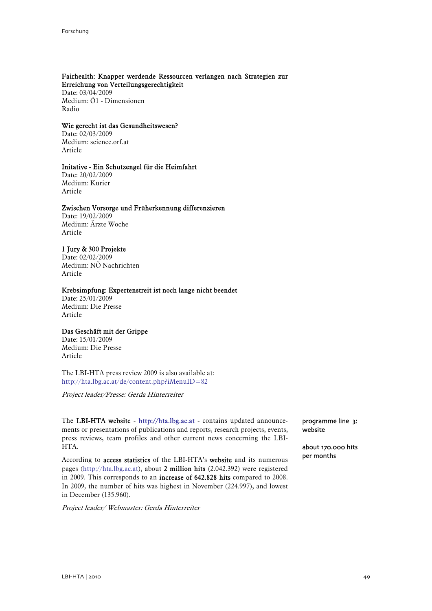#### Fairhealth: Knapper werdende Ressourcen verlangen nach Strategien zur Erreichung von Verteilungsgerechtigkeit

Date: 03/04/2009 Medium: Ö1 - Dimensionen Radio

# Wie gerecht ist das Gesundheitswesen?

Date: 02/03/2009 Medium: science.orf.at Article

### Initative - Ein Schutzengel für die Heimfahrt

Date: 20/02/2009 Medium: Kurier Article

# Zwischen Vorsorge und Früherkennung differenzieren

Date: 19/02/2009 Medium: Ärzte Woche Article

# 1 Jury & 300 Projekte

Date: 02/02/2009 Medium: NÖ Nachrichten Article

### Krebsimpfung: Expertenstreit ist noch lange nicht beendet

Date: 25/01/2009 Medium: Die Presse Article

# Das Geschäft mit der Grippe

Date: 15/01/2009 Medium: Die Presse Article

The LBI-HTA press review 2009 is also available at: <http://hta.lbg.ac.at/de/content.php?iMenuID=82>

Project leader/Presse: Gerda Hinterreiter

The LBI-HTA website - [http://hta.lbg.ac.at](http://hta.lbg.ac.at/) - contains updated announcements or presentations of publications and reports, research projects, events, press reviews, team profiles and other current news concerning the LBI-HTA.

According to access statistics of the LBI-HTA's website and its numerous pages (http://hta.lbg.ac.at), about 2 million hits (2.042.392) were registered in 2009. This corresponds to an increase of 642.828 hits compared to 2008. In 2009, the number of hits was highest in November (224.997), and lowest in December (135.960).

Project leader/ Webmaster: Gerda Hinterreiter

programme line 3: website

about 170.000 hits per months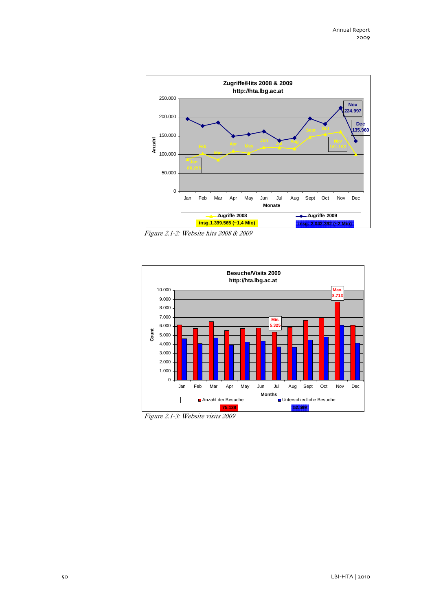

Figure 2.1-2: Website hits 2008 & 2009



Figure 2.1-3: Website visits 2009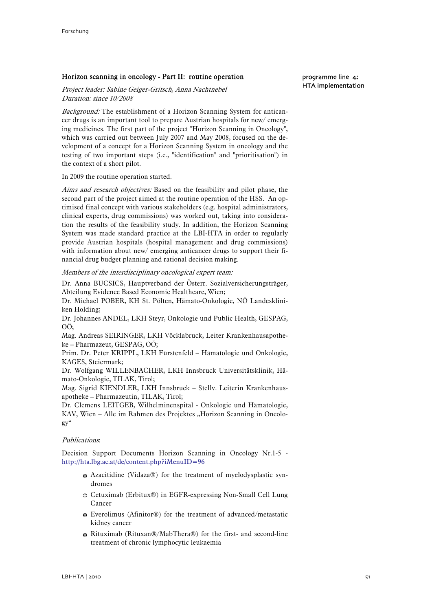# Horizon scanning in oncology - Part II: routine operation

Project leader: Sabine Geiger-Gritsch, Anna Nachtnebel Duration: since 10/2008

Background: The establishment of a Horizon Scanning System for anticancer drugs is an important tool to prepare Austrian hospitals for new/ emerging medicines. The first part of the project "Horizon Scanning in Oncology", which was carried out between July 2007 and May 2008, focused on the development of a concept for a Horizon Scanning System in oncology and the testing of two important steps (i.e., "identification" and "prioritisation") in the context of a short pilot.

In 2009 the routine operation started.

Aims and research objectives: Based on the feasibility and pilot phase, the second part of the project aimed at the routine operation of the HSS. An optimised final concept with various stakeholders (e.g. hospital administrators, clinical experts, drug commissions) was worked out, taking into consideration the results of the feasibility study. In addition, the Horizon Scanning System was made standard practice at the LBI-HTA in order to regularly provide Austrian hospitals (hospital management and drug commissions) with information about new/ emerging anticancer drugs to support their financial drug budget planning and rational decision making.

Members of the interdisciplinary oncological expert team:

Dr. Anna BUCSICS, Hauptverband der Österr. Sozialversicherungsträger, Abteilung Evidence Based Economic Healthcare, Wien;

Dr. Michael POBER, KH St. Pölten, Hämato-Onkologie, NÖ Landeskliniken Holding;

Dr. Johannes ANDEL, LKH Steyr, Onkologie und Public Health, GESPAG, OÖ;

Mag. Andreas SEIRINGER, LKH Vöcklabruck, Leiter Krankenhausapotheke – Pharmazeut, GESPAG, OÖ;

Prim. Dr. Peter KRIPPL, LKH Fürstenfeld – Hämatologie und Onkologie, KAGES, Steiermark;

Dr. Wolfgang WILLENBACHER, LKH Innsbruck Universitätsklinik, Hämato-Onkologie, TILAK, Tirol;

Mag. Sigrid KIENDLER, LKH Innsbruck – Stellv. Leiterin Krankenhausapotheke – Pharmazeutin, TILAK, Tirol;

Dr. Clemens LEITGEB, Wilhelminenspital - Onkologie und Hämatologie, KAV, Wien – Alle im Rahmen des Projektes "Horizon Scanning in Oncology"

#### Publications:

Decision Support Documents Horizon Scanning in Oncology Nr.1-5 <http://hta.lbg.ac.at/de/content.php?iMenuID=96>

- b Azacitidine (Vidaza®) for the treatment of myelodysplastic syndromes
- b Cetuximab (Erbitux®) in EGFR-expressing Non-Small Cell Lung Cancer
- $\bullet$  Everolimus (Afinitor®) for the treatment of advanced/metastatic kidney cancer
- b Rituximab (Rituxan®/MabThera®) for the first- and second-line treatment of chronic lymphocytic leukaemia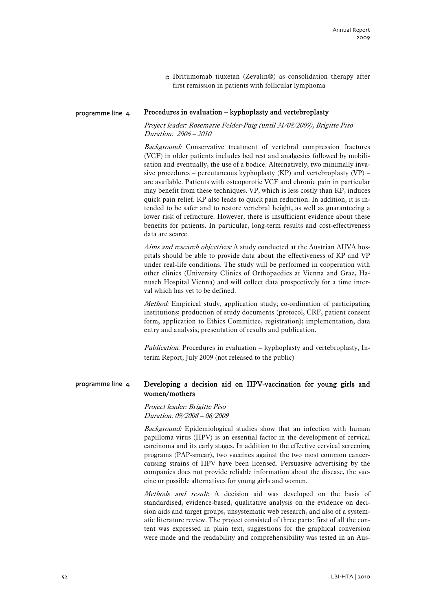$\bullet$  Ibritumomab tiuxetan (Zevalin®) as consolidation therapy after first remission in patients with follicular lymphoma

#### Procedures in evaluation – kyphoplasty and vertebroplasty programme line 4

Project leader: Rosemarie Felder-Puig (until 31/08/2009), Brigitte Piso Duration: 2006 – 2010

Background: Conservative treatment of vertebral compression fractures (VCF) in older patients includes bed rest and analgesics followed by mobilisation and eventually, the use of a bodice. Alternatively, two minimally invasive procedures – percutaneous kyphoplasty  $(KP)$  and vertebroplasty  $(VP)$  – are available. Patients with osteoporotic VCF and chronic pain in particular may benefit from these techniques. VP, which is less costly than KP, induces quick pain relief. KP also leads to quick pain reduction. In addition, it is intended to be safer and to restore vertebral height, as well as guaranteeing a lower risk of refracture. However, there is insufficient evidence about these benefits for patients. In particular, long-term results and cost-effectiveness data are scarce.

Aims and research objectives: A study conducted at the Austrian AUVA hospitals should be able to provide data about the effectiveness of KP and VP under real-life conditions. The study will be performed in cooperation with other clinics (University Clinics of Orthopaedics at Vienna and Graz, Hanusch Hospital Vienna) and will collect data prospectively for a time interval which has yet to be defined.

Method: Empirical study, application study; co-ordination of participating institutions; production of study documents (protocol, CRF, patient consent form, application to Ethics Committee, registration); implementation, data entry and analysis; presentation of results and publication.

Publication: Procedures in evaluation – kyphoplasty and vertebroplasty, Interim Report, July 2009 (not released to the public)

#### Developing a decision aid on HPV-vaccination for young girls and women/mothers programme line 4

Project leader: Brigitte Piso Duration: 09/2008 – 06/2009

Background: Epidemiological studies show that an infection with human papilloma virus (HPV) is an essential factor in the development of cervical carcinoma and its early stages. In addition to the effective cervical screening programs (PAP-smear), two vaccines against the two most common cancercausing strains of HPV have been licensed. Persuasive advertising by the companies does not provide reliable information about the disease, the vaccine or possible alternatives for young girls and women.

Methods and result. A decision aid was developed on the basis of [standardised](http://dict.leo.org/ende?lp=ende&p=thMx..&search=standardized), evidence-based, qualitative analysis on the evidence on decision aids and target groups, unsystematic web research, and also of a systematic literature review. The project consisted of three parts: first of all the content was expressed in plain text, suggestions for the graphical conversion were made and the readability and comprehensibility was tested in an Aus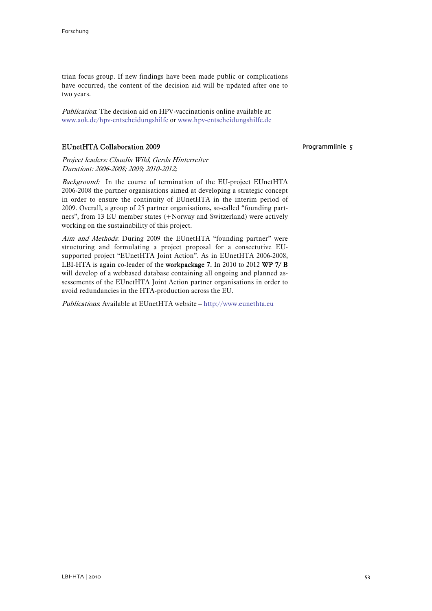trian focus group. If new findings have been made public or complications have occurred, the content of the decision aid will be updated after one to two years.

Publication: The decision aid on HPV-vaccinationis online available at: [www.aok.de/hpv-entscheidungshilfe](http://www.aok.de/hpv-entscheidungshilfe) or [www.hpv-entscheidungshilfe.de](http://www.hpv-entscheidungshilfe.de/)

# EUnetHTA Collaboration 2009

Project leaders: Claudia Wild, Gerda Hinterreiter Durationt: 2006-2008; 2009; 2010-2012;

Background: In the course of termination of the EU-project EUnetHTA 2006-2008 the partner organisations aimed at developing a strategic concept in order to ensure the continuity of EUnetHTA in the interim period of 2009. Overall, a group of 25 partner organisations, so-called "founding partners", from 13 EU member states (+Norway and Switzerland) were actively working on the sustainability of this project.

Aim and Methods. During 2009 the EUnetHTA "founding partner" were structuring and formulating a project proposal for a consectutive EUsupported project "EUnetHTA Joint Action". As in EUnetHTA 2006-2008, LBI-HTA is again co-leader of the workpackage 7. In 2010 to 2012 WP 7/ B will develop of a webbased database containing all ongoing and planned assessements of the EUnetHTA Joint Action partner organisations in order to avoid redundancies in the HTA-production across the EU.

Publications: Available at EUnetHTA website – [http://www.eunethta.eu](http://www.eunethta.eu/)

Programmlinie 5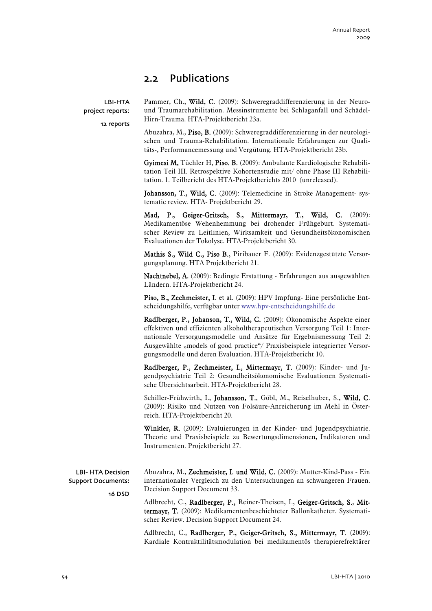# 2.2 Publications

LBI-HTA project reports: 12 reports Pammer, Ch., Wild, C. (2009): Schweregraddifferenzierung in der Neuround Traumarehabilitation. Messinstrumente bei Schlaganfall und Schädel-Hirn-Trauma. HTA-Projektbericht 23a.

Abuzahra, M., Piso, B. (2009): Schweregraddifferenzierung in der neurologischen und Trauma-Rehabilitation. Internationale Erfahrungen zur Qualitäts-, Performancemessung und Vergütung. HTA-Projektbericht 23b.

Gyimesi M, Tüchler H, Piso. B. (2009): Ambulante Kardiologische Rehabilitation Teil III. Retrospektive Kohortenstudie mit/ ohne Phase III Rehabilitation. 1. Teilbericht des HTA-Projektberichts 2010 (unreleased).

Johansson, T., Wild, C. (2009): Telemedicine in Stroke Management- systematic review. HTA- Projektbericht 29.

Mad, P., Geiger-Gritsch, S., Mittermayr, T., Wild, C. (2009): [Medikamentöse Wehenhemmung bei drohender Frühgeburt. Systemati](http://eprints.hta.lbg.ac.at/825/)[scher Review zu Leitlinien, Wirksamkeit und Gesundheitsökonomischen](http://eprints.hta.lbg.ac.at/825/)  [Evaluationen der Tokolyse](http://eprints.hta.lbg.ac.at/825/). HTA-Projektbericht 30.

Mathis S., Wild C., Piso B., Piribauer F. (2009): Evidenzgestützte Versorgungsplanung. HTA Projektbericht 21.

Nachtnebel, A. (2009): Bedingte Erstattung - Erfahrungen aus ausgewählten Ländern. HTA-Projektbericht 24.

Piso, B., Zechmeister, I. et al. (2009): HPV Impfung- Eine persönliche Entscheidungshilfe, verfügbar unter [www.hpv-entscheidungshilfe.de](http://www.hpv-entscheidungshilfe.de/)

Radlberger, P., Johanson, T., Wild, C. (2009): Ökonomische Aspekte einer effektiven und effizienten alkoholtherapeutischen Versorgung Teil 1: Internationale Versorgungsmodelle und Ansätze für Ergebnismessung Teil 2: Ausgewählte "models of good practice"/ Praxisbeispiele integrierter Versorgungsmodelle und deren Evaluation. HTA-Projektbericht 10.

Radlberger, P., Zechmeister, I., Mittermayr, T. (2009): Kinder- und Jugendpsychiatrie Teil 2: Gesundheitsökonomische Evaluationen Systematische Übersichtsarbeit. HTA-Projektbericht 28.

Schiller-Frühwirth, I., Johansson, T., Göbl, M., Reiselhuber, S., Wild, C. (2009): Risiko und Nutzen von Folsäure-Anreicherung im Mehl in Österreich. HTA-Projektbericht 20.

Winkler, R. (2009): Evaluierungen in der Kinder- und Jugendpsychiatrie. Theorie und Praxisbeispiele zu Bewertungsdimensionen, Indikatoren und Instrumenten. Projektbericht 27.

LBI- HTA Decision Support Documents: 16 DSD

Abuzahra, M., Zechmeister, I. und Wild, C. (2009): Mutter-Kind-Pass - Ein [internationaler Vergleich zu den Untersuchungen an schwangeren Frauen.](http://eprints.hta.lbg.ac.at/826/) Decision Support Document 33.

Adlbrecht, C., Radlberger, P., Reiner-Theisen, I., Geiger-Gritsch, S., Mittermayr, T. (2009): Medikamentenbeschichteter Ballonkatheter. Systematischer Review. Decision Support Document 24.

Adlbrecht, C., Radlberger, P., Geiger-Gritsch, S., Mittermayr, T. (2009): Kardiale Kontraktilitätsmodulation bei medikamentös therapierefrektärer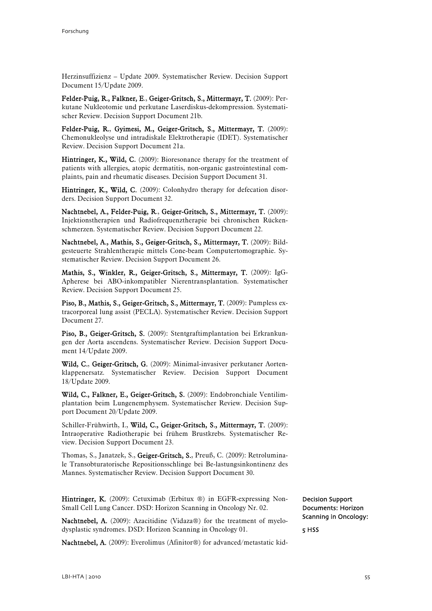Herzinsuffizienz – Update 2009. Systematischer Review. Decision Support Document 15/Update 2009.

Felder-Puig, R., Falkner, E., Geiger-Gritsch, S., Mittermayr, T. (2009): Perkutane Nukleotomie und perkutane Laserdiskus-dekompression. Systematischer Review. Decision Support Document 21b.

Felder-Puig, R., Gyimesi, M., Geiger-Gritsch, S., Mittermayr, T. (2009): Chemonukleolyse und intradiskale Elektrotherapie (IDET). Systematischer Review. Decision Support Document 21a.

Hintringer, K., Wild, C. (2009): Bioresonance therapy for the treatment of patients with allergies, atopic dermatitis, non-organic gastrointestinal complaints, pain and rheumatic diseases. Decision Support Document 31.

Hintringer, K., Wild, C. (2009): Colonhydro therapy for defecation disorders. Decision Support Document 32.

Nachtnebel, A., Felder-Puig, R., Geiger-Gritsch, S., Mittermayr, T. (2009): [Injektionstherapien und Radiofrequenztherapie bei chronischen Rücken](http://eprints.hta.lbg.ac.at/831/)[schmerzen. Systematischer Review](http://eprints.hta.lbg.ac.at/831/). Decision Support Document 22.

Nachtnebel, A., Mathis, S., Geiger-Gritsch, S., Mittermayr, T. (2009): Bildgesteuerte Strahlentherapie mittels Cone-beam Computertomographie. Systematischer Review. Decision Support Document 26.

Mathis, S., Winkler, R., Geiger-Gritsch, S., Mittermayr, T. (2009): IgG-Apherese bei ABO-inkompatibler Nierentransplantation. Systematischer Review. Decision Support Document 25.

Piso, B., Mathis, S., Geiger-Gritsch, S., Mittermayr, T. (2009): [Pumpless ex](http://eprints.hta.lbg.ac.at/836/)[tracorporeal lung assist \(PECLA\). Systematischer Review](http://eprints.hta.lbg.ac.at/836/). Decision Support Document 27.

Piso, B., Geiger-Gritsch, S. (2009): Stentgraftimplantation bei Erkrankungen der Aorta ascendens. Systematischer Review. Decision Support Document 14/Update 2009.

Wild, C., Geiger-Gritsch, G. (2009): Minimal-invasiver perkutaner Aortenklappenersatz. Systematischer Review. Decision Support Document 18/Update 2009.

Wild, C., Falkner, E., Geiger-Gritsch, S. (2009): Endobronchiale Ventilimplantation beim Lungenemphysem. Systematischer Review. Decision Support Document 20/Update 2009.

Schiller-Frühwirth, I., Wild, C., Geiger-Gritsch, S., Mittermayr, T. (2009): Intraoperative Radiotherapie bei frühem Brustkrebs. Systematischer Review. Decision Support Document 23.

Thomas, S., Janatzek, S., Geiger-Gritsch, S., Preuß, C. (2009): Retroluminale Transobturatorische Repositionsschlinge bei Be-lastungsinkontinenz des Mannes. Systematischer Review. Decision Support Document 30.

Hintringer, K. (2009): Cetuximab (Erbitux ®) in EGFR-expressing Non-Small Cell Lung Cancer. DSD: Horizon Scanning in Oncology Nr. 02.

Nachtnebel, A. (2009): Azacitidine (Vidaza®) for the treatment of myelodysplastic syndromes. DSD: Horizon Scanning in Oncology 01.

Nachtnebel, A. (2009): Everolimus (Afinitor®) for advanced/metastatic kid-

Decision Support Documents: Horizon Scanning in Oncology:

5 HSS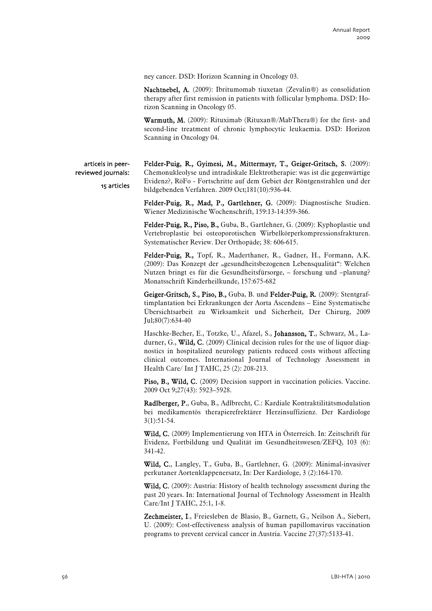ney cancer. DSD: Horizon Scanning in Oncology 03.

Nachtnebel, A. (2009): Ibritumomab tiuxetan (Zevalin®) as consolidation therapy after first remission in patients with follicular lymphoma. DSD: Horizon Scanning in Oncology 05.

Warmuth, M. (2009): Rituximab (Rituxan®/MabThera®) for the first- and second-line treatment of chronic lymphocytic leukaemia. DSD: Horizon Scanning in Oncology 04.

articels in peerreviewed journals:

15 articles

Felder-Puig, R., Gyimesi, M., Mittermayr, T., Geiger-Gritsch, S. (2009): Chemonukleolyse und intradiskale Elektrotherapie: was ist die gegenwärtige Evidenz?, RöFo - Fortschritte auf dem Gebiet der Röntgenstrahlen und der bildgebenden Verfahren. 2009 Oct;181(10):936-44.

Felder-Puig, R., Mad, P., Gartlehner, G. (2009): Diagnostische Studien. Wiener Medizinische Wochenschrift, 159:13-14:359-366.

Felder-Puig, R., Piso, B., Guba, B., Gartlehner, G. (2009): Kyphoplastie und Vertebroplastie bei osteoporotischen Wirbelkörperkompressionsfrakturen. Systematischer Review. Der Orthopäde; 38: 606-615.

Felder-Puig, R., Topf, R., Maderthaner, R., Gadner, H., Formann, A.K. (2009): Das Konzept der "gesundheitsbezogenen Lebensqualität": Welchen Nutzen bringt es für die Gesundheitsfürsorge, – forschung und –planung? Monatsschrift Kinderheilkunde, 157:675-682

Geiger-Gritsch, S., Piso, B., Guba, B. und Felder-Puig, R. (2009): Stentgraftimplantation bei Erkrankungen der Aorta Ascendens – Eine Systematische Übersichtsarbeit zu Wirksamkeit und Sicherheit, Der Chirurg, 2009 Jul;80(7):634-40

Haschke-Becher, E., Totzke, U., Afazel, S., Johansson, T., Schwarz, M., Ladurner, G., **Wild, C.** (2009) Clinical decision rules for the use of liquor diagnostics in hospitalized neurology patients reduced costs without affecting clinical outcomes. International Journal of Technology Assessment in Health Care/ Int J TAHC, 25 (2): 208-213.

Piso, B., Wild, C. (2009) Decision support in vaccination policies. Vaccine. 2009 Oct 9;27(43): 5923–5928.

Radlberger, P., Guba, B., Adlbrecht, C.: Kardiale Kontraktilitätsmodulation bei medikamentös therapierefrektärer Herzinsuffizienz. Der Kardiologe 3(1):51-54.

Wild, C. (2009) Implementierung von HTA in Österreich. In: Zeitschrift für Evidenz, Fortbildung und Qualität im Gesundheitswesen/ZEFQ, 103 (6): 341-42.

Wild, C., Langley, T., Guba, B., Gartlehner, G. (2009): Minimal-invasiver perkutaner Aortenklappenersatz, In: Der Kardiologe, 3 (2):164-170.

Wild, C. (2009): Austria: History of health technology assessment during the past 20 years. In: International Journal of Technology Assessment in Health Care/Int J TAHC, 25:1, 1-8.

Zechmeister, I., Freiesleben de Blasio, B., Garnett, G., Neilson A., Siebert, U. (2009): Cost-effectiveness analysis of human papillomavirus vaccination programs to prevent cervical cancer in Austria. Vaccine 27(37):5133-41.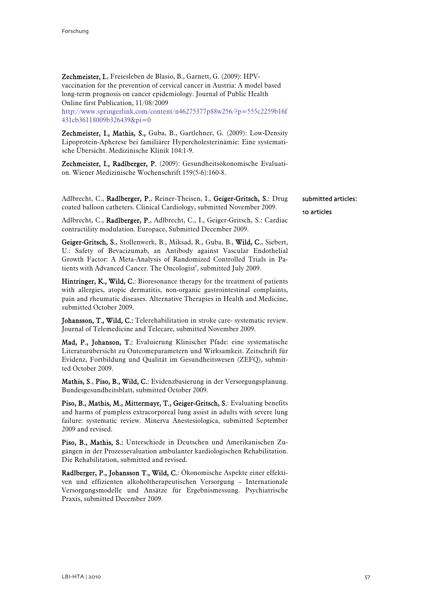Zechmeister, I., Freiesleben de Blasio, B., Garnett, G. (2009): HPVvaccination for the prevention of cervical cancer in Austria: A model based long-term prognosis on cancer epidemiology. Journal of Public Health Online first Publication, 11/08/2009

[http://www.springerlink.com/content/n46275377p88w256/?p=555c2259b16f](http://www.springerlink.com/content/n46275377p88w256/?p=555c2259b16f431cb36118009b326439&pi=0) [431cb36118009b326439&pi=0](http://www.springerlink.com/content/n46275377p88w256/?p=555c2259b16f431cb36118009b326439&pi=0)

Zechmeister, I., Mathis, S., Guba, B., Gartlehner, G. (2009): Low-Density Lipoprotein-Apherese bei familiärer Hypercholesterinämie: Eine systematische Übersicht. Medizinische Klinik 104:1-9.

Zechmeister, I., Radlberger, P. (2009): Gesundheitsökonomische Evaluation. Wiener Medizinische Wochenschrift 159(5-6):160-8.

Adlbrecht, C., Radlberger, P., Reiner-Theisen, I., Geiger-Gritsch, S.: Drug coated balloon catheters. Clinical Cardiology, submitted November 2009.

Adlbrecht, C., Radlberger, P., Adlbrecht, C., I., Geiger-Gritsch, S.: Cardiac contractility modulation. Europace, Submitted December 2009.

Geiger-Gritsch, S., Stollenwerk, B., Miksad, R., Guba, B., Wild, C., Siebert, U.: Safety of Bevacizumab, an Antibody against Vascular Endothelial Growth Factor: A Meta-Analysis of Randomized Controlled Trials in Patients with Advanced Cancer. The Oncologist', submitted July 2009.

Hintringer, K., Wild, C.: Bioresonance therapy for the treatment of patients with allergies, atopic dermatitis, non-organic gastrointestinal complaints, pain and rheumatic diseases. Alternative Therapies in Health and Medicine, submitted October 2009.

Johansson, T., Wild, C.: Telerehabilitation in stroke care- systematic review. Journal of Telemedicine and Telecare, submitted November 2009.

Mad, P., Johanson, T.: Evaluierung Klinischer Pfade: eine systematische Literaturübersicht zu Outcomeparametern und Wirksamkeit. Zeitschrift für Evidenz, Fortbildung und Qualität im Gesundheitswesen (ZEFQ), submitted October 2009.

Mathis, S., Piso, B., Wild, C.: Evidenzbasierung in der Versorgungsplanung. Bundesgesundheitsblatt, submitted October 2009.

Piso, B., Mathis, M., Mittermayr, T., Geiger-Gritsch, S.: Evaluating benefits and harms of pumpless extracorporeal lung assist in adults with severe lung failure: systematic review. Minerva Anestesiologica, submitted September 2009 and revised.

Piso, B., Mathis, S.: Unterschiede in Deutschen und Amerikanischen Zugängen in der Prozessevaluation ambulanter kardiologischen Rehabilitation. Die Rehabilitation, submitted and revised.

Radlberger, P., Johansson T., Wild, C.: Ökonomische Aspekte einer effektiven und effizienten alkoholtherapeutischen Versorgung – Internationale Versorgungsmodelle und Ansätze für Ergebnismessung. Psychiatrische Praxis, submitted December 2009.

submitted articles: 10 articles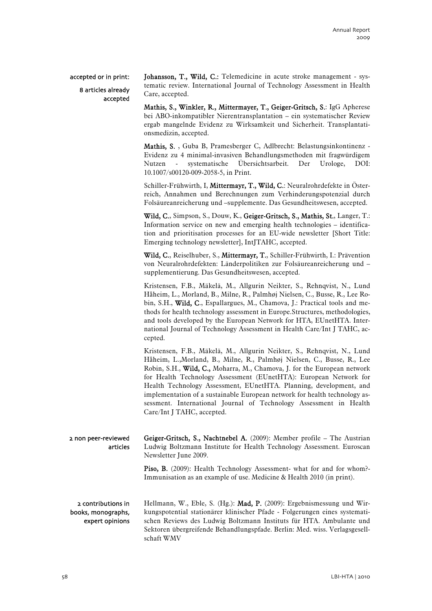# accepted or in print:

# 8 articles already accepted

Johansson, T., Wild, C.: Telemedicine in acute stroke management - systematic review. International Journal of Technology Assessment in Health Care, accepted.

Mathis, S., Winkler, R., Mittermayer, T., Geiger-Gritsch, S.: IgG Apherese bei ABO-inkompatibler Nierentransplantation – ein systematischer Review ergab mangelnde Evidenz zu Wirksamkeit und Sicherheit. Transplantationsmedizin, accepted.

Mathis, S. , Guba B, Pramesberger C, Adlbrecht: Belastungsinkontinenz - Evidenz zu 4 minimal-invasiven Behandlungsmethoden mit fragwürdigem Nutzen - systematische Übersichtsarbeit. Der Urologe, DOI: 10.1007/s00120-009-2058-5, in Print.

Schiller-Frühwirth, I, Mittermayr, T., Wild, C.: Neuralrohrdefekte in Österreich, Annahmen und Berechnungen zum Verhinderungspotenzial durch Folsäureanreicherung und –supplemente. Das Gesundheitswesen, accepted.

Wild, C., Simpson, S., Douw, K., Geiger-Gritsch, S., Mathis, St., Langer, T.: Information service on new and emerging health technologies – identification and prioritisation processes for an EU-wide newsletter [Short Title: Emerging technology newsletter], IntJTAHC, accepted.

Wild, C., Reiselhuber, S., Mittermayr, T., Schiller-Frühwirth, I.: Prävention von Neuralrohrdefekten: Länderpolitiken zur Folsäureanreicherung und – supplementierung. Das Gesundheitswesen, accepted.

Kristensen, F.B., Mäkelä, M., Allgurin Neikter, S., Rehnqvist, N., Lund Håheim, L., Morland, B., Milne, R., Palmhøj Nielsen, C., Busse, R., Lee Robin, S.H., Wild, C., Espallargues, M., Chamova, J.: Practical tools and methods for health technology assessment in Europe.Structures, methodologies, and tools developed by the European Network for HTA, EUnetHTA. International Journal of Technology Assessment in Health Care/Int J TAHC, accepted.

Kristensen, F.B., Mäkelä, M., Allgurin Neikter, S., Rehnqvist, N., Lund Håheim, L.,Morland, B., Milne, R., Palmhøj Nielsen, C., Busse, R., Lee Robin, S.H., Wild, C., Moharra, M., Chamova, J. for the European network for Health Technology Assessment (EUnetHTA): European Network for Health Technology Assessment, EUnetHTA. Planning, development, and implementation of a sustainable European network for health technology assessment. International Journal of Technology Assessment in Health Care/Int J TAHC, accepted.

| 2 non peer-reviewed | Geiger-Gritsch, S., Nachtnebel A. $(2009)$ : Member profile – The Austrian |
|---------------------|----------------------------------------------------------------------------|
| articles            | Ludwig Boltzmann Institute for Health Technology Assessment. Euroscan      |
|                     | Newsletter June 2009.                                                      |

Piso, B. (2009): Health Technology Assessment- what for and for whom?-Immunisation as an example of use. Medicine & Health 2010 (in print).

2 contributions in books, monographs, expert opinions

Hellmann, W., Eble, S. (Hg.): Mad, P. (2009): Ergebnismessung und Wirkungspotential stationärer klinischer Pfade - Folgerungen eines systematischen Reviews des Ludwig Boltzmann Instituts für HTA. Ambulante und Sektoren übergreifende Behandlungspfade. Berlin: Med. wiss. Verlagsgesellschaft WMV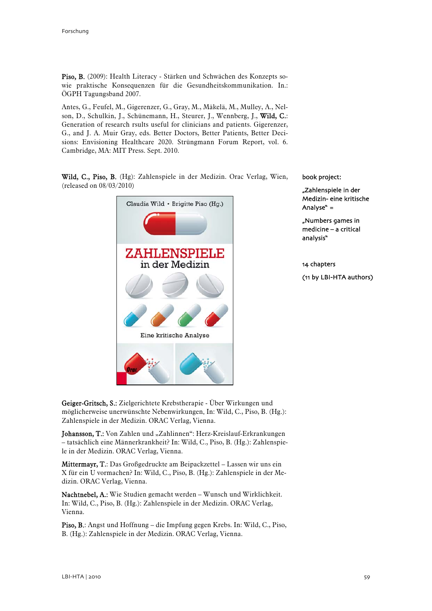Piso, B. (2009): Health Literacy - Stärken und Schwächen des Konzepts sowie praktische Konsequenzen für die Gesundheitskommunikation. In.: ÖGPH Tagungsband 2007.

Antes, G., Feufel, M., Gigerenzer, G., Gray, M., Mäkelä, M., Mulley, A., Nelson, D., Schulkin, J., Schünemann, H., Steurer, J., Wennberg, J., Wild, C.: Generation of research rsults useful for clinicians and patients. Gigerenzer, G., and J. A. Muir Gray, eds. Better Doctors, Better Patients, Better Decisions: Envisioning Healthcare 2020. Strüngmann Forum Report, vol. 6. Cambridge, MA: MIT Press. Sept. 2010.

Wild, C., Piso, B. (Hg): Zahlenspiele in der Medizin. Orac Verlag, Wien, (released on 08/03/2010)



book project:

"Zahlenspiele in der Medizin- eine kritische Analyse" =

"Numbers games in medicine – a critical analysis"

14 chapters (11 by LBI-HTA authors)

Geiger-Gritsch, S.: Zielgerichtete Krebstherapie - Über Wirkungen und möglicherweise unerwünschte Nebenwirkungen. In: Wild, C., Piso, B. (Hg.): Zahlenspiele in der Medizin. ORAC Verlag, Vienna.

Johansson, T.: Von Zahlen und "Zahlinnen": Herz-Kreislauf-Erkrankungen – tatsächlich eine Männerkrankheit? In: Wild, C., Piso, B. (Hg.): Zahlenspiele in der Medizin. ORAC Verlag, Vienna.

Mittermayr, T.: Das Großgedruckte am Beipackzettel – Lassen wir uns ein X für ein U vormachen? In: Wild, C., Piso, B. (Hg.): Zahlenspiele in der Medizin. ORAC Verlag, Vienna.

Nachtnebel, A.: Wie Studien gemacht werden – Wunsch und Wirklichkeit. In: Wild, C., Piso, B. (Hg.): Zahlenspiele in der Medizin. ORAC Verlag, Vienna.

Piso, B.: Angst und Hoffnung – die Impfung gegen Krebs. In: Wild, C., Piso, B. (Hg.): Zahlenspiele in der Medizin. ORAC Verlag, Vienna.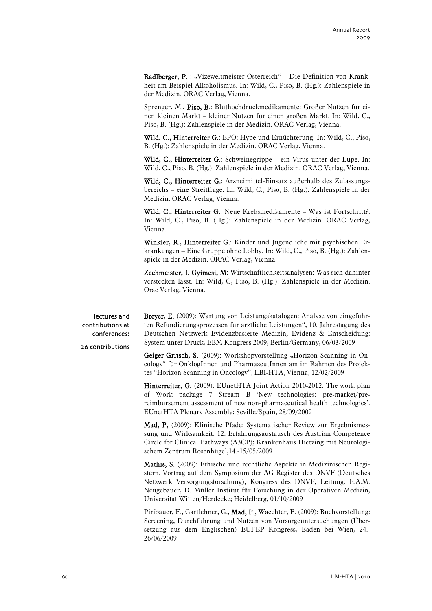Radlberger, P. : "Vizeweltmeister Österreich" – Die Definition von Krankheit am Beispiel Alkoholismus. In: Wild, C., Piso, B. (Hg.): Zahlenspiele in der Medizin. ORAC Verlag, Vienna.

Sprenger, M., Piso, B.: Bluthochdruckmedikamente: Großer Nutzen für einen kleinen Markt – kleiner Nutzen für einen großen Markt. In: Wild, C., Piso, B. (Hg.): Zahlenspiele in der Medizin. ORAC Verlag, Vienna.

Wild, C., Hinterreiter G.: EPO: Hype und Ernüchterung. In: Wild, C., Piso, B. (Hg.): Zahlenspiele in der Medizin. ORAC Verlag, Vienna.

Wild, C., Hinterreiter G.: Schweinegrippe – ein Virus unter der Lupe. In: Wild, C., Piso, B. (Hg.): Zahlenspiele in der Medizin. ORAC Verlag, Vienna.

Wild, C., Hinterreiter G.: Arzneimittel-Einsatz außerhalb des Zulassungsbereichs – eine Streitfrage. In: Wild, C., Piso, B. (Hg.): Zahlenspiele in der Medizin. ORAC Verlag, Vienna.

Wild, C., Hinterreiter G.: Neue Krebsmedikamente – Was ist Fortschritt?. In: Wild, C., Piso, B. (Hg.): Zahlenspiele in der Medizin. ORAC Verlag, Vienna.

Winkler, R., Hinterreiter G.: Kinder und Jugendliche mit psychischen Erkrankungen – Eine Gruppe ohne Lobby. In: Wild, C., Piso, B. (Hg.): Zahlenspiele in der Medizin. ORAC Verlag, Vienna.

Zechmeister, I. Gyimesi, M: Wirtschaftlichkeitsanalysen: Was sich dahinter verstecken lässt. In: Wild, C, Piso, B. (Hg.): Zahlenspiele in der Medizin. Orac Verlag, Vienna.

lectures and contributions at conferences:

26 contributions

Brever, E. (2009): Wartung von Leistungskatalogen: Analyse von eingeführten Refundierungsprozessen für ärztliche Leistungen", 10. Jahrestagung des Deutschen Netzwerk Evidenzbasierte Medizin, Evidenz & Entscheidung: System unter Druck, EBM Kongress 2009, Berlin/Germany, 06/03/2009

Geiger-Gritsch, S. (2009): Workshopvorstellung "Horizon Scanning in Oncology" für OnklogInnen und PharmazeutInnen am im Rahmen des Projektes "Horizon Scanning in Oncology", LBI-HTA, Vienna, 12/02/2009

Hinterreiter, G. (2009): EUnetHTA Joint Action 2010-2012. The work plan of Work package 7 Stream B 'New technologies: pre-market/prereimbursement assessment of new non-pharmaceutical health technologies'. EUnetHTA Plenary Assembly; Seville/Spain, 28/09/2009

Mad, P, (2009): Klinische Pfade: Systematischer Review zur Ergebnismessung und Wirksamkeit. 12. Erfahrungsaustausch des Austrian Competence Circle for Clinical Pathways (A3CP); Krankenhaus Hietzing mit Neurologischem Zentrum Rosenhügel,14.-15/05/2009

Mathis, S. (2009): Ethische und rechtliche Aspekte in Medizinischen Registern. Vortrag auf dem Symposium der AG Register des DNVF (Deutsches Netzwerk Versorgungsforschung), Kongress des DNVF, Leitung: E.A.M. Neugebauer, D. Müller Institut für Forschung in der Operativen Medizin, Universität Witten/Herdecke; Heidelberg, 01/10/2009

Piribauer, F., Gartlehner, G., Mad, P., Waechter, F. (2009): Buchvorstellung: Screening, Durchführung und Nutzen von Vorsorgeuntersuchungen (Übersetzung aus dem Englischen) EUFEP Kongress, Baden bei Wien, 24.- 26/06/2009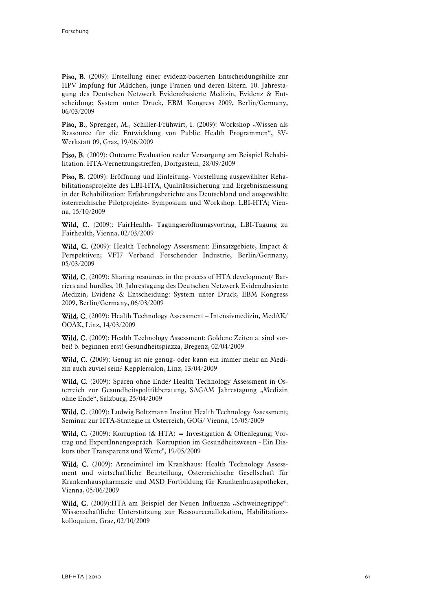Piso, B. (2009): Erstellung einer evidenz-basierten Entscheidungshilfe zur HPV Impfung für Mädchen, junge Frauen und deren Eltern. 10. Jahrestagung des Deutschen Netzwerk Evidenzbasierte Medizin, Evidenz & Entscheidung: System unter Druck, EBM Kongress 2009, Berlin/Germany, 06/03/2009

Piso, B., Sprenger, M., Schiller-Frühwirt, I. (2009): Workshop "Wissen als Ressource für die Entwicklung von Public Health Programmen", SV-Werkstatt 09, Graz, 19/06/2009

Piso, B. (2009): Outcome Evaluation realer Versorgung am Beispiel Rehabilitation. HTA-Vernetzungstreffen, Dorfgastein, 28/09/2009

Piso, B. (2009): Eröffnung und Einleitung- Vorstellung ausgewählter Rehabilitationsprojekte des LBI-HTA, Qualitätssicherung und Ergebnismessung in der Rehabilitation: Erfahrungsberichte aus Deutschland und ausgewählte österreichische Pilotprojekte- Symposium und Workshop. LBI-HTA; Vienna, 15/10/2009

Wild, C. (2009): FairHealth- Tagungseröffnungsvortrag, LBI-Tagung zu Fairhealth, Vienna, 02/03/2009

Wild, C. (2009): Health Technology Assessment: Einsatzgebiete, Impact & Perspektiven; VFI7 Verband Forschender Industrie, Berlin/Germany, 05/03/2009

Wild, C. (2009): Sharing resources in the process of HTA development/ Barriers and hurdles, 10. Jahrestagung des Deutschen Netzwerk Evidenzbasierte Medizin, Evidenz & Entscheidung: System unter Druck, EBM Kongress 2009, Berlin/Germany, 06/03/2009

Wild, C. (2009): Health Technology Assessment – Intensivmedizin, MedAK/ ÖOÄK, Linz, 14/03/2009

Wild, C. (2009): Health Technology Assessment: Goldene Zeiten a. sind vorbei! b. beginnen erst! Gesundheitspiazza, Bregenz, 02/04/2009

Wild, C. (2009): Genug ist nie genug- oder kann ein immer mehr an Medizin auch zuviel sein? Kepplersalon, Linz, 13/04/2009

Wild, C. (2009): Sparen ohne Ende? Health Technology Assessment in Österreich zur Gesundheitspolitikberatung, SAGAM Jahrestagung "Medizin ohne Ende", Salzburg, 25/04/2009

Wild, C. (2009): Ludwig Boltzmann Institut Health Technology Assessment; Seminar zur HTA-Strategie in Österreich, GÖG/ Vienna, 15/05/2009

**Wild, C.** (2009): Korruption (& HTA) = Investigation & Offenlegung; Vortrag und ExpertInnengespräch "Korruption im Gesundheitswesen - Ein Diskurs über Transparenz und Werte", 19/05/2009

Wild, C. (2009): Arzneimittel im Krankhaus: Health Technology Assessment und wirtschaftliche Beurteilung, Österreichische Gesellschaft für Krankenhauspharmazie und MSD Fortbildung für Krankenhausapotheker, Vienna, 05/06/2009

Wild, C. (2009):HTA am Beispiel der Neuen Influenza "Schweinegrippe": Wissenschaftliche Unterstützung zur Ressourcenallokation, Habilitationskolloquium, Graz, 02/10/2009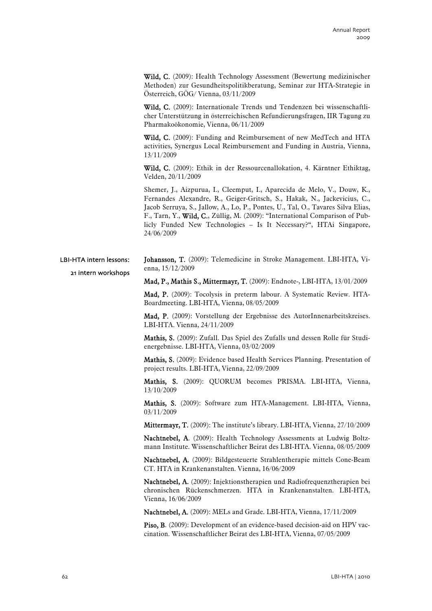Wild, C. (2009): Health Technology Assessment (Bewertung medizinischer Methoden) zur Gesundheitspolitikberatung, Seminar zur HTA-Strategie in Österreich, GÖG/ Vienna, 03/11/2009

Wild, C. (2009): Internationale Trends und Tendenzen bei wissenschaftlicher Unterstützung in österreichischen Refundierungsfragen, IIR Tagung zu Pharmakoökonomie, Vienna, 06/11/2009

Wild, C. (2009): Funding and Reimbursement of new MedTech and HTA activities, Synergus Local Reimbursement and Funding in Austria, Vienna, 13/11/2009

Wild, C. (2009): Ethik in der Ressourcenallokation, 4. Kärntner Ethiktag, Velden, 20/11/2009

Shemer, J., Aizpurua, I., Cleemput, I., Aparecida de Melo, V., Douw, K., Fernandes Alexandre, R., Geiger-Gritsch, S., Hakak, N., Jackevicius, C., Jacob Serruya, S., Jallow, A., Lo, P., Pontes, U., Tal, O., Tavares Silva Elias, F., Tarn, Y., Wild, C., Züllig, M. (2009): "International Comparison of Publicly Funded New Technologies – Is It Necessary?", HTAi Singapore, 24/06/2009

Johansson, T. (2009): Telemedicine in Stroke Management. LBI-HTA, Vienna, 15/12/2009 LBI-HTA intern lessons: 21 intern workshops

Mad, P., Mathis S., Mittermayr, T. (2009): Endnote-, LBI-HTA, 13/01/2009

Mad, P. (2009): Tocolysis in preterm labour. A Systematic Review. HTA-Boardmeeting. LBI-HTA, Vienna, 08/05/2009

Mad, P. (2009): Vorstellung der Ergebnisse des AutorInnenarbeitskreises. LBI-HTA. Vienna, 24/11/2009

Mathis, S. (2009): Zufall. Das Spiel des Zufalls und dessen Rolle für Studienergebnisse. LBI-HTA, Vienna, 03/02/2009

Mathis, S. (2009): Evidence based Health Services Planning. Presentation of project results. LBI-HTA, Vienna, 22/09/2009

Mathis, S. (2009): QUORUM becomes PRISMA. LBI-HTA, Vienna, 13/10/2009

Mathis, S. (2009): Software zum HTA-Management. LBI-HTA, Vienna, 03/11/2009

Mittermayr, T. (2009): The institute's library. LBI-HTA, Vienna, 27/10/2009

Nachtnebel, A. (2009): Health Technology Assessments at Ludwig Boltzmann Institute. Wissenschaftlicher Beirat des LBI-HTA. Vienna, 08/05/2009

Nachtnebel, A. (2009): Bildgesteuerte Strahlentherapie mittels Cone-Beam CT. HTA in Krankenanstalten. Vienna, 16/06/2009

Nachtnebel, A. (2009): Injektionstherapien und Radiofrequenztherapien bei chronischen Rückenschmerzen. HTA in Krankenanstalten. LBI-HTA, Vienna, 16/06/2009

Nachtnebel, A. (2009): MELs and Grade. LBI-HTA, Vienna, 17/11/2009

Piso, B. (2009): Development of an evidence-based decision-aid on HPV vaccination. Wissenschaftlicher Beirat des LBI-HTA, Vienna, 07/05/2009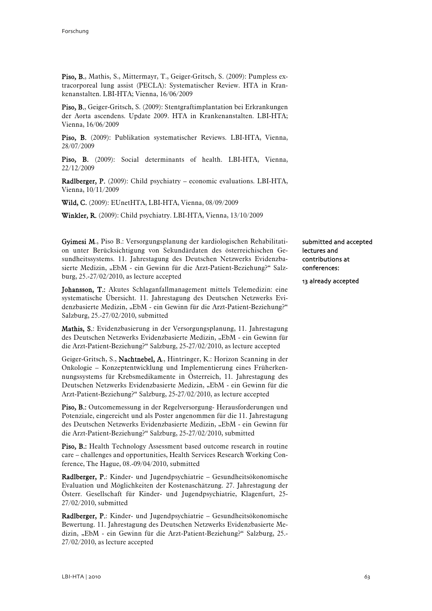Piso, B., Mathis, S., Mittermayr, T., Geiger-Gritsch, S. (2009): Pumpless extracorporeal lung assist (PECLA): Systematischer Review. HTA in Krankenanstalten. LBI-HTA; Vienna, 16/06/2009

Piso, B., Geiger-Gritsch, S. (2009): Stentgraftimplantation bei Erkrankungen der Aorta ascendens. Update 2009. HTA in Krankenanstalten. LBI-HTA; Vienna, 16/06/2009

Piso, B. (2009): Publikation systematischer Reviews. LBI-HTA, Vienna, 28/07/2009

Piso, B. (2009): Social determinants of health. LBI-HTA, Vienna, 22/12/2009

Radlberger, P. (2009): Child psychiatry – economic evaluations. LBI-HTA, Vienna, 10/11/2009

Wild, C. (2009): EUnetHTA, LBI-HTA, Vienna, 08/09/2009

Winkler, R. (2009): Child psychiatry. LBI-HTA, Vienna, 13/10/2009

Gyimesi M., Piso B.: Versorgungsplanung der kardiologischen Rehabilitation unter Berücksichtigung von Sekundärdaten des österreichischen Gesundheitssystems. 11. Jahrestagung des Deutschen Netzwerks Evidenzbasierte Medizin, "EbM - ein Gewinn für die Arzt-Patient-Beziehung?" Salzburg, 25.-27/02/2010, as lecture accepted

Johansson, T.: Akutes Schlaganfallmanagement mittels Telemedizin: eine systematische Übersicht. 11. Jahrestagung des Deutschen Netzwerks Evidenzbasierte Medizin, "EbM - ein Gewinn für die Arzt-Patient-Beziehung?" Salzburg, 25.-27/02/2010, submitted

Mathis, S.: Evidenzbasierung in der Versorgungsplanung, 11. Jahrestagung des Deutschen Netzwerks Evidenzbasierte Medizin, "EbM - ein Gewinn für die Arzt-Patient-Beziehung?" Salzburg, 25-27/02/2010, as lecture accepted

Geiger-Gritsch, S., Nachtnebel, A., Hintringer, K.: Horizon Scanning in der Onkologie – Konzeptentwicklung und Implementierung eines Früherkennungssystems für Krebsmedikamente in Österreich, 11. Jahrestagung des Deutschen Netzwerks Evidenzbasierte Medizin, "EbM - ein Gewinn für die Arzt-Patient-Beziehung?" Salzburg, 25-27/02/2010, as lecture accepted

Piso, B.: Outcomemessung in der Regelversorgung- Herausforderungen und Potenziale, eingereicht und als Poster angenommen für die 11. Jahrestagung des Deutschen Netzwerks Evidenzbasierte Medizin, "EbM - ein Gewinn für die Arzt-Patient-Beziehung?" Salzburg, 25-27/02/2010, submitted

Piso, B.: Health Technology Assessment based outcome research in routine care – challenges and opportunities, Health Services Research Working Conference, The Hague, 08.-09/04/2010, submitted

Radlberger, P.: Kinder- und Jugendpsychiatrie – Gesundheitsökonomische Evaluation und Möglichkeiten der Kostenaschätzung. 27. Jahrestagung der Österr. Gesellschaft für Kinder- und Jugendpsychiatrie, Klagenfurt, 25- 27/02/2010, submitted

Radlberger, P.: Kinder- und Jugendpsychiatrie – Gesundheitsökonomische Bewertung. 11. Jahrestagung des Deutschen Netzwerks Evidenzbasierte Medizin, "EbM - ein Gewinn für die Arzt-Patient-Beziehung?" Salzburg, 25.-27/02/2010, as lecture accepted

submitted and accepted lectures and contributions at conferences:

13 already accepted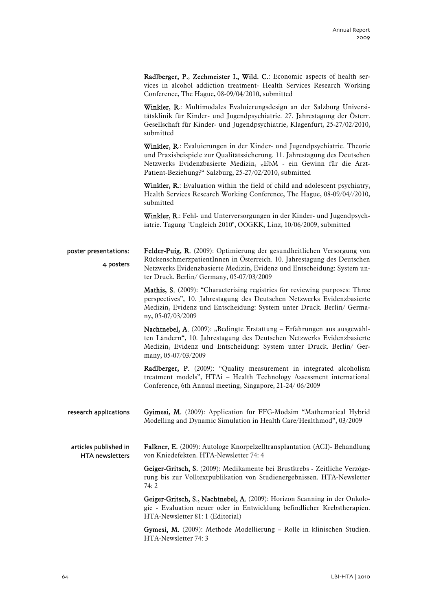Radlberger, P., Zechmeister I., Wild. C.: Economic aspects of health services in alcohol addiction treatment- Health Services Research Working Conference, The Hague, 08-09/04/2010, submitted

Winkler, R.: Multimodales Evaluierungsdesign an der Salzburg Universitätsklinik für Kinder- und Jugendpsychiatrie. 27. Jahrestagung der Österr. Gesellschaft für Kinder- und Jugendpsychiatrie, Klagenfurt, 25-27/02/2010, submitted

Winkler, R.: Evaluierungen in der Kinder- und Jugendpsychiatrie. Theorie und Praxisbeispiele zur Qualitätssicherung. 11. Jahrestagung des Deutschen Netzwerks Evidenzbasierte Medizin, "EbM - ein Gewinn für die Arzt-Patient-Beziehung?" Salzburg, 25-27/02/2010, submitted

Winkler, R.: Evaluation within the field of child and adolescent psychiatry, Health Services Research Working Conference, The Hague, 08-09/04//2010, submitted

Winkler, R.: Fehl- und Unterversorgungen in der Kinder- und Jugendpsychiatrie. Tagung "Ungleich 2010", OÖGKK, Linz, 10/06/2009, submitted

Felder-Puig, R. (2009): Optimierung der gesundheitlichen Versorgung von RückenschmerzpatientInnen in Österreich. 10. Jahrestagung des Deutschen Netzwerks Evidenzbasierte Medizin, Evidenz und Entscheidung: System unter Druck. Berlin/ Germany, 05-07/03/2009 poster presentations: 4 posters

> Mathis, S. (2009): "Characterising registries for reviewing purposes: Three perspectives", 10. Jahrestagung des Deutschen Netzwerks Evidenzbasierte Medizin, Evidenz und Entscheidung: System unter Druck. Berlin/ Germany, 05-07/03/2009

> Nachtnebel, A. (2009): "Bedingte Erstattung – Erfahrungen aus ausgewählten Ländern", 10. Jahrestagung des Deutschen Netzwerks Evidenzbasierte Medizin, Evidenz und Entscheidung: System unter Druck. Berlin/ Germany, 05-07/03/2009

> Radlberger, P. (2009): "Quality measurement in integrated alcoholism treatment models", HTAi – Health Technology Assessment international Conference, 6th Annual meeting, Singapore, 21-24/ 06/2009

Gyimesi, M. (2009): Application für FFG-Modsim "Mathematical Hybrid Modelling and Dynamic Simulation in Health Care/Healthmod", 03/2009 research applications

Falkner, E. (2009): Autologe Knorpelzelltransplantation (ACI)- Behandlung von Kniedefekten. HTA-Newsletter 74: 4 articles published in HTA newsletters

> Geiger-Gritsch, S. (2009): Medikamente bei Brustkrebs - Zeitliche Verzögerung bis zur Volltextpublikation von Studienergebnissen. HTA-Newsletter 74: 2

> Geiger-Gritsch, S., Nachtnebel, A. (2009): Horizon Scanning in der Onkologie - Evaluation neuer oder in Entwicklung befindlicher Krebstherapien. HTA-Newsletter 81: 1 (Editorial)

> Gymesi, M. (2009): Methode Modellierung – Rolle in klinischen Studien. HTA-Newsletter 74: 3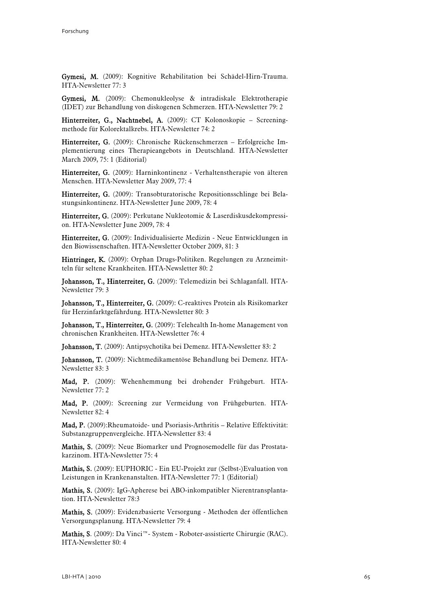Gymesi, M. (2009): Kognitive Rehabilitation bei Schädel-Hirn-Trauma. HTA-Newsletter 77: 3

Gymesi, M. (2009): Chemonukleolyse & intradiskale Elektrotherapie (IDET) zur Behandlung von diskogenen Schmerzen. HTA-Newsletter 79: 2

Hinterreiter, G., Nachtnebel, A. (2009): CT Kolonoskopie – Screeningmethode für Kolorektalkrebs. HTA-Newsletter 74: 2

Hinterreiter, G. (2009): Chronische Rückenschmerzen – Erfolgreiche Implementierung eines Therapieangebots in Deutschland. HTA-Newsletter March 2009, 75: 1 (Editorial)

Hinterreiter, G. (2009): Harninkontinenz - Verhaltenstherapie von älteren Menschen. HTA-Newsletter May 2009, 77: 4

Hinterreiter, G. (2009): Transobturatorische Repositionsschlinge bei Belastungsinkontinenz. HTA-Newsletter June 2009, 78: 4

Hinterreiter, G. (2009): Perkutane Nukleotomie & Laserdiskusdekompression. HTA-Newsletter June 2009, 78: 4

Hinterreiter, G. (2009): Individualisierte Medizin - Neue Entwicklungen in den Biowissenschaften. HTA-Newsletter October 2009, 81: 3

Hintringer, K. (2009): Orphan Drugs-Politiken. Regelungen zu Arzneimitteln für seltene Krankheiten. HTA-Newsletter 80: 2

Johansson, T., Hinterreiter, G. (2009): Telemedizin bei Schlaganfall. HTA-Newsletter 79: 3

Johansson, T., Hinterreiter, G. (2009): C-reaktives Protein als Risikomarker für Herzinfarktgefährdung. HTA-Newsletter 80: 3

Johansson, T., Hinterreiter, G. (2009): Telehealth In-home Management von chronischen Krankheiten. HTA-Newsletter 76: 4

Johansson, T. (2009): Antipsychotika bei Demenz. HTA-Newsletter 83: 2

Johansson, T. (2009): Nichtmedikamentöse Behandlung bei Demenz. HTA-Newsletter 83: 3

Mad, P. (2009): Wehenhemmung bei drohender Frühgeburt. HTA-Newsletter 77: 2

Mad, P. (2009): Screening zur Vermeidung von Frühgeburten. HTA-Newsletter 82: 4

Mad, P. (2009):Rheumatoide- und Psoriasis-Arthritis – Relative Effektivität: Substanzgruppenvergleiche. HTA-Newsletter 83: 4

Mathis, S. (2009): Neue Biomarker und Prognosemodelle für das Prostatakarzinom. HTA-Newsletter 75: 4

Mathis, S. (2009): EUPHORIC - Ein EU-Projekt zur (Selbst-)Evaluation von Leistungen in Krankenanstalten. HTA-Newsletter 77: 1 (Editorial)

Mathis, S. (2009): IgG-Apherese bei ABO-inkompatibler Nierentransplantation. HTA-Newsletter 78:3

Mathis, S. (2009): Evidenzbasierte Versorgung - Methoden der öffentlichen Versorgungsplanung. HTA-Newsletter 79: 4

Mathis, S. (2009): Da Vinci™- System - Roboter-assistierte Chirurgie (RAC). HTA-Newsletter 80: 4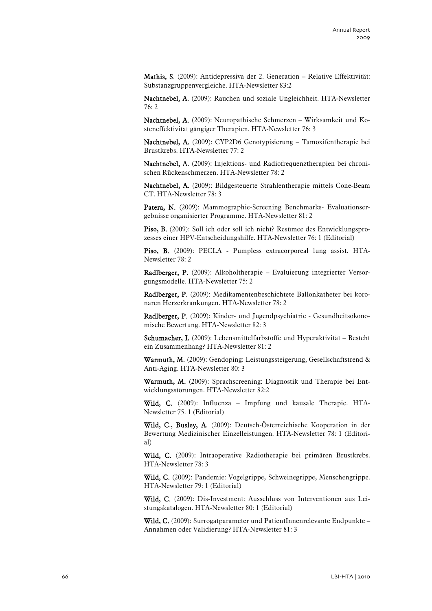Mathis, S. (2009): Antidepressiva der 2. Generation – Relative Effektivität: Substanzgruppenvergleiche. HTA-Newsletter 83:2

Nachtnebel, A. (2009): Rauchen und soziale Ungleichheit. HTA-Newsletter 76: 2

Nachtnebel, A. (2009): Neuropathische Schmerzen – Wirksamkeit und Kosteneffektivität gängiger Therapien. HTA-Newsletter 76: 3

Nachtnebel, A. (2009): CYP2D6 Genotypisierung – Tamoxifentherapie bei Brustkrebs. HTA-Newsletter 77: 2

Nachtnebel, A. (2009): Injektions- und Radiofrequenztherapien bei chronischen Rückenschmerzen. HTA-Newsletter 78: 2

Nachtnebel, A. (2009): Bildgesteuerte Strahlentherapie mittels Cone-Beam CT. HTA-Newsletter 78: 3

Patera, N. (2009): Mammographie-Screening Benchmarks- Evaluationsergebnisse organisierter Programme. HTA-Newsletter 81: 2

Piso, B. (2009): Soll ich oder soll ich nicht? Resümee des Entwicklungsprozesses einer HPV-Entscheidungshilfe. HTA-Newsletter 76: 1 (Editorial)

Piso, B. (2009): PECLA - Pumpless extracorporeal lung assist. HTA-Newsletter 78: 2

Radlberger, P. (2009): Alkoholtherapie – Evaluierung integrierter Versorgungsmodelle. HTA-Newsletter 75: 2

Radlberger, P. (2009): Medikamentenbeschichtete Ballonkatheter bei koronaren Herzerkrankungen. HTA-Newsletter 78: 2

Radlberger, P. (2009): Kinder- und Jugendpsychiatrie - Gesundheitsökonomische Bewertung. HTA-Newsletter 82: 3

Schumacher, I. (2009): Lebensmittelfarbstoffe und Hyperaktivität – Besteht ein Zusammenhang? HTA-Newsletter 81: 2

Warmuth, M. (2009): Gendoping: Leistungssteigerung, Gesellschaftstrend & Anti-Aging. HTA-Newsletter 80: 3

Warmuth, M. (2009): Sprachscreening: Diagnostik und Therapie bei Entwicklungsstörungen. HTA-Newsletter 82:2

Wild, C. (2009): Influenza – Impfung und kausale Therapie. HTA-Newsletter 75. 1 (Editorial)

Wild, C., Busley, A. (2009): Deutsch-Österreichische Kooperation in der Bewertung Medizinischer Einzelleistungen. HTA-Newsletter 78: 1 (Editorial)

Wild, C. (2009): Intraoperative Radiotherapie bei primären Brustkrebs. HTA-Newsletter 78: 3

Wild, C. (2009): Pandemie: Vogelgrippe, Schweinegrippe, Menschengrippe. HTA-Newsletter 79: 1 (Editorial)

Wild, C. (2009): Dis-Investment: Ausschluss von Interventionen aus Leistungskatalogen. HTA-Newsletter 80: 1 (Editorial)

Wild, C. (2009): Surrogatparameter und PatientInnenrelevante Endpunkte – Annahmen oder Validierung? HTA-Newsletter 81: 3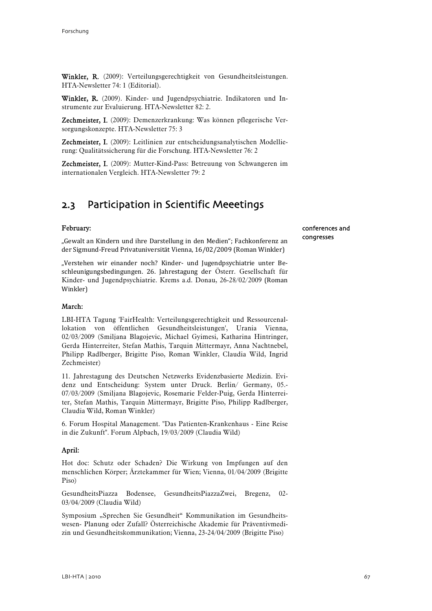Winkler, R. (2009): Verteilungsgerechtigkeit von Gesundheitsleistungen. HTA-Newsletter 74: 1 (Editorial).

Winkler, R. (2009). Kinder- und Jugendpsychiatrie. Indikatoren und Instrumente zur Evaluierung. HTA-Newsletter 82: 2.

Zechmeister, I. (2009): Demenzerkrankung: Was können pflegerische Versorgungskonzepte. HTA-Newsletter 75: 3

Zechmeister, I. (2009): Leitlinien zur entscheidungsanalytischen Modellierung: Qualitätssicherung für die Forschung. HTA-Newsletter 76: 2

Zechmeister, I. (2009): Mutter-Kind-Pass: Betreuung von Schwangeren im internationalen Vergleich. HTA-Newsletter 79: 2

# 2.3 Participation in Scientific Meeetings

# February:

"Gewalt an Kindern und ihre Darstellung in den Medien"; Fachkonferenz an der Sigmund‐Freud Privatuniversität Vienna, 16/02/2009 (Roman Winkler)

"Verstehen wir einander noch? Kinder‐ und Jugendpsychiatrie unter Be‐ schleunigungsbedingungen. 26. Jahrestagung der Österr. Gesellschaft für Kinder- und Jugendpsychiatrie. Krems a.d. Donau, 26-28/02/2009 (Roman Winkler)

#### March:

LBI-HTA Tagung 'FairHealth: Verteilungsgerechtigkeit und Ressourcenallokation von öffentlichen Gesundheitsleistungen', Urania Vienna, 02/03/2009 (Smiljana Blagojevic, Michael Gyimesi, Katharina Hintringer, Gerda Hinterreiter, Stefan Mathis, Tarquin Mittermayr, Anna Nachtnebel, Philipp Radlberger, Brigitte Piso, Roman Winkler, Claudia Wild, Ingrid Zechmeister)

11. Jahrestagung des Deutschen Netzwerks Evidenzbasierte Medizin. Evidenz und Entscheidung: System unter Druck. Berlin/ Germany, 05.- 07/03/2009 (Smiljana Blagojevic, Rosemarie Felder-Puig, Gerda Hinterreiter, Stefan Mathis, Tarquin Mittermayr, Brigitte Piso, Philipp Radlberger, Claudia Wild, Roman Winkler)

6. Forum Hospital Management. "Das Patienten-Krankenhaus - Eine Reise in die Zukunft". Forum Alpbach, 19/03/2009 (Claudia Wild)

### April:

Hot doc: Schutz oder Schaden? Die Wirkung von Impfungen auf den menschlichen Körper; Ärztekammer für Wien; Vienna, 01/04/2009 (Brigitte Piso)

GesundheitsPiazza Bodensee, GesundheitsPiazzaZwei, Bregenz, 02- 03/04/2009 (Claudia Wild)

Symposium "Sprechen Sie Gesundheit" Kommunikation im Gesundheitswesen- Planung oder Zufall? Österreichische Akademie für Präventivmedizin und Gesundheitskommunikation; Vienna, 23-24/04/2009 (Brigitte Piso)

# conferences and congresses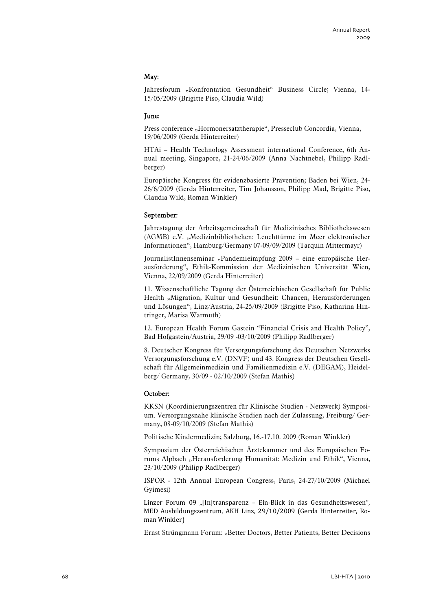# May:

Jahresforum "Konfrontation Gesundheit" Business Circle; Vienna, 14-15/05/2009 (Brigitte Piso, Claudia Wild)

#### June:

Press conference "Hormonersatztherapie", Presseclub Concordia, Vienna, 19/06/2009 (Gerda Hinterreiter)

HTAi – Health Technology Assessment international Conference, 6th Annual meeting, Singapore, 21-24/06/2009 (Anna Nachtnebel, Philipp Radlberger)

Europäische Kongress für evidenzbasierte Prävention; Baden bei Wien, 24- 26/6/2009 (Gerda Hinterreiter, Tim Johansson, Philipp Mad, Brigitte Piso, Claudia Wild, Roman Winkler)

#### September:

Jahrestagung der Arbeitsgemeinschaft für Medizinisches Bibliothekswesen (AGMB) e.V. "Medizinbibliotheken: Leuchttürme im Meer elektronischer Informationen", Hamburg/Germany 07-09/09/2009 (Tarquin Mittermayr)

JournalistInnenseminar "Pandemieimpfung 2009 – eine europäische Herausforderung", Ethik-Kommission der Medizinischen Universität Wien, Vienna, 22/09/2009 (Gerda Hinterreiter)

11. Wissenschaftliche Tagung der Österreichischen Gesellschaft für Public Health "Migration, Kultur und Gesundheit: Chancen, Herausforderungen und Lösungen", Linz/Austria, 24-25/09/2009 (Brigitte Piso, Katharina Hintringer, Marisa Warmuth)

12. European Health Forum Gastein "Financial Crisis and Health Policy", Bad Hofgastein/Austria, 29/09 -03/10/2009 (Philipp Radlberger)

8. Deutscher Kongress für Versorgungsforschung des Deutschen Netzwerks Versorgungsforschung e.V. (DNVF) und 43. Kongress der Deutschen Gesellschaft für Allgemeinmedizin und Familienmedizin e.V. (DEGAM), Heidelberg/ Germany, 30/09 - 02/10/2009 (Stefan Mathis)

#### October:

KKSN (Koordinierungszentren für Klinische Studien - Netzwerk) Symposium. Versorgungsnahe klinische Studien nach der Zulassung, Freiburg/ Germany, 08-09/10/2009 (Stefan Mathis)

Politische Kindermedizin; Salzburg, 16.-17.10. 2009 (Roman Winkler)

Symposium der Österreichischen Ärztekammer und des Europäischen Forums Alpbach "Herausforderung Humanität: Medizin und Ethik", Vienna, 23/10/2009 (Philipp Radlberger)

ISPOR - 12th Annual European Congress, Paris, 24-27/10/2009 (Michael Gyimesi)

Linzer Forum 09 "[In]transparenz - Ein-Blick in das Gesundheitswesen", MED Ausbildungszentrum, AKH Linz, 29/10/2009 (Gerda Hinterreiter, Ro‐ man Winkler)

Ernst Strüngmann Forum: "Better Doctors, Better Patients, Better Decisions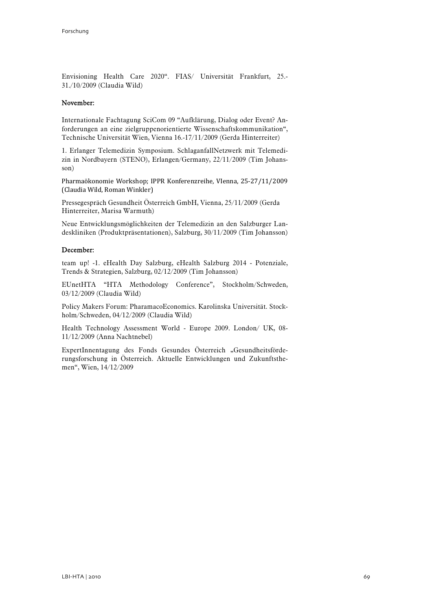Envisioning Health Care 2020". FIAS/ Universität Frankfurt, 25.- 31./10/2009 (Claudia Wild)

#### November:

Internationale Fachtagung SciCom 09 "Aufklärung, Dialog oder Event? Anforderungen an eine zielgruppenorientierte Wissenschaftskommunikation", Technische Universität Wien, Vienna 16.-17/11/2009 (Gerda Hinterreiter)

1. Erlanger Telemedizin Symposium. SchlaganfallNetzwerk mit Telemedizin in Nordbayern (STENO), Erlangen/Germany, 22/11/2009 (Tim Johansson)

Pharmaökonomie Workshop; IPPR Konferenzreihe, VIenna, 25‐27/11/2009 (Claudia Wild, Roman Winkler)

Pressegespräch Gesundheit Österreich GmbH, Vienna, 25/11/2009 (Gerda Hinterreiter, Marisa Warmuth)

Neue Entwicklungsmöglichkeiten der Telemedizin an den Salzburger Landeskliniken (Produktpräsentationen), Salzburg, 30/11/2009 (Tim Johansson)

#### December:

team up! -1. eHealth Day Salzburg, eHealth Salzburg 2014 - Potenziale, Trends & Strategien, Salzburg, 02/12/2009 (Tim Johansson)

EUnetHTA "HTA Methodology Conference", Stockholm/Schweden, 03/12/2009 (Claudia Wild)

Policy Makers Forum: PharamacoEconomics. Karolinska Universität. Stockholm/Schweden, 04/12/2009 (Claudia Wild)

Health Technology Assessment World - Europe 2009. London/ UK, 08- 11/12/2009 (Anna Nachtnebel)

ExpertInnentagung des Fonds Gesundes Österreich "Gesundheitsförderungsforschung in Österreich. Aktuelle Entwicklungen und Zukunftsthemen", Wien, 14/12/2009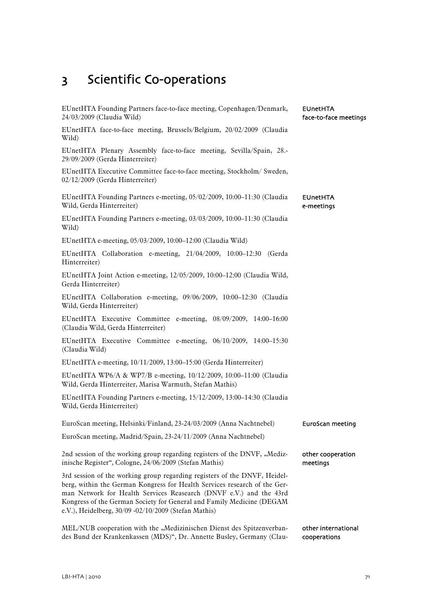# 3 Scientific Co-operations

| EUnetHTA Founding Partners face-to-face meeting, Copenhagen/Denmark,<br>24/03/2009 (Claudia Wild)                                                                                                                                                                                                                                                             | <b>EUnetHTA</b><br>face-to-face meetings |
|---------------------------------------------------------------------------------------------------------------------------------------------------------------------------------------------------------------------------------------------------------------------------------------------------------------------------------------------------------------|------------------------------------------|
| EUnetHTA face-to-face meeting, Brussels/Belgium, 20/02/2009 (Claudia<br>Wild)                                                                                                                                                                                                                                                                                 |                                          |
| EUnetHTA Plenary Assembly face-to-face meeting, Sevilla/Spain, 28.-<br>29/09/2009 (Gerda Hinterreiter)                                                                                                                                                                                                                                                        |                                          |
| EUnetHTA Executive Committee face-to-face meeting, Stockholm/ Sweden,<br>02/12/2009 (Gerda Hinterreiter)                                                                                                                                                                                                                                                      |                                          |
| EUnetHTA Founding Partners e-meeting, 05/02/2009, 10:00-11:30 (Claudia<br>Wild, Gerda Hinterreiter)                                                                                                                                                                                                                                                           | <b>EUnetHTA</b><br>e-meetings            |
| EUnetHTA Founding Partners e-meeting, 03/03/2009, 10:00-11:30 (Claudia<br>Wild)                                                                                                                                                                                                                                                                               |                                          |
| EUnetHTA e-meeting, 05/03/2009, 10:00-12:00 (Claudia Wild)                                                                                                                                                                                                                                                                                                    |                                          |
| EUnetHTA Collaboration e-meeting, 21/04/2009, 10:00-12:30 (Gerda<br>Hinterreiter)                                                                                                                                                                                                                                                                             |                                          |
| EUnetHTA Joint Action e-meeting, 12/05/2009, 10:00-12:00 (Claudia Wild,<br>Gerda Hinterreiter)                                                                                                                                                                                                                                                                |                                          |
| EUnetHTA Collaboration e-meeting, 09/06/2009, 10:00-12:30 (Claudia<br>Wild, Gerda Hinterreiter)                                                                                                                                                                                                                                                               |                                          |
| EUnetHTA Executive Committee e-meeting, 08/09/2009, 14:00-16:00<br>(Claudia Wild, Gerda Hinterreiter)                                                                                                                                                                                                                                                         |                                          |
| EUnetHTA Executive Committee e-meeting, 06/10/2009, 14:00-15:30<br>(Claudia Wild)                                                                                                                                                                                                                                                                             |                                          |
| EUnetHTA e-meeting, 10/11/2009, 13:00-15:00 (Gerda Hinterreiter)                                                                                                                                                                                                                                                                                              |                                          |
| EUnetHTA WP6/A & WP7/B e-meeting, 10/12/2009, 10:00-11:00 (Claudia<br>Wild, Gerda Hinterreiter, Marisa Warmuth, Stefan Mathis)                                                                                                                                                                                                                                |                                          |
| EUnetHTA Founding Partners e-meeting, 15/12/2009, 13:00-14:30 (Claudia<br>Wild, Gerda Hinterreiter)                                                                                                                                                                                                                                                           |                                          |
| EuroScan meeting, Helsinki/Finland, 23-24/03/2009 (Anna Nachtnebel)                                                                                                                                                                                                                                                                                           | EuroScan meeting                         |
| EuroScan meeting, Madrid/Spain, 23-24/11/2009 (Anna Nachtnebel)                                                                                                                                                                                                                                                                                               |                                          |
| 2nd session of the working group regarding registers of the DNVF, "Mediz-<br>inische Register", Cologne, 24/06/2009 (Stefan Mathis)                                                                                                                                                                                                                           | other cooperation<br>meetings            |
| 3rd session of the working group regarding registers of the DNVF, Heidel-<br>berg, within the German Kongress for Health Services research of the Ger-<br>man Network for Health Services Reasearch (DNVF e.V.) and the 43rd<br>Kongress of the German Society for General and Family Medicine (DEGAM<br>e.V.), Heidelberg, 30/09 -02/10/2009 (Stefan Mathis) |                                          |
| MEL/NUB cooperation with the "Medizinischen Dienst des Spitzenverban-<br>des Bund der Krankenkassen (MDS)", Dr. Annette Busley, Germany (Clau-                                                                                                                                                                                                                | other international<br>cooperations      |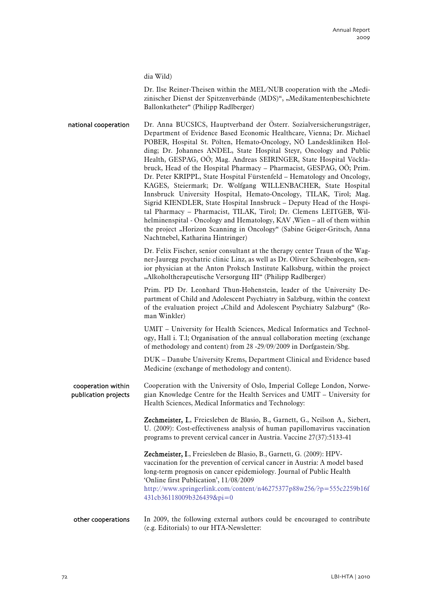dia Wild)

Dr. Ilse Reiner-Theisen within the MEL/NUB cooperation with the "Medizinischer Dienst der Spitzenverbände (MDS)", "Medikamentenbeschichtete Ballonkatheter" (Philipp Radlberger)

Dr. Anna BUCSICS, Hauptverband der Österr. Sozialversicherungsträger, Department of Evidence Based Economic Healthcare, Vienna; Dr. Michael POBER, Hospital St. Pölten, Hemato-Oncology, NÖ Landeskliniken Holding; Dr. Johannes ANDEL, State Hospital Steyr, Oncology and Public Health, GESPAG, OÖ; Mag. Andreas SEIRINGER, State Hospital Vöcklabruck, Head of the Hospital Pharmacy – Pharmacist, GESPAG, OÖ; Prim. Dr. Peter KRIPPL, State Hospital Fürstenfeld – Hematology and Oncology, KAGES, Steiermark; Dr. Wolfgang WILLENBACHER, State Hospital Innsbruck University Hospital, Hemato-Oncology, TILAK, Tirol; Mag. Sigrid KIENDLER, State Hospital Innsbruck – Deputy Head of the Hospital Pharmacy – Pharmacist, TILAK, Tirol; Dr. Clemens LEITGEB, Wilhelminenspital - Oncology and Hematology, KAV ,Wien – all of them within the project "Horizon Scanning in Oncology" (Sabine Geiger-Gritsch, Anna Nachtnebel, Katharina Hintringer) national cooperation

> Dr. Felix Fischer, senior consultant at the therapy center Traun of the Wagner-Jauregg psychatric clinic Linz, as well as Dr. Oliver Scheibenbogen, senior physician at the Anton Proksch Institute Kalksburg, within the project "Alkoholtherapeutische Versorgung III" (Philipp Radlberger)

> Prim. PD Dr. Leonhard Thun-Hohenstein, leader of the University Department of Child and Adolescent Psychiatry in Salzburg, within the context of the evaluation project "Child and Adolescent Psychiatry Salzburg" (Roman Winkler)

> UMIT – University for Health Sciences, Medical Informatics and Technology, Hall i. T.l; Organisation of the annual collaboration meeting (exchange of methodology and content) from 28 -29/09/2009 in Dorfgastein/Sbg.

> DUK – Danube University Krems, Department Clinical and Evidence based Medicine (exchange of methodology and content).

Cooperation with the University of Oslo, Imperial College London, Norwegian Knowledge Centre for the Health Services and UMIT – University for Health Sciences, Medical Informatics and Technology: cooperation within publication projects

> Zechmeister, I., Freiesleben de Blasio, B., Garnett, G., Neilson A., Siebert, U. (2009): Cost-effectiveness analysis of human papillomavirus vaccination programs to prevent cervical cancer in Austria. Vaccine 27(37):5133-41

> Zechmeister, I., Freiesleben de Blasio, B., Garnett, G. (2009): HPVvaccination for the prevention of cervical cancer in Austria: A model based long-term prognosis on cancer epidemiology. Journal of Public Health 'Online first Publication', 11/08/2009 [http://www.springerlink.com/content/n46275377p88w256/?p=555c2259b16f](http://www.springerlink.com/content/n46275377p88w256/?p=555c2259b16f431cb36118009b326439&pi=0) [431cb36118009b326439&pi=0](http://www.springerlink.com/content/n46275377p88w256/?p=555c2259b16f431cb36118009b326439&pi=0)

#### In 2009, the following external authors could be encouraged to contribute (e.g. Editorials) to our HTA-Newsletter: other cooperations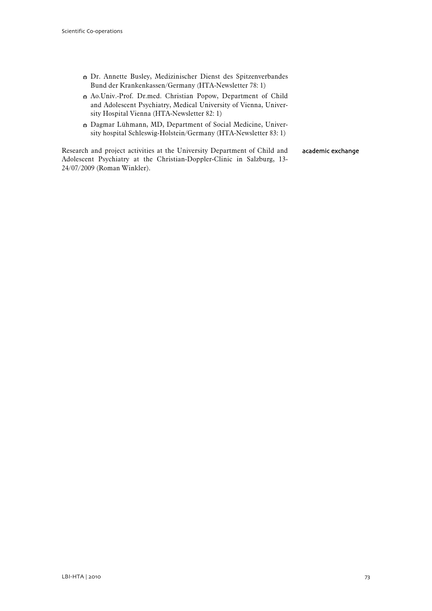- Dr. Annette Busley, Medizinischer Dienst des Spitzenverbandes Bund der Krankenkassen/Germany (HTA-Newsletter 78: 1)
- b Ao.Univ.-Prof. Dr.med. Christian Popow, Department of Child and Adolescent Psychiatry, Medical University of Vienna, University Hospital Vienna (HTA-Newsletter 82: 1)
- $\bullet$  Dagmar Lühmann, MD, Department of Social Medicine, University hospital Schleswig-Holstein/Germany (HTA-Newsletter 83: 1)

Research and project activities at the University Department of Child and Adolescent Psychiatry at the Christian-Doppler-Clinic in Salzburg, 13- 24/07/2009 (Roman Winkler). academic exchange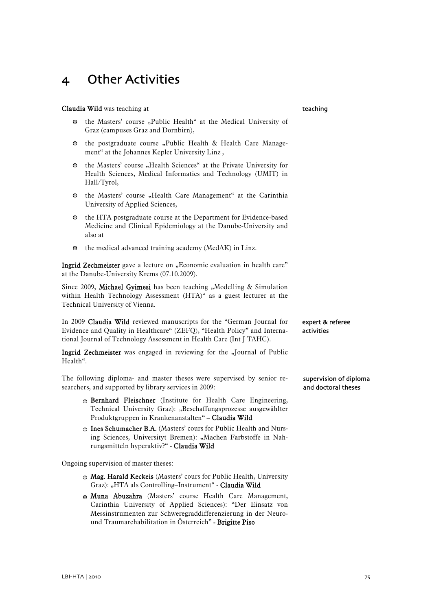### 4 Other Activities

#### Claudia Wild was teaching at

- $\div$  the Masters' course "Public Health" at the Medical University of Graz (campuses Graz and Dornbirn),
- $\div$  the postgraduate course "Public Health & Health Care Management" at the Johannes Kepler University Linz ,
- $\bullet$  the Masters' course "Health Sciences" at the Private University for Health Sciences, Medical Informatics and Technology (UMIT) in Hall/Tyrol,
- $\bullet$  the Masters' course "Health Care Management" at the Carinthia University of Applied Sciences,
- $\bullet$  the HTA postgraduate course at the Department for Evidence-based Medicine and Clinical Epidemiology at the Danube-University and also at
- $\bullet$  the medical advanced training academy (MedAK) in Linz.

Ingrid Zechmeister gave a lecture on "Economic evaluation in health care" at the Danube-University Krems (07.10.2009).

Since 2009, Michael Gyimesi has been teaching "Modelling & Simulation [within Health Technology Assessment \(HTA\)](http://tuwis.tuwien.ac.at/zope/_ZopeId/62061882A2orrKcEkMw/tpp/lv/lva_html?num=101407&sem=2009W)" as a guest lecturer at the Technical University of Vienna.

In 2009 Claudia Wild reviewed manuscripts for the "German Journal for Evidence and Quality in Healthcare" (ZEFQ), "Health Policy" and International Journal of Technology Assessment in Health Care (Int J TAHC).

Ingrid Zechmeister was engaged in reviewing for the "Journal of Public Health".

The following diploma- and master theses were supervised by senior researchers, and supported by library services in 2009:

- Bernhard Fleischner (Institute for Health Care Engineering, Technical University Graz): "Beschaffungsprozesse ausgewählter Produktgruppen in Krankenanstalten" – Claudia Wild
- **B.A.** (Masters' cours for Public Health and Nursing Sciences, Universityt Bremen): "Machen Farbstoffe in Nahrungsmitteln hyperaktiv?" - Claudia Wild

Ongoing supervision of master theses:

- $\bullet$  Mag. Harald Keckeis (Masters' cours for Public Health, University Graz): "HTA als Controlling–Instrument" - Claudia Wild
- **Muna Abuzahra** (Masters' course Health Care Management, Carinthia University of Applied Sciences): "Der Einsatz von Messinstrumenten zur Schweregraddifferenzierung in der Neuround Traumarehabilitation in Österreich" - Brigitte Piso

### teaching

expert & referee activities

supervision of diploma and doctoral theses